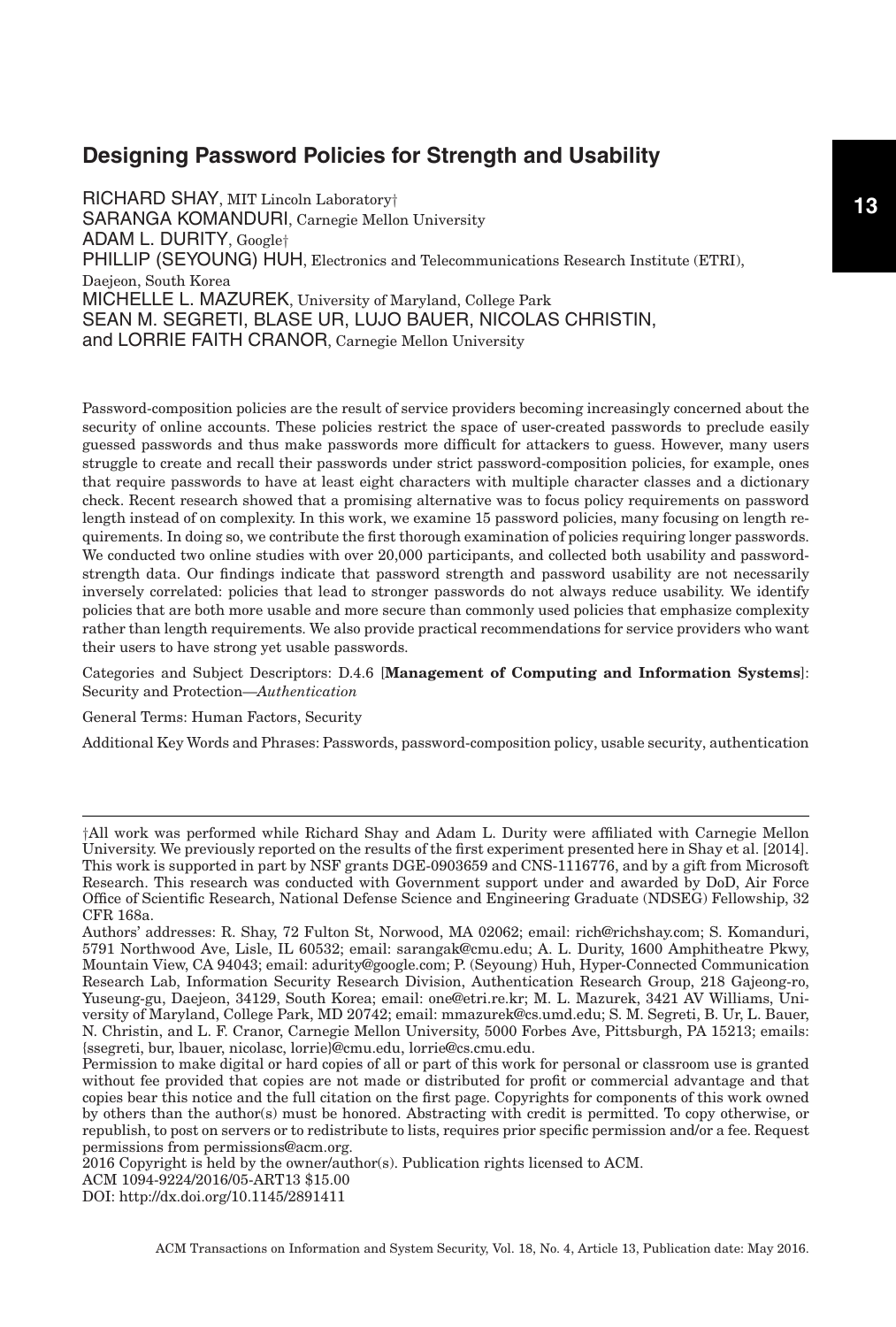RICHARD SHAY, MIT Lincoln Laboratory† SARANGA KOMANDURI, Carnegie Mellon University ADAM L. DURITY, Google† PHILLIP (SEYOUNG) HUH, Electronics and Telecommunications Research Institute (ETRI), Daejeon, South Korea MICHELLE L. MAZUREK, University of Maryland, College Park SEAN M. SEGRETI, BLASE UR, LUJO BAUER, NICOLAS CHRISTIN, and LORRIE FAITH CRANOR, Carnegie Mellon University

Password-composition policies are the result of service providers becoming increasingly concerned about the security of online accounts. These policies restrict the space of user-created passwords to preclude easily guessed passwords and thus make passwords more difficult for attackers to guess. However, many users struggle to create and recall their passwords under strict password-composition policies, for example, ones that require passwords to have at least eight characters with multiple character classes and a dictionary check. Recent research showed that a promising alternative was to focus policy requirements on password length instead of on complexity. In this work, we examine 15 password policies, many focusing on length requirements. In doing so, we contribute the first thorough examination of policies requiring longer passwords. We conducted two online studies with over 20,000 participants, and collected both usability and passwordstrength data. Our findings indicate that password strength and password usability are not necessarily inversely correlated: policies that lead to stronger passwords do not always reduce usability. We identify policies that are both more usable and more secure than commonly used policies that emphasize complexity rather than length requirements. We also provide practical recommendations for service providers who want their users to have strong yet usable passwords.

Categories and Subject Descriptors: D.4.6 [**Management of Computing and Information Systems**]: Security and Protection—*Authentication*

General Terms: Human Factors, Security

Additional Key Words and Phrases: Passwords, password-composition policy, usable security, authentication

2016 Copyright is held by the owner/author(s). Publication rights licensed to ACM.

ACM 1094-9224/2016/05-ART13 \$15.00

DOI:<http://dx.doi.org/10.1145/2891411>

ACM Transactions on Information and System Security, Vol. 18, No. 4, Article 13, Publication date: May 2016.

<sup>†</sup>All work was performed while Richard Shay and Adam L. Durity were affiliated with Carnegie Mellon University. We previously reported on the results of the first experiment presented here in Shay et al. [\[2014\]](#page-32-0). This work is supported in part by NSF grants DGE-0903659 and CNS-1116776, and by a gift from Microsoft Research. This research was conducted with Government support under and awarded by DoD, Air Force Office of Scientific Research, National Defense Science and Engineering Graduate (NDSEG) Fellowship, 32 CFR 168a.

Authors' addresses: R. Shay, 72 Fulton St, Norwood, MA 02062; email: rich@richshay.com; S. Komanduri, 5791 Northwood Ave, Lisle, IL 60532; email: sarangak@cmu.edu; A. L. Durity, 1600 Amphitheatre Pkwy, Mountain View, CA 94043; email: adurity@google.com; P. (Seyoung) Huh, Hyper-Connected Communication Research Lab, Information Security Research Division, Authentication Research Group, 218 Gajeong-ro, Yuseung-gu, Daejeon, 34129, South Korea; email: one@etri.re.kr; M. L. Mazurek, 3421 AV Williams, University of Maryland, College Park, MD 20742; email: mmazurek@cs.umd.edu; S. M. Segreti, B. Ur, L. Bauer, N. Christin, and L. F. Cranor, Carnegie Mellon University, 5000 Forbes Ave, Pittsburgh, PA 15213; emails: {ssegreti, bur, lbauer, nicolasc, lorrie}@cmu.edu, lorrie@cs.cmu.edu.

Permission to make digital or hard copies of all or part of this work for personal or classroom use is granted without fee provided that copies are not made or distributed for profit or commercial advantage and that copies bear this notice and the full citation on the first page. Copyrights for components of this work owned by others than the author(s) must be honored. Abstracting with credit is permitted. To copy otherwise, or republish, to post on servers or to redistribute to lists, requires prior specific permission and/or a fee. Request permissions from permissions@acm.org.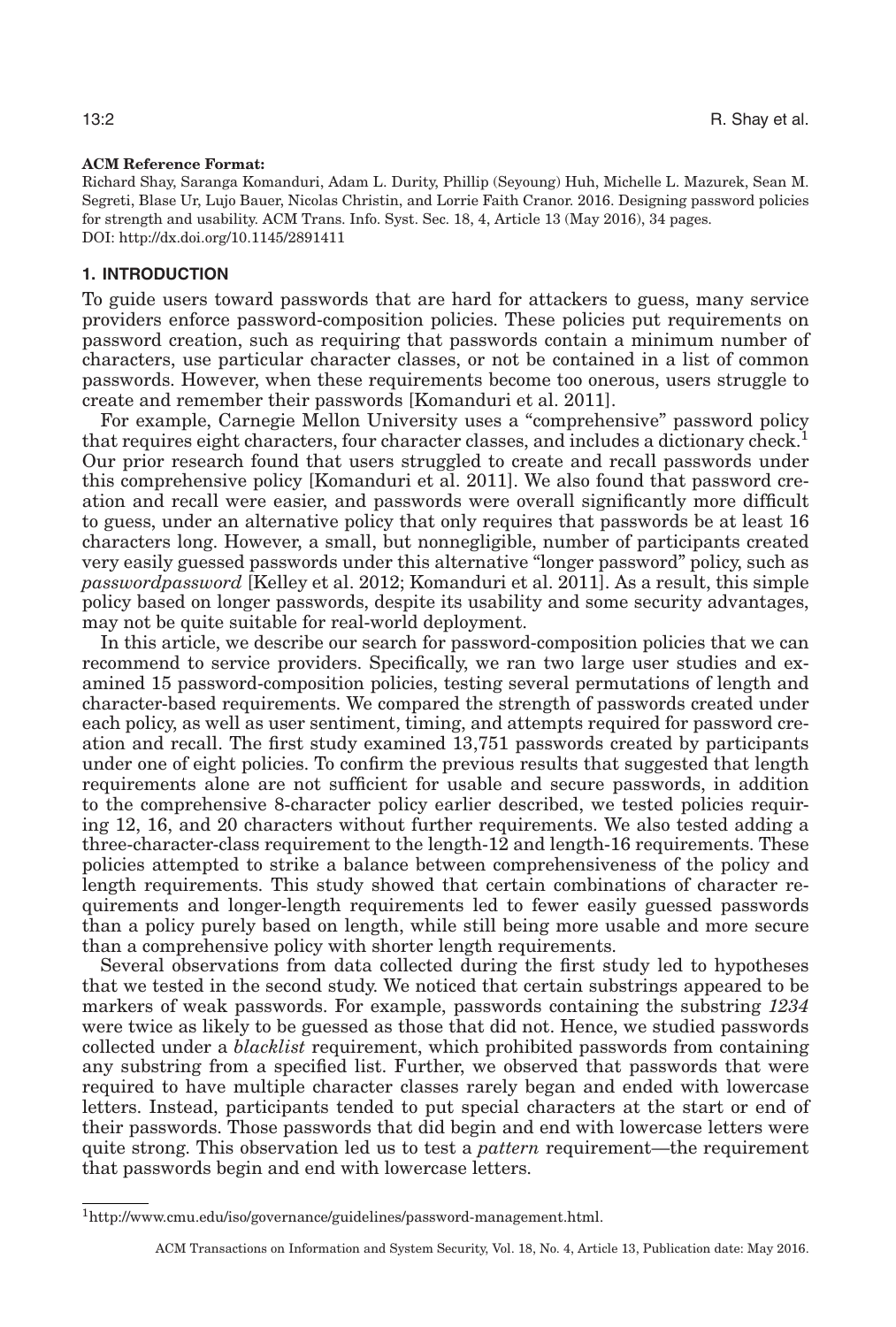#### **ACM Reference Format:**

Richard Shay, Saranga Komanduri, Adam L. Durity, Phillip (Seyoung) Huh, Michelle L. Mazurek, Sean M. Segreti, Blase Ur, Lujo Bauer, Nicolas Christin, and Lorrie Faith Cranor. 2016. Designing password policies for strength and usability. ACM Trans. Info. Syst. Sec. 18, 4, Article 13 (May 2016), 34 pages. DOI:<http://dx.doi.org/10.1145/2891411>

### **1. INTRODUCTION**

To guide users toward passwords that are hard for attackers to guess, many service providers enforce password-composition policies. These policies put requirements on password creation, such as requiring that passwords contain a minimum number of characters, use particular character classes, or not be contained in a list of common passwords. However, when these requirements become too onerous, users struggle to create and remember their passwords [Komanduri et al. [2011\]](#page-31-0).

For example, Carnegie Mellon University uses a "comprehensive" password policy that requires eight characters, four character classes, and includes a dictionary check.<sup>1</sup> Our prior research found that users struggled to create and recall passwords under this comprehensive policy [Komanduri et al. [2011\]](#page-31-0). We also found that password creation and recall were easier, and passwords were overall significantly more difficult to guess, under an alternative policy that only requires that passwords be at least 16 characters long. However, a small, but nonnegligible, number of participants created very easily guessed passwords under this alternative "longer password" policy, such as *passwordpassword* [Kelley et al. [2012;](#page-31-1) Komanduri et al. [2011\]](#page-31-0). As a result, this simple policy based on longer passwords, despite its usability and some security advantages, may not be quite suitable for real-world deployment.

In this article, we describe our search for password-composition policies that we can recommend to service providers. Specifically, we ran two large user studies and examined 15 password-composition policies, testing several permutations of length and character-based requirements. We compared the strength of passwords created under each policy, as well as user sentiment, timing, and attempts required for password creation and recall. The first study examined 13,751 passwords created by participants under one of eight policies. To confirm the previous results that suggested that length requirements alone are not sufficient for usable and secure passwords, in addition to the comprehensive 8-character policy earlier described, we tested policies requiring 12, 16, and 20 characters without further requirements. We also tested adding a three-character-class requirement to the length-12 and length-16 requirements. These policies attempted to strike a balance between comprehensiveness of the policy and length requirements. This study showed that certain combinations of character requirements and longer-length requirements led to fewer easily guessed passwords than a policy purely based on length, while still being more usable and more secure than a comprehensive policy with shorter length requirements.

Several observations from data collected during the first study led to hypotheses that we tested in the second study. We noticed that certain substrings appeared to be markers of weak passwords. For example, passwords containing the substring *1234* were twice as likely to be guessed as those that did not. Hence, we studied passwords collected under a *blacklist* requirement, which prohibited passwords from containing any substring from a specified list. Further, we observed that passwords that were required to have multiple character classes rarely began and ended with lowercase letters. Instead, participants tended to put special characters at the start or end of their passwords. Those passwords that did begin and end with lowercase letters were quite strong. This observation led us to test a *pattern* requirement—the requirement that passwords begin and end with lowercase letters.

<span id="page-1-0"></span>[<sup>1</sup>http://www.cmu.edu/iso/governance/guidelines/password-management.html.](http://www.cmu.edu/iso/governance/guidelines/password-management.html)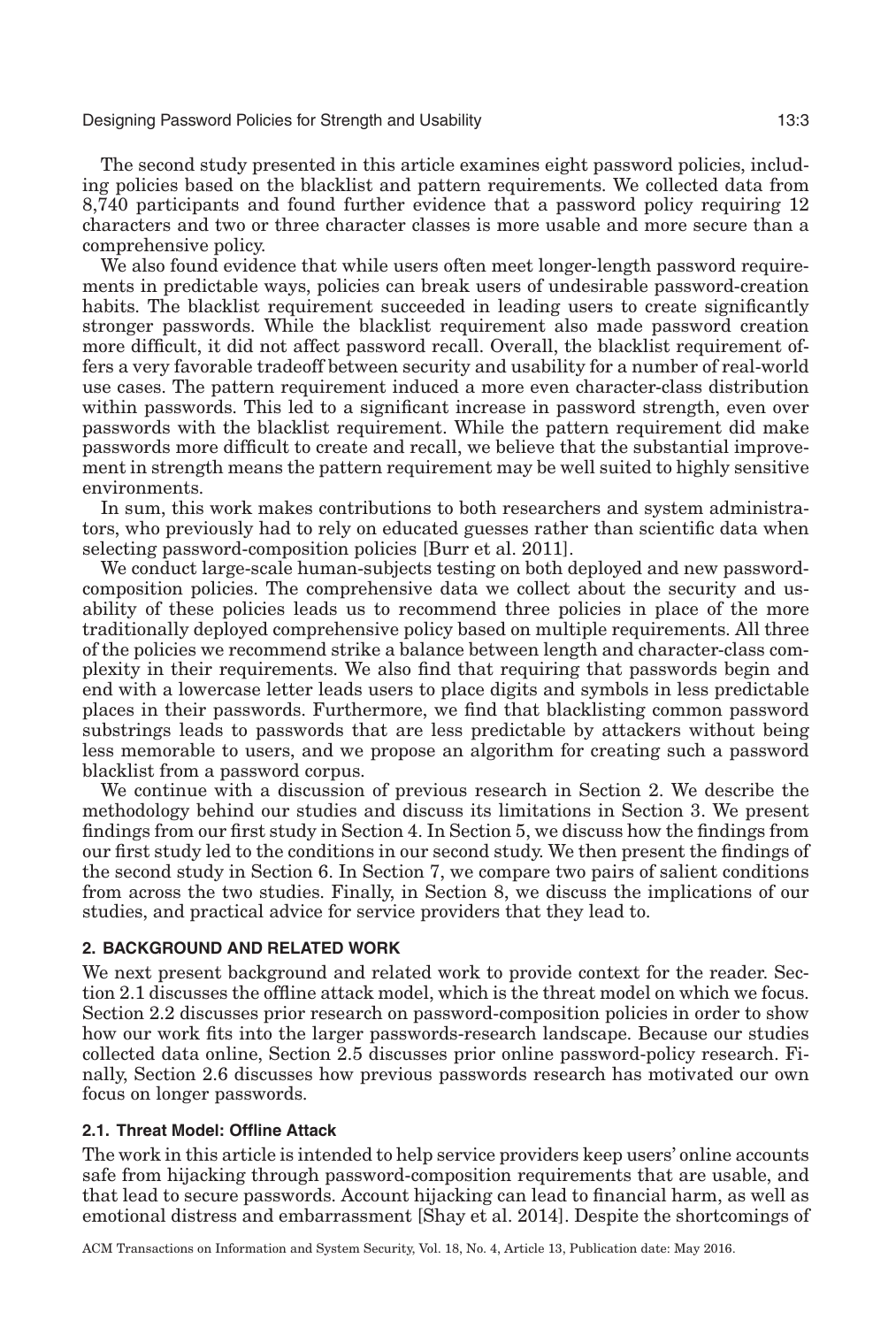The second study presented in this article examines eight password policies, including policies based on the blacklist and pattern requirements. We collected data from 8,740 participants and found further evidence that a password policy requiring 12 characters and two or three character classes is more usable and more secure than a comprehensive policy.

We also found evidence that while users often meet longer-length password requirements in predictable ways, policies can break users of undesirable password-creation habits. The blacklist requirement succeeded in leading users to create significantly stronger passwords. While the blacklist requirement also made password creation more difficult, it did not affect password recall. Overall, the blacklist requirement offers a very favorable tradeoff between security and usability for a number of real-world use cases. The pattern requirement induced a more even character-class distribution within passwords. This led to a significant increase in password strength, even over passwords with the blacklist requirement. While the pattern requirement did make passwords more difficult to create and recall, we believe that the substantial improvement in strength means the pattern requirement may be well suited to highly sensitive environments.

In sum, this work makes contributions to both researchers and system administrators, who previously had to rely on educated guesses rather than scientific data when selecting password-composition policies [Burr et al. [2011\]](#page-30-0).

We conduct large-scale human-subjects testing on both deployed and new passwordcomposition policies. The comprehensive data we collect about the security and usability of these policies leads us to recommend three policies in place of the more traditionally deployed comprehensive policy based on multiple requirements. All three of the policies we recommend strike a balance between length and character-class complexity in their requirements. We also find that requiring that passwords begin and end with a lowercase letter leads users to place digits and symbols in less predictable places in their passwords. Furthermore, we find that blacklisting common password substrings leads to passwords that are less predictable by attackers without being less memorable to users, and we propose an algorithm for creating such a password blacklist from a password corpus.

We continue with a discussion of previous research in Section [2.](#page-2-0) We describe the methodology behind our studies and discuss its limitations in Section [3.](#page-7-0) We present findings from our first study in Section [4.](#page-11-0) In Section [5,](#page-19-0) we discuss how the findings from our first study led to the conditions in our second study. We then present the findings of the second study in Section [6.](#page-20-0) In Section [7,](#page-26-0) we compare two pairs of salient conditions from across the two studies. Finally, in Section 8, we discuss the implications of our studies, and practical advice for service providers that they lead to.

#### **2. BACKGROUND AND RELATED WORK**

<span id="page-2-0"></span>We next present background and related work to provide context for the reader. Section [2.1](#page-2-1) discusses the offline attack model, which is the threat model on which we focus. Section [2.2](#page-4-0) discusses prior research on password-composition policies in order to show how our work fits into the larger passwords-research landscape. Because our studies collected data online, Section [2.5](#page-6-0) discusses prior online password-policy research. Finally, Section [2.6](#page-7-1) discusses how previous passwords research has motivated our own focus on longer passwords.

### **2.1. Threat Model: Offline Attack**

<span id="page-2-1"></span>The work in this article is intended to help service providers keep users' online accounts safe from hijacking through password-composition requirements that are usable, and that lead to secure passwords. Account hijacking can lead to financial harm, as well as emotional distress and embarrassment [Shay et al. [2014\]](#page-32-1). Despite the shortcomings of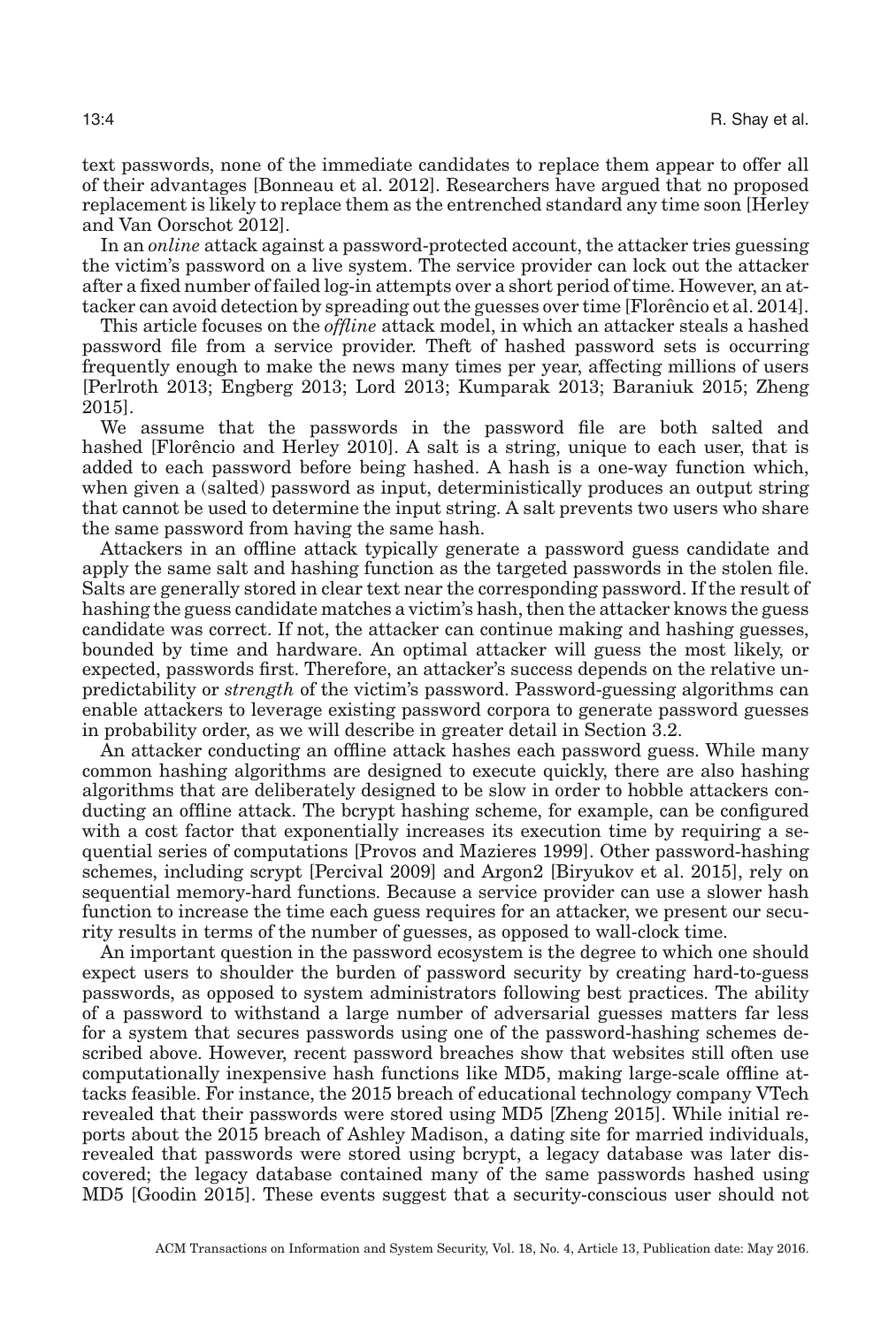text passwords, none of the immediate candidates to replace them appear to offer all of their advantages [Bonneau et al. [2012\]](#page-30-1). Researchers have argued that no proposed replacement is likely to replace them as the entrenched standard any time soon [Herley and Van Oorschot [2012\]](#page-31-2).

In an *online* attack against a password-protected account, the attacker tries guessing the victim's password on a live system. The service provider can lock out the attacker after a fixed number of failed log-in attempts over a short period of time. However, an at-tacker can avoid detection by spreading out the guesses over time [Florêncio et al. [2014\]](#page-31-3).

This article focuses on the *offline* attack model, in which an attacker steals a hashed password file from a service provider. Theft of hashed password sets is occurring frequently enough to make the news many times per year, affecting millions of users [Perlroth [2013;](#page-32-2) Engberg [2013;](#page-31-4) Lord [2013;](#page-31-5) Kumparak [2013;](#page-31-6) Baraniuk [2015;](#page-30-2) Zheng [2015\]](#page-33-0).

We assume that the passwords in the password file are both salted and hashed [Florêncio and Herley [2010\]](#page-31-7). A salt is a string, unique to each user, that is added to each password before being hashed. A hash is a one-way function which, when given a (salted) password as input, deterministically produces an output string that cannot be used to determine the input string. A salt prevents two users who share the same password from having the same hash.

Attackers in an offline attack typically generate a password guess candidate and apply the same salt and hashing function as the targeted passwords in the stolen file. Salts are generally stored in clear text near the corresponding password. If the result of hashing the guess candidate matches a victim's hash, then the attacker knows the guess candidate was correct. If not, the attacker can continue making and hashing guesses, bounded by time and hardware. An optimal attacker will guess the most likely, or expected, passwords first. Therefore, an attacker's success depends on the relative unpredictability or *strength* of the victim's password. Password-guessing algorithms can enable attackers to leverage existing password corpora to generate password guesses in probability order, as we will describe in greater detail in Section [3.2.](#page-8-0)

An attacker conducting an offline attack hashes each password guess. While many common hashing algorithms are designed to execute quickly, there are also hashing algorithms that are deliberately designed to be slow in order to hobble attackers conducting an offline attack. The bcrypt hashing scheme, for example, can be configured with a cost factor that exponentially increases its execution time by requiring a sequential series of computations [Provos and Mazieres [1999\]](#page-32-3). Other password-hashing schemes, including scrypt [Percival [2009\]](#page-32-4) and Argon2 [Biryukov et al. [2015\]](#page-30-3), rely on sequential memory-hard functions. Because a service provider can use a slower hash function to increase the time each guess requires for an attacker, we present our security results in terms of the number of guesses, as opposed to wall-clock time.

An important question in the password ecosystem is the degree to which one should expect users to shoulder the burden of password security by creating hard-to-guess passwords, as opposed to system administrators following best practices. The ability of a password to withstand a large number of adversarial guesses matters far less for a system that secures passwords using one of the password-hashing schemes described above. However, recent password breaches show that websites still often use computationally inexpensive hash functions like MD5, making large-scale offline attacks feasible. For instance, the 2015 breach of educational technology company VTech revealed that their passwords were stored using MD5 [Zheng [2015\]](#page-33-0). While initial reports about the 2015 breach of Ashley Madison, a dating site for married individuals, revealed that passwords were stored using bcrypt, a legacy database was later discovered; the legacy database contained many of the same passwords hashed using MD5 [Goodin [2015\]](#page-31-8). These events suggest that a security-conscious user should not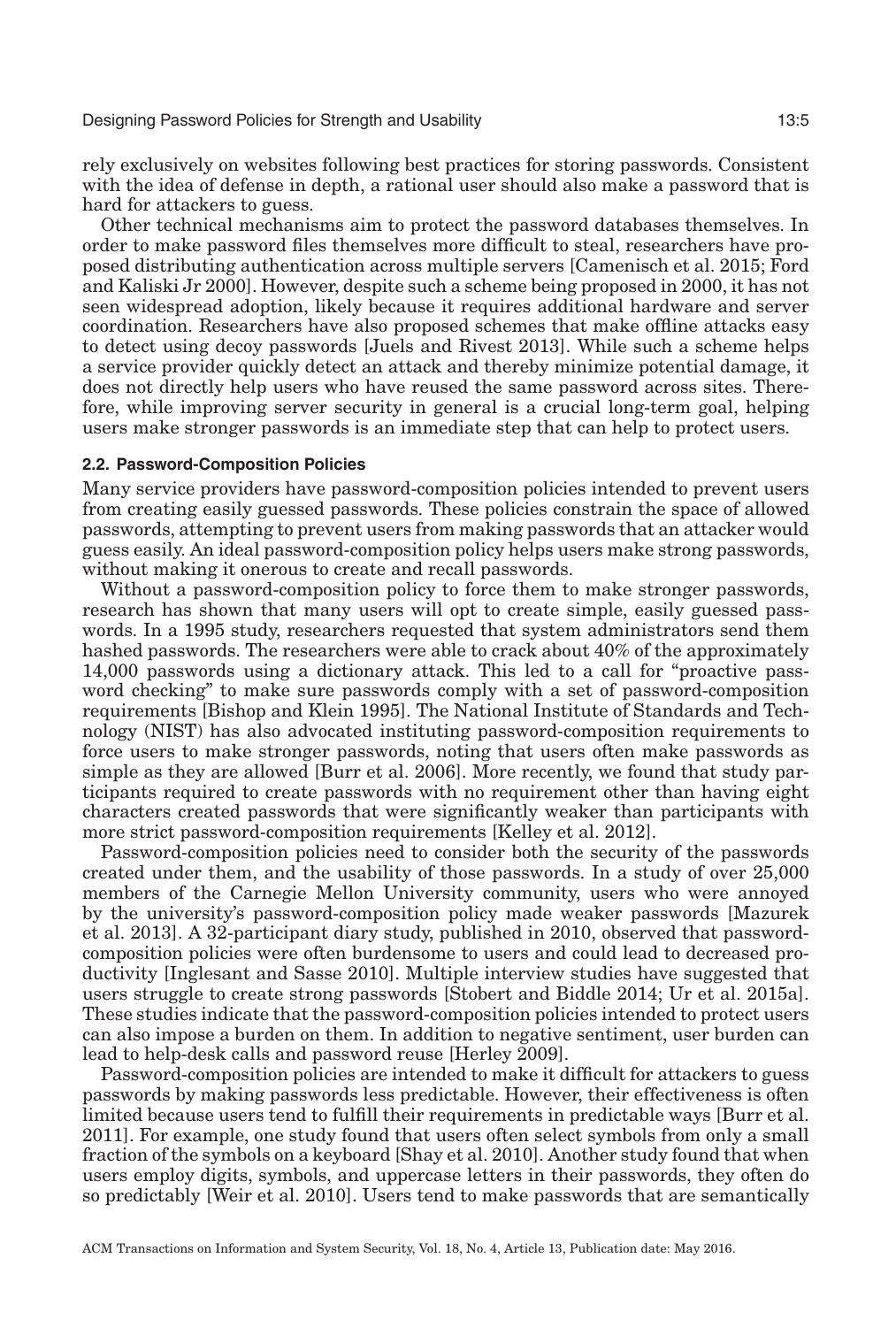rely exclusively on websites following best practices for storing passwords. Consistent with the idea of defense in depth, a rational user should also make a password that is hard for attackers to guess.

Other technical mechanisms aim to protect the password databases themselves. In order to make password files themselves more difficult to steal, researchers have proposed distributing authentication across multiple servers [Camenisch et al. [2015;](#page-30-4) Ford and Kaliski Jr [2000\]](#page-31-9). However, despite such a scheme being proposed in 2000, it has not seen widespread adoption, likely because it requires additional hardware and server coordination. Researchers have also proposed schemes that make offline attacks easy to detect using decoy passwords [Juels and Rivest [2013\]](#page-31-10). While such a scheme helps a service provider quickly detect an attack and thereby minimize potential damage, it does not directly help users who have reused the same password across sites. Therefore, while improving server security in general is a crucial long-term goal, helping users make stronger passwords is an immediate step that can help to protect users.

#### **2.2. Password-Composition Policies**

<span id="page-4-0"></span>Many service providers have password-composition policies intended to prevent users from creating easily guessed passwords. These policies constrain the space of allowed passwords, attempting to prevent users from making passwords that an attacker would guess easily. An ideal password-composition policy helps users make strong passwords, without making it onerous to create and recall passwords.

Without a password-composition policy to force them to make stronger passwords, research has shown that many users will opt to create simple, easily guessed passwords. In a 1995 study, researchers requested that system administrators send them hashed passwords. The researchers were able to crack about 40% of the approximately 14,000 passwords using a dictionary attack. This led to a call for "proactive password checking" to make sure passwords comply with a set of password-composition requirements [Bishop and Klein [1995\]](#page-30-5). The National Institute of Standards and Technology (NIST) has also advocated instituting password-composition requirements to force users to make stronger passwords, noting that users often make passwords as simple as they are allowed [Burr et al. [2006\]](#page-30-6). More recently, we found that study participants required to create passwords with no requirement other than having eight characters created passwords that were significantly weaker than participants with more strict password-composition requirements [Kelley et al. [2012\]](#page-31-1).

Password-composition policies need to consider both the security of the passwords created under them, and the usability of those passwords. In a study of over 25,000 members of the Carnegie Mellon University community, users who were annoyed by the university's password-composition policy made weaker passwords [Mazurek et al. [2013\]](#page-31-11). A 32-participant diary study, published in 2010, observed that passwordcomposition policies were often burdensome to users and could lead to decreased productivity [Inglesant and Sasse [2010\]](#page-31-12). Multiple interview studies have suggested that users struggle to create strong passwords [Stobert and Biddle [2014;](#page-32-5) Ur et al. [2015a\]](#page-32-6). These studies indicate that the password-composition policies intended to protect users can also impose a burden on them. In addition to negative sentiment, user burden can lead to help-desk calls and password reuse [Herley [2009\]](#page-31-13).

Password-composition policies are intended to make it difficult for attackers to guess passwords by making passwords less predictable. However, their effectiveness is often limited because users tend to fulfill their requirements in predictable ways [Burr et al. [2011\]](#page-30-0). For example, one study found that users often select symbols from only a small fraction of the symbols on a keyboard [Shay et al. [2010\]](#page-32-7). Another study found that when users employ digits, symbols, and uppercase letters in their passwords, they often do so predictably [Weir et al. [2010\]](#page-33-1). Users tend to make passwords that are semantically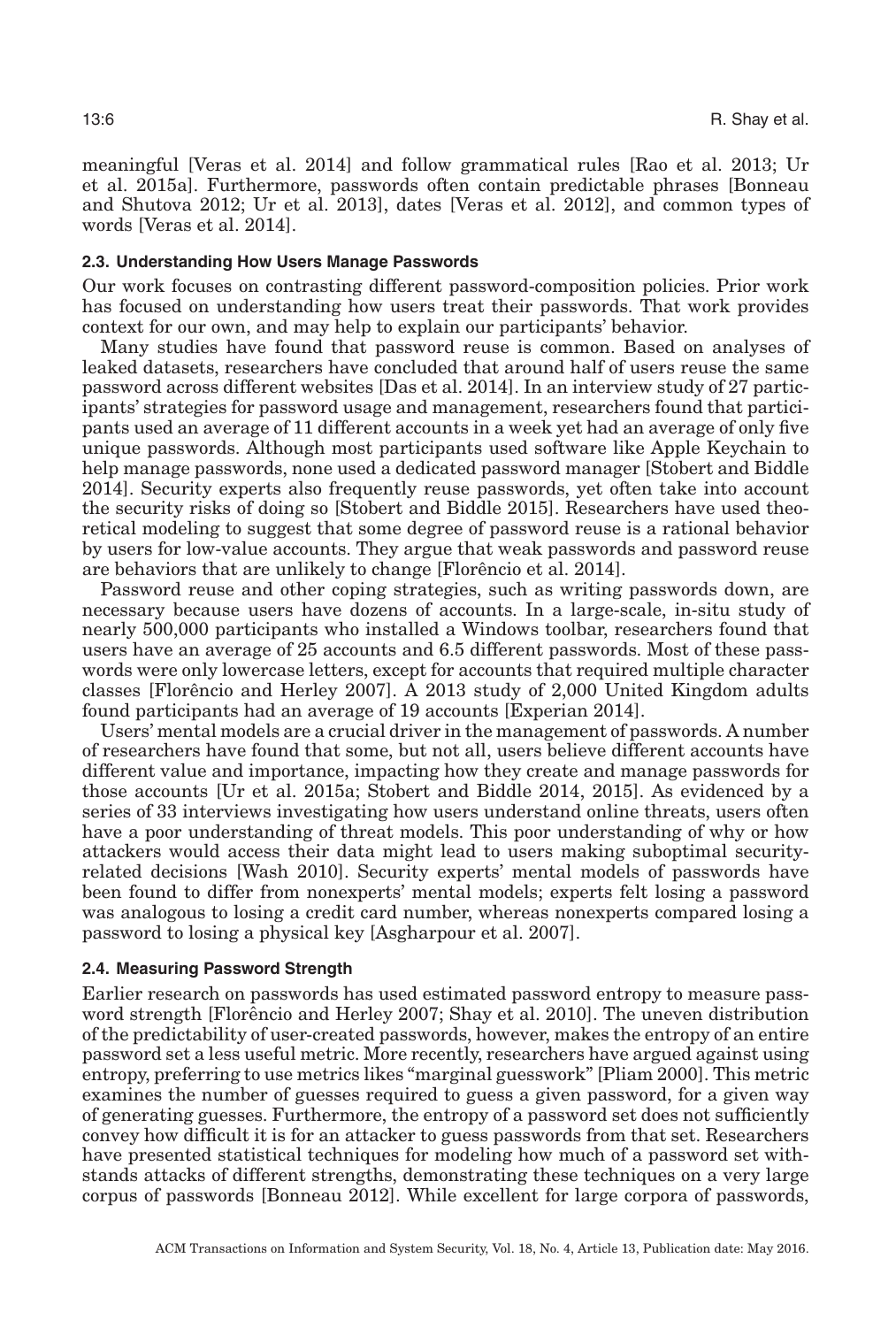meaningful [Veras et al. [2014\]](#page-32-8) and follow grammatical rules [Rao et al. [2013;](#page-32-9) Ur et al. [2015a\]](#page-32-6). Furthermore, passwords often contain predictable phrases [Bonneau and Shutova [2012;](#page-30-7) Ur et al. [2013\]](#page-32-10), dates [Veras et al. [2012\]](#page-32-11), and common types of words [Veras et al. [2014\]](#page-32-8).

#### **2.3. Understanding How Users Manage Passwords**

Our work focuses on contrasting different password-composition policies. Prior work has focused on understanding how users treat their passwords. That work provides context for our own, and may help to explain our participants' behavior.

Many studies have found that password reuse is common. Based on analyses of leaked datasets, researchers have concluded that around half of users reuse the same password across different websites [Das et al. [2014\]](#page-30-8). In an interview study of 27 participants' strategies for password usage and management, researchers found that participants used an average of 11 different accounts in a week yet had an average of only five unique passwords. Although most participants used software like Apple Keychain to help manage passwords, none used a dedicated password manager [Stobert and Biddle [2014\]](#page-32-5). Security experts also frequently reuse passwords, yet often take into account the security risks of doing so [Stobert and Biddle [2015\]](#page-32-12). Researchers have used theoretical modeling to suggest that some degree of password reuse is a rational behavior by users for low-value accounts. They argue that weak passwords and password reuse are behaviors that are unlikely to change [Florêncio et al. [2014\]](#page-31-14).

Password reuse and other coping strategies, such as writing passwords down, are necessary because users have dozens of accounts. In a large-scale, in-situ study of nearly 500,000 participants who installed a Windows toolbar, researchers found that users have an average of 25 accounts and 6.5 different passwords. Most of these passwords were only lowercase letters, except for accounts that required multiple character classes [Florêncio and Herley [2007\]](#page-31-15). A 2013 study of 2,000 United Kingdom adults found participants had an average of 19 accounts [Experian [2014\]](#page-31-16).

Users' mental models are a crucial driver in the management of passwords. A number of researchers have found that some, but not all, users believe different accounts have different value and importance, impacting how they create and manage passwords for those accounts [Ur et al. [2015a;](#page-32-6) Stobert and Biddle [2014,](#page-32-5) [2015\]](#page-32-12). As evidenced by a series of 33 interviews investigating how users understand online threats, users often have a poor understanding of threat models. This poor understanding of why or how attackers would access their data might lead to users making suboptimal securityrelated decisions [Wash [2010\]](#page-32-13). Security experts' mental models of passwords have been found to differ from nonexperts' mental models; experts felt losing a password was analogous to losing a credit card number, whereas nonexperts compared losing a password to losing a physical key [Asgharpour et al. [2007\]](#page-30-9).

#### **2.4. Measuring Password Strength**

Earlier research on passwords has used estimated password entropy to measure pass-word strength [Florêncio and Herley [2007;](#page-31-15) Shay et al. [2010\]](#page-32-7). The uneven distribution of the predictability of user-created passwords, however, makes the entropy of an entire password set a less useful metric. More recently, researchers have argued against using entropy, preferring to use metrics likes "marginal guesswork" [Pliam [2000\]](#page-32-14). This metric examines the number of guesses required to guess a given password, for a given way of generating guesses. Furthermore, the entropy of a password set does not sufficiently convey how difficult it is for an attacker to guess passwords from that set. Researchers have presented statistical techniques for modeling how much of a password set withstands attacks of different strengths, demonstrating these techniques on a very large corpus of passwords [Bonneau [2012\]](#page-30-10). While excellent for large corpora of passwords,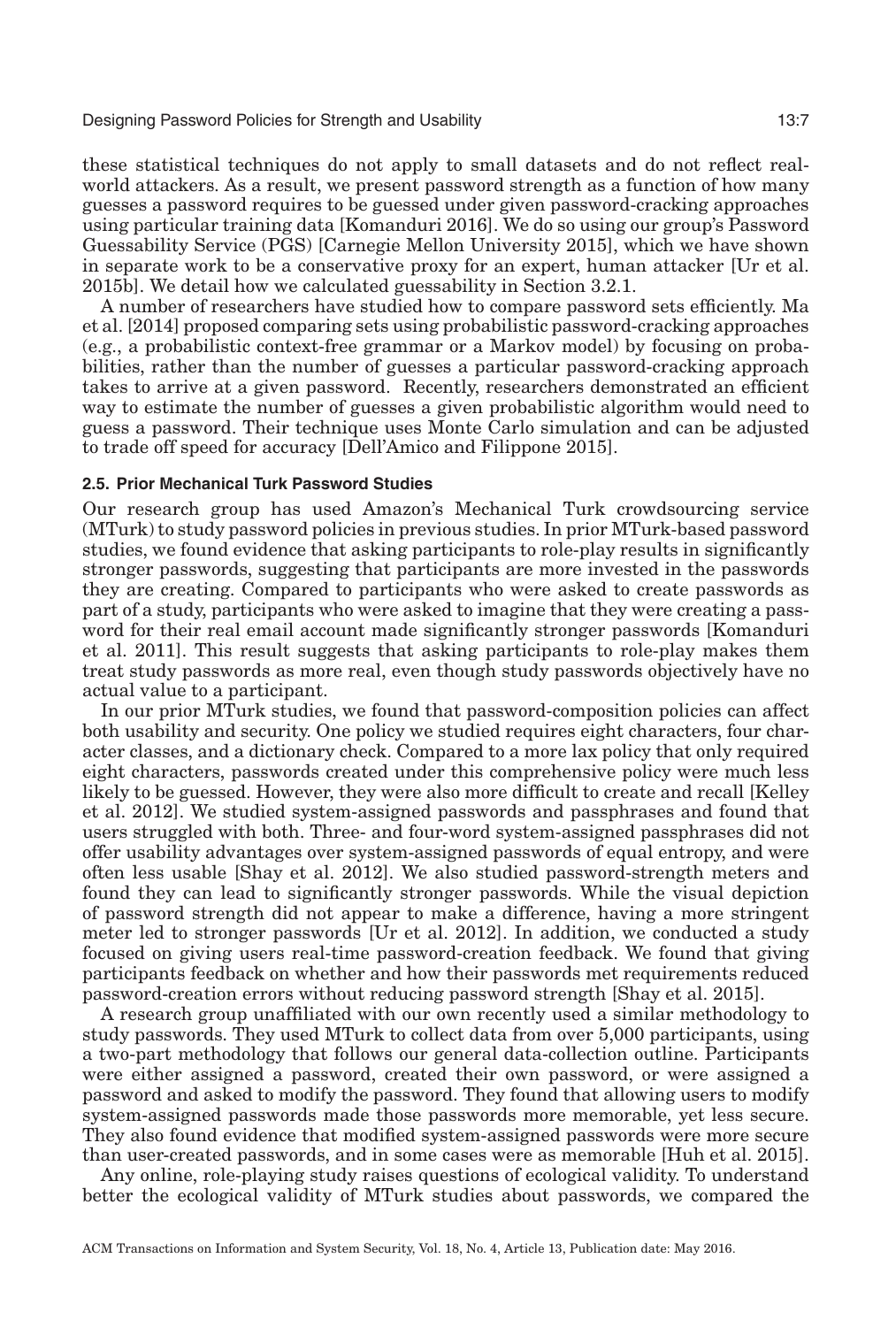these statistical techniques do not apply to small datasets and do not reflect realworld attackers. As a result, we present password strength as a function of how many guesses a password requires to be guessed under given password-cracking approaches using particular training data [Komanduri [2016\]](#page-31-17). We do so using our group's Password Guessability Service (PGS) [Carnegie Mellon University [2015\]](#page-30-11), which we have shown in separate work to be a conservative proxy for an expert, human attacker [Ur et al. [2015b\]](#page-32-15). We detail how we calculated guessability in Section [3.2.1.](#page-9-0)

A number of researchers have studied how to compare password sets efficiently. Ma et al. [\[2014\]](#page-31-18) proposed comparing sets using probabilistic password-cracking approaches (e.g., a probabilistic context-free grammar or a Markov model) by focusing on probabilities, rather than the number of guesses a particular password-cracking approach takes to arrive at a given password. Recently, researchers demonstrated an efficient way to estimate the number of guesses a given probabilistic algorithm would need to guess a password. Their technique uses Monte Carlo simulation and can be adjusted to trade off speed for accuracy [Dell'Amico and Filippone [2015\]](#page-31-19).

### **2.5. Prior Mechanical Turk Password Studies**

<span id="page-6-0"></span>Our research group has used Amazon's Mechanical Turk crowdsourcing service (MTurk) to study password policies in previous studies. In prior MTurk-based password studies, we found evidence that asking participants to role-play results in significantly stronger passwords, suggesting that participants are more invested in the passwords they are creating. Compared to participants who were asked to create passwords as part of a study, participants who were asked to imagine that they were creating a password for their real email account made significantly stronger passwords [Komanduri et al. [2011\]](#page-31-0). This result suggests that asking participants to role-play makes them treat study passwords as more real, even though study passwords objectively have no actual value to a participant.

In our prior MTurk studies, we found that password-composition policies can affect both usability and security. One policy we studied requires eight characters, four character classes, and a dictionary check. Compared to a more lax policy that only required eight characters, passwords created under this comprehensive policy were much less likely to be guessed. However, they were also more difficult to create and recall [Kelley et al. [2012\]](#page-31-1). We studied system-assigned passwords and passphrases and found that users struggled with both. Three- and four-word system-assigned passphrases did not offer usability advantages over system-assigned passwords of equal entropy, and were often less usable [Shay et al. [2012\]](#page-32-16). We also studied password-strength meters and found they can lead to significantly stronger passwords. While the visual depiction of password strength did not appear to make a difference, having a more stringent meter led to stronger passwords [Ur et al. [2012\]](#page-32-17). In addition, we conducted a study focused on giving users real-time password-creation feedback. We found that giving participants feedback on whether and how their passwords met requirements reduced password-creation errors without reducing password strength [Shay et al. [2015\]](#page-32-18).

A research group unaffiliated with our own recently used a similar methodology to study passwords. They used MTurk to collect data from over 5,000 participants, using a two-part methodology that follows our general data-collection outline. Participants were either assigned a password, created their own password, or were assigned a password and asked to modify the password. They found that allowing users to modify system-assigned passwords made those passwords more memorable, yet less secure. They also found evidence that modified system-assigned passwords were more secure than user-created passwords, and in some cases were as memorable [Huh et al. [2015\]](#page-31-20).

Any online, role-playing study raises questions of ecological validity. To understand better the ecological validity of MTurk studies about passwords, we compared the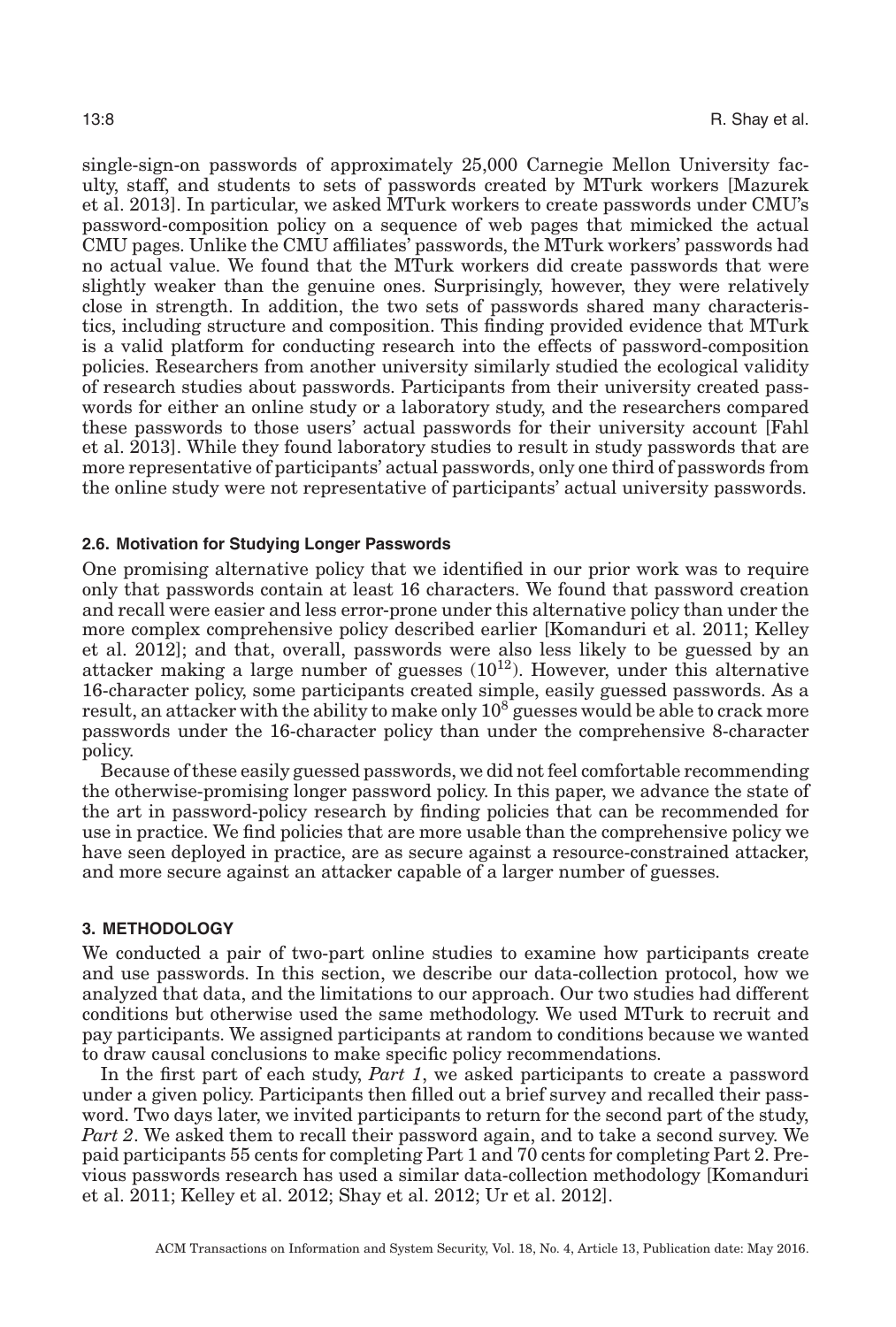single-sign-on passwords of approximately 25,000 Carnegie Mellon University faculty, staff, and students to sets of passwords created by MTurk workers [Mazurek et al. [2013\]](#page-31-11). In particular, we asked MTurk workers to create passwords under CMU's password-composition policy on a sequence of web pages that mimicked the actual CMU pages. Unlike the CMU affiliates' passwords, the MTurk workers' passwords had no actual value. We found that the MTurk workers did create passwords that were slightly weaker than the genuine ones. Surprisingly, however, they were relatively close in strength. In addition, the two sets of passwords shared many characteristics, including structure and composition. This finding provided evidence that MTurk is a valid platform for conducting research into the effects of password-composition policies. Researchers from another university similarly studied the ecological validity of research studies about passwords. Participants from their university created passwords for either an online study or a laboratory study, and the researchers compared these passwords to those users' actual passwords for their university account [Fahl et al. [2013\]](#page-31-21). While they found laboratory studies to result in study passwords that are more representative of participants' actual passwords, only one third of passwords from the online study were not representative of participants' actual university passwords.

### **2.6. Motivation for Studying Longer Passwords**

<span id="page-7-1"></span>One promising alternative policy that we identified in our prior work was to require only that passwords contain at least 16 characters. We found that password creation and recall were easier and less error-prone under this alternative policy than under the more complex comprehensive policy described earlier [Komanduri et al. [2011;](#page-31-0) Kelley et al. [2012\]](#page-31-1); and that, overall, passwords were also less likely to be guessed by an attacker making a large number of guesses  $(10^{12})$ . However, under this alternative 16-character policy, some participants created simple, easily guessed passwords. As a result, an attacker with the ability to make only  $10^8$  guesses would be able to crack more passwords under the 16-character policy than under the comprehensive 8-character policy.

Because of these easily guessed passwords, we did not feel comfortable recommending the otherwise-promising longer password policy. In this paper, we advance the state of the art in password-policy research by finding policies that can be recommended for use in practice. We find policies that are more usable than the comprehensive policy we have seen deployed in practice, are as secure against a resource-constrained attacker, and more secure against an attacker capable of a larger number of guesses.

#### **3. METHODOLOGY**

<span id="page-7-0"></span>We conducted a pair of two-part online studies to examine how participants create and use passwords. In this section, we describe our data-collection protocol, how we analyzed that data, and the limitations to our approach. Our two studies had different conditions but otherwise used the same methodology. We used MTurk to recruit and pay participants. We assigned participants at random to conditions because we wanted to draw causal conclusions to make specific policy recommendations.

In the first part of each study, *Part 1*, we asked participants to create a password under a given policy. Participants then filled out a brief survey and recalled their password. Two days later, we invited participants to return for the second part of the study, *Part 2*. We asked them to recall their password again, and to take a second survey. We paid participants 55 cents for completing Part 1 and 70 cents for completing Part 2. Previous passwords research has used a similar data-collection methodology [Komanduri et al. [2011;](#page-31-0) Kelley et al. [2012;](#page-31-1) Shay et al. [2012;](#page-32-16) Ur et al. [2012\]](#page-32-17).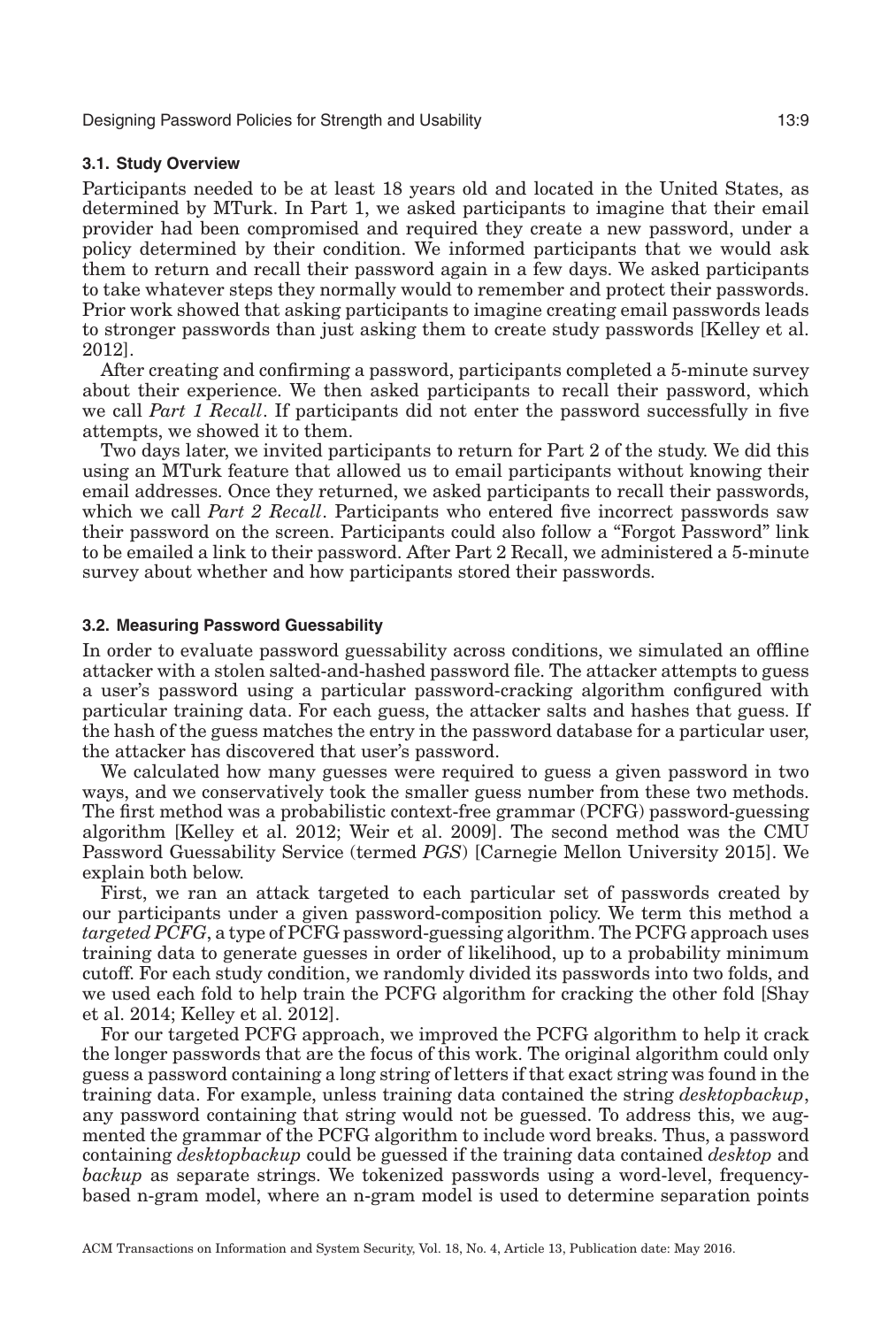### **3.1. Study Overview**

Participants needed to be at least 18 years old and located in the United States, as determined by MTurk. In Part 1, we asked participants to imagine that their email provider had been compromised and required they create a new password, under a policy determined by their condition. We informed participants that we would ask them to return and recall their password again in a few days. We asked participants to take whatever steps they normally would to remember and protect their passwords. Prior work showed that asking participants to imagine creating email passwords leads to stronger passwords than just asking them to create study passwords [Kelley et al. [2012\]](#page-31-1).

After creating and confirming a password, participants completed a 5-minute survey about their experience. We then asked participants to recall their password, which we call *Part 1 Recall*. If participants did not enter the password successfully in five attempts, we showed it to them.

Two days later, we invited participants to return for Part 2 of the study. We did this using an MTurk feature that allowed us to email participants without knowing their email addresses. Once they returned, we asked participants to recall their passwords, which we call *Part 2 Recall*. Participants who entered five incorrect passwords saw their password on the screen. Participants could also follow a "Forgot Password" link to be emailed a link to their password. After Part 2 Recall, we administered a 5-minute survey about whether and how participants stored their passwords.

### **3.2. Measuring Password Guessability**

<span id="page-8-0"></span>In order to evaluate password guessability across conditions, we simulated an offline attacker with a stolen salted-and-hashed password file. The attacker attempts to guess a user's password using a particular password-cracking algorithm configured with particular training data. For each guess, the attacker salts and hashes that guess. If the hash of the guess matches the entry in the password database for a particular user, the attacker has discovered that user's password.

We calculated how many guesses were required to guess a given password in two ways, and we conservatively took the smaller guess number from these two methods. The first method was a probabilistic context-free grammar (PCFG) password-guessing algorithm [Kelley et al. [2012;](#page-31-1) Weir et al. [2009\]](#page-33-2). The second method was the CMU Password Guessability Service (termed *PGS*) [Carnegie Mellon University [2015\]](#page-30-11). We explain both below.

First, we ran an attack targeted to each particular set of passwords created by our participants under a given password-composition policy. We term this method a *targeted PCFG*, a type of PCFG password-guessing algorithm. The PCFG approach uses training data to generate guesses in order of likelihood, up to a probability minimum cutoff. For each study condition, we randomly divided its passwords into two folds, and we used each fold to help train the PCFG algorithm for cracking the other fold [Shay et al. [2014;](#page-32-0) Kelley et al. [2012\]](#page-31-1).

For our targeted PCFG approach, we improved the PCFG algorithm to help it crack the longer passwords that are the focus of this work. The original algorithm could only guess a password containing a long string of letters if that exact string was found in the training data. For example, unless training data contained the string *desktopbackup*, any password containing that string would not be guessed. To address this, we augmented the grammar of the PCFG algorithm to include word breaks. Thus, a password containing *desktopbackup* could be guessed if the training data contained *desktop* and *backup* as separate strings. We tokenized passwords using a word-level, frequencybased n-gram model, where an n-gram model is used to determine separation points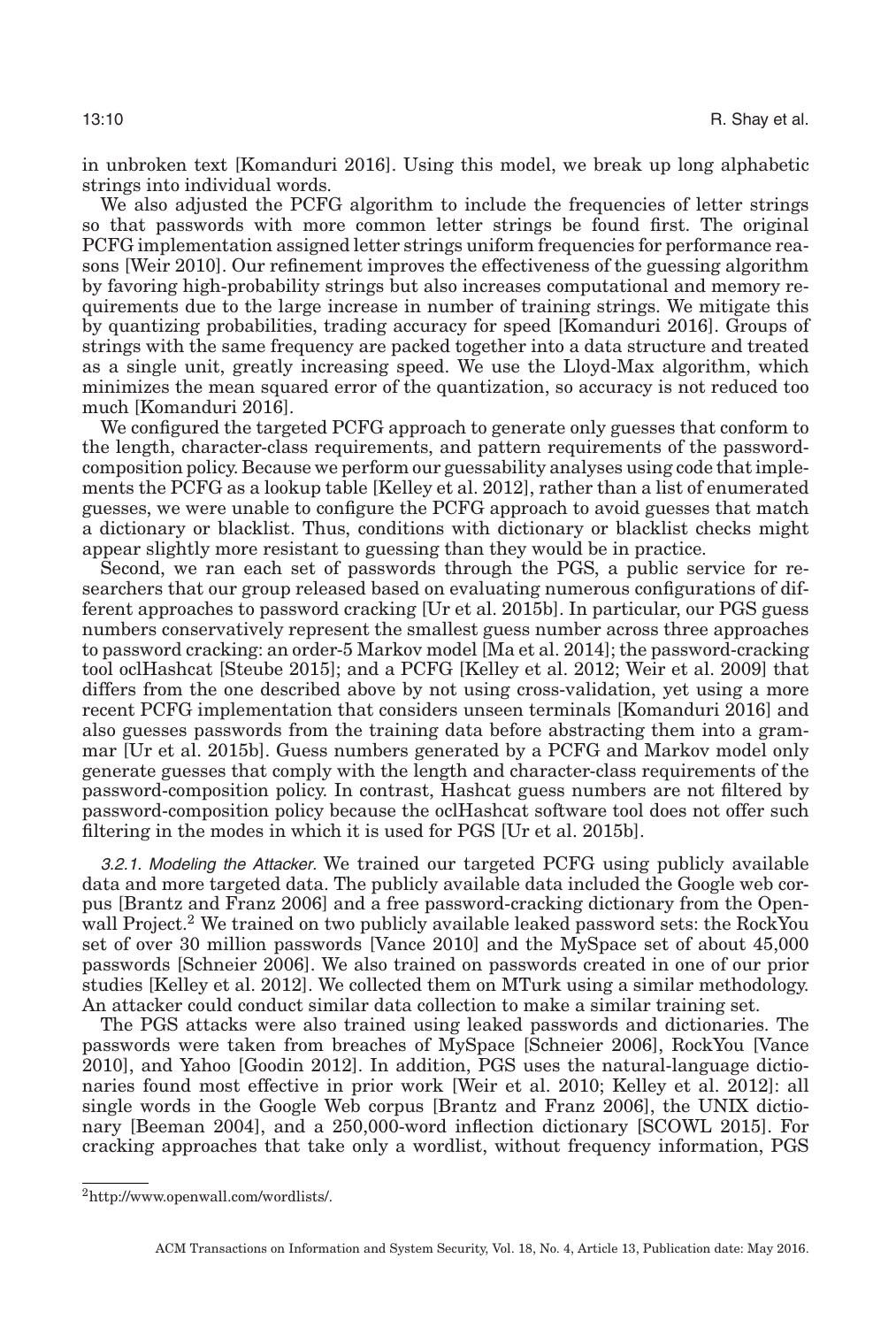in unbroken text [Komanduri [2016\]](#page-31-17). Using this model, we break up long alphabetic strings into individual words.

We also adjusted the PCFG algorithm to include the frequencies of letter strings so that passwords with more common letter strings be found first. The original PCFG implementation assigned letter strings uniform frequencies for performance reasons [Weir [2010\]](#page-32-19). Our refinement improves the effectiveness of the guessing algorithm by favoring high-probability strings but also increases computational and memory requirements due to the large increase in number of training strings. We mitigate this by quantizing probabilities, trading accuracy for speed [Komanduri [2016\]](#page-31-17). Groups of strings with the same frequency are packed together into a data structure and treated as a single unit, greatly increasing speed. We use the Lloyd-Max algorithm, which minimizes the mean squared error of the quantization, so accuracy is not reduced too much [Komanduri [2016\]](#page-31-17).

We configured the targeted PCFG approach to generate only guesses that conform to the length, character-class requirements, and pattern requirements of the passwordcomposition policy. Because we perform our guessability analyses using code that implements the PCFG as a lookup table [Kelley et al. [2012\]](#page-31-1), rather than a list of enumerated guesses, we were unable to configure the PCFG approach to avoid guesses that match a dictionary or blacklist. Thus, conditions with dictionary or blacklist checks might appear slightly more resistant to guessing than they would be in practice.

Second, we ran each set of passwords through the PGS, a public service for researchers that our group released based on evaluating numerous configurations of different approaches to password cracking [Ur et al. [2015b\]](#page-32-15). In particular, our PGS guess numbers conservatively represent the smallest guess number across three approaches to password cracking: an order-5 Markov model [Ma et al. [2014\]](#page-31-18); the password-cracking tool oclHashcat [Steube [2015\]](#page-32-20); and a PCFG [Kelley et al. [2012;](#page-31-1) Weir et al. [2009\]](#page-33-2) that differs from the one described above by not using cross-validation, yet using a more recent PCFG implementation that considers unseen terminals [Komanduri [2016\]](#page-31-17) and also guesses passwords from the training data before abstracting them into a grammar [Ur et al. [2015b\]](#page-32-15). Guess numbers generated by a PCFG and Markov model only generate guesses that comply with the length and character-class requirements of the password-composition policy. In contrast, Hashcat guess numbers are not filtered by password-composition policy because the oclHashcat software tool does not offer such filtering in the modes in which it is used for PGS [Ur et al. [2015b\]](#page-32-15).

<span id="page-9-0"></span>3.2.1. Modeling the Attacker. We trained our targeted PCFG using publicly available data and more targeted data. The publicly available data included the Google web corpus [Brantz and Franz [2006\]](#page-30-12) and a free password-cracking dictionary from the Openwall Project.<sup>2</sup> We trained on two publicly available leaked password sets: the RockYou set of over 30 million passwords [Vance [2010\]](#page-32-21) and the MySpace set of about 45,000 passwords [Schneier [2006\]](#page-32-22). We also trained on passwords created in one of our prior studies [Kelley et al. [2012\]](#page-31-1). We collected them on MTurk using a similar methodology. An attacker could conduct similar data collection to make a similar training set.

The PGS attacks were also trained using leaked passwords and dictionaries. The passwords were taken from breaches of MySpace [Schneier [2006\]](#page-32-22), RockYou [Vance [2010\]](#page-32-21), and Yahoo [Goodin [2012\]](#page-31-22). In addition, PGS uses the natural-language dictionaries found most effective in prior work [Weir et al. [2010;](#page-33-1) Kelley et al. [2012\]](#page-31-1): all single words in the Google Web corpus [Brantz and Franz [2006\]](#page-30-12), the UNIX dictionary [Beeman [2004\]](#page-30-13), and a 250,000-word inflection dictionary [SCOWL [2015\]](#page-32-23). For cracking approaches that take only a wordlist, without frequency information, PGS

<span id="page-9-1"></span>[<sup>2</sup>http://www.openwall.com/wordlists/.](http://www.openwall.com/wordlists/)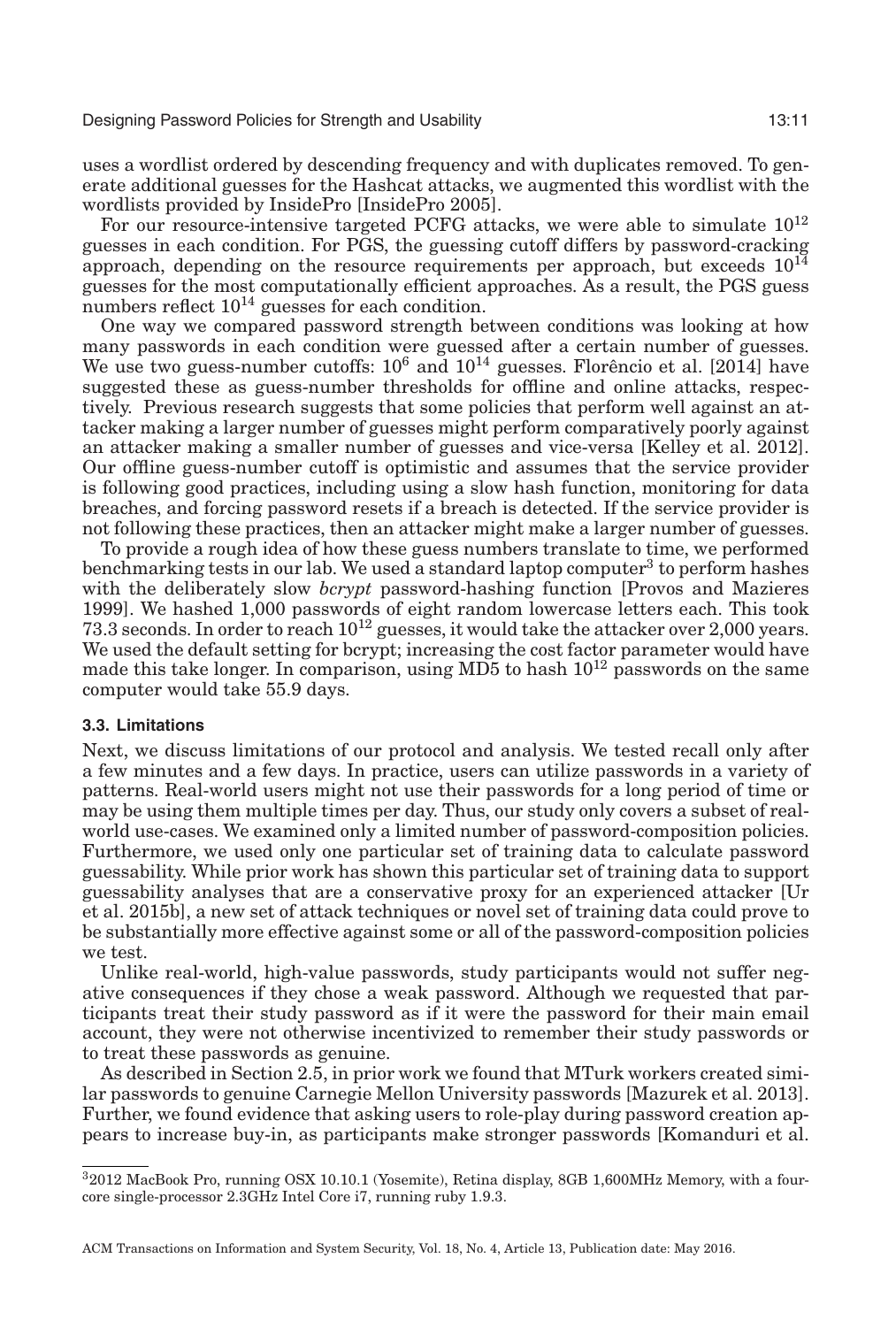uses a wordlist ordered by descending frequency and with duplicates removed. To generate additional guesses for the Hashcat attacks, we augmented this wordlist with the wordlists provided by InsidePro [InsidePro [2005\]](#page-31-23).

For our resource-intensive targeted PCFG attacks, we were able to simulate  $10^{12}$ guesses in each condition. For PGS, the guessing cutoff differs by password-cracking approach, depending on the resource requirements per approach, but exceeds  $10^{14}$ guesses for the most computationally efficient approaches. As a result, the PGS guess numbers reflect  $10^{14}$  guesses for each condition.

One way we compared password strength between conditions was looking at how many passwords in each condition were guessed after a certain number of guesses. We use two guess-number cutoffs:  $10^6$  and  $10^{14}$  guesses. Florêncio et al. [\[2014\]](#page-31-3) have suggested these as guess-number thresholds for offline and online attacks, respectively. Previous research suggests that some policies that perform well against an attacker making a larger number of guesses might perform comparatively poorly against an attacker making a smaller number of guesses and vice-versa [Kelley et al. [2012\]](#page-31-1). Our offline guess-number cutoff is optimistic and assumes that the service provider is following good practices, including using a slow hash function, monitoring for data breaches, and forcing password resets if a breach is detected. If the service provider is not following these practices, then an attacker might make a larger number of guesses.

To provide a rough idea of how these guess numbers translate to time, we performed benchmarking tests in our lab. We used a standard laptop computer<sup>3</sup> to perform hashes with the deliberately slow *bcrypt* password-hashing function [Provos and Mazieres [1999\]](#page-32-3). We hashed 1,000 passwords of eight random lowercase letters each. This took 73.3 seconds. In order to reach 1012 guesses, it would take the attacker over 2,000 years. We used the default setting for bcrypt; increasing the cost factor parameter would have made this take longer. In comparison, using  $MD5$  to hash  $10^{12}$  passwords on the same computer would take 55.9 days.

#### **3.3. Limitations**

Next, we discuss limitations of our protocol and analysis. We tested recall only after a few minutes and a few days. In practice, users can utilize passwords in a variety of patterns. Real-world users might not use their passwords for a long period of time or may be using them multiple times per day. Thus, our study only covers a subset of realworld use-cases. We examined only a limited number of password-composition policies. Furthermore, we used only one particular set of training data to calculate password guessability. While prior work has shown this particular set of training data to support guessability analyses that are a conservative proxy for an experienced attacker [Ur et al. [2015b\]](#page-32-15), a new set of attack techniques or novel set of training data could prove to be substantially more effective against some or all of the password-composition policies we test.

Unlike real-world, high-value passwords, study participants would not suffer negative consequences if they chose a weak password. Although we requested that participants treat their study password as if it were the password for their main email account, they were not otherwise incentivized to remember their study passwords or to treat these passwords as genuine.

As described in Section [2.5,](#page-6-0) in prior work we found that MTurk workers created similar passwords to genuine Carnegie Mellon University passwords [Mazurek et al. [2013\]](#page-31-11). Further, we found evidence that asking users to role-play during password creation appears to increase buy-in, as participants make stronger passwords [Komanduri et al.

<span id="page-10-0"></span><sup>32012</sup> MacBook Pro, running OSX 10.10.1 (Yosemite), Retina display, 8GB 1,600MHz Memory, with a fourcore single-processor 2.3GHz Intel Core i7, running ruby 1.9.3.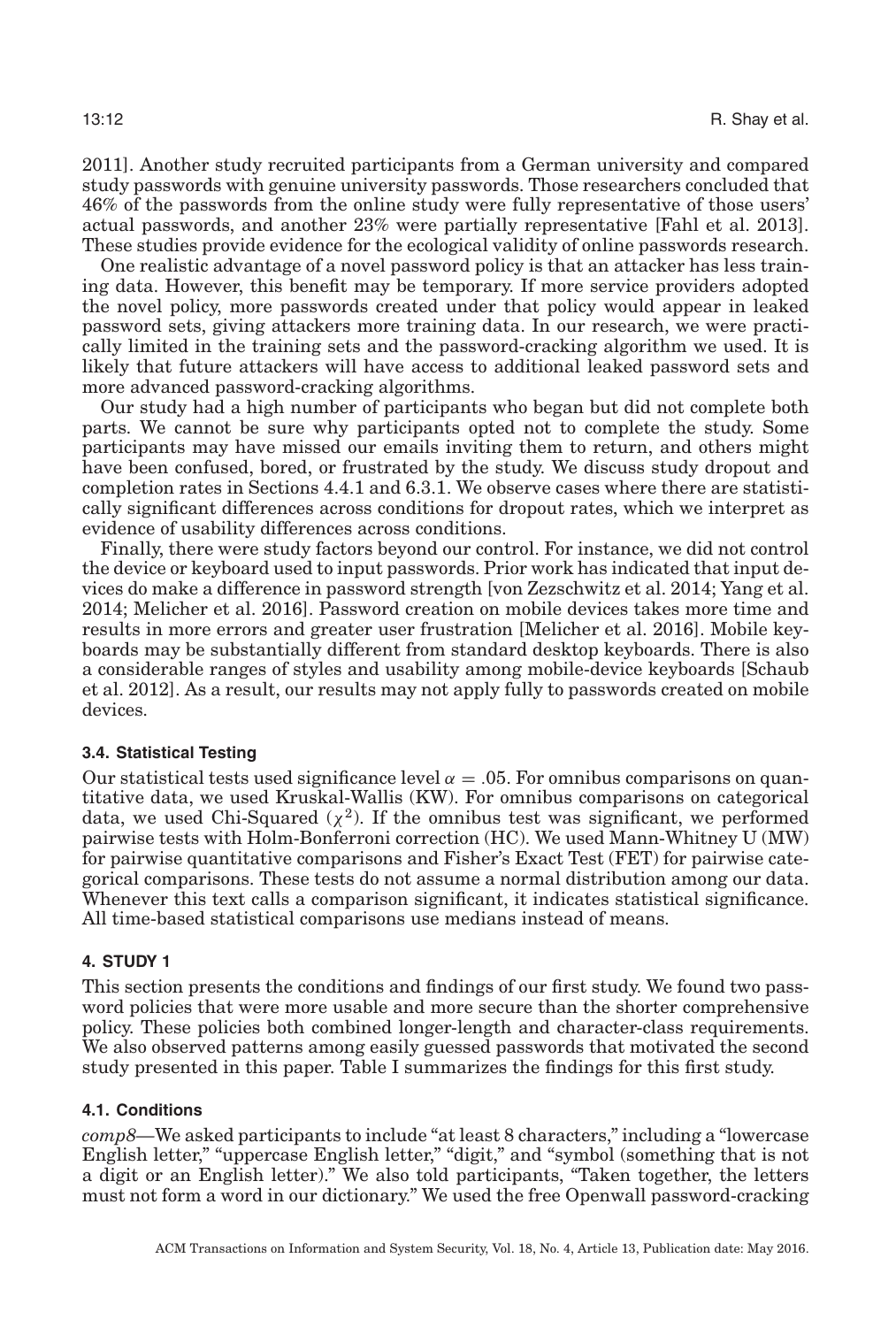[2011\]](#page-31-0). Another study recruited participants from a German university and compared study passwords with genuine university passwords. Those researchers concluded that 46% of the passwords from the online study were fully representative of those users' actual passwords, and another 23% were partially representative [Fahl et al. [2013\]](#page-31-21). These studies provide evidence for the ecological validity of online passwords research.

One realistic advantage of a novel password policy is that an attacker has less training data. However, this benefit may be temporary. If more service providers adopted the novel policy, more passwords created under that policy would appear in leaked password sets, giving attackers more training data. In our research, we were practically limited in the training sets and the password-cracking algorithm we used. It is likely that future attackers will have access to additional leaked password sets and more advanced password-cracking algorithms.

Our study had a high number of participants who began but did not complete both parts. We cannot be sure why participants opted not to complete the study. Some participants may have missed our emails inviting them to return, and others might have been confused, bored, or frustrated by the study. We discuss study dropout and completion rates in Sections [4.4.1](#page-14-0) and [6.3.1.](#page-22-0) We observe cases where there are statistically significant differences across conditions for dropout rates, which we interpret as evidence of usability differences across conditions.

Finally, there were study factors beyond our control. For instance, we did not control the device or keyboard used to input passwords. Prior work has indicated that input devices do make a difference in password strength [von Zezschwitz et al. [2014;](#page-32-24) Yang et al. [2014;](#page-33-3) Melicher et al. [2016\]](#page-31-24). Password creation on mobile devices takes more time and results in more errors and greater user frustration [Melicher et al. [2016\]](#page-31-24). Mobile keyboards may be substantially different from standard desktop keyboards. There is also a considerable ranges of styles and usability among mobile-device keyboards [Schaub et al. [2012\]](#page-32-25). As a result, our results may not apply fully to passwords created on mobile devices.

### **3.4. Statistical Testing**

Our statistical tests used significance level  $\alpha = 0.05$ . For omnibus comparisons on quantitative data, we used Kruskal-Wallis (KW). For omnibus comparisons on categorical data, we used Chi-Squared ( $\chi^2$ ). If the omnibus test was significant, we performed pairwise tests with Holm-Bonferroni correction (HC). We used Mann-Whitney U (MW) for pairwise quantitative comparisons and Fisher's Exact Test (FET) for pairwise categorical comparisons. These tests do not assume a normal distribution among our data. Whenever this text calls a comparison significant, it indicates statistical significance. All time-based statistical comparisons use medians instead of means.

### **4. STUDY 1**

<span id="page-11-0"></span>This section presents the conditions and findings of our first study. We found two password policies that were more usable and more secure than the shorter comprehensive policy. These policies both combined longer-length and character-class requirements. We also observed patterns among easily guessed passwords that motivated the second study presented in this paper. Table [I](#page-12-0) summarizes the findings for this first study.

### **4.1. Conditions**

*comp8—*We asked participants to include "at least 8 characters," including a "lowercase English letter," "uppercase English letter," "digit," and "symbol (something that is not a digit or an English letter)." We also told participants, "Taken together, the letters must not form a word in our dictionary." We used the free Openwall password-cracking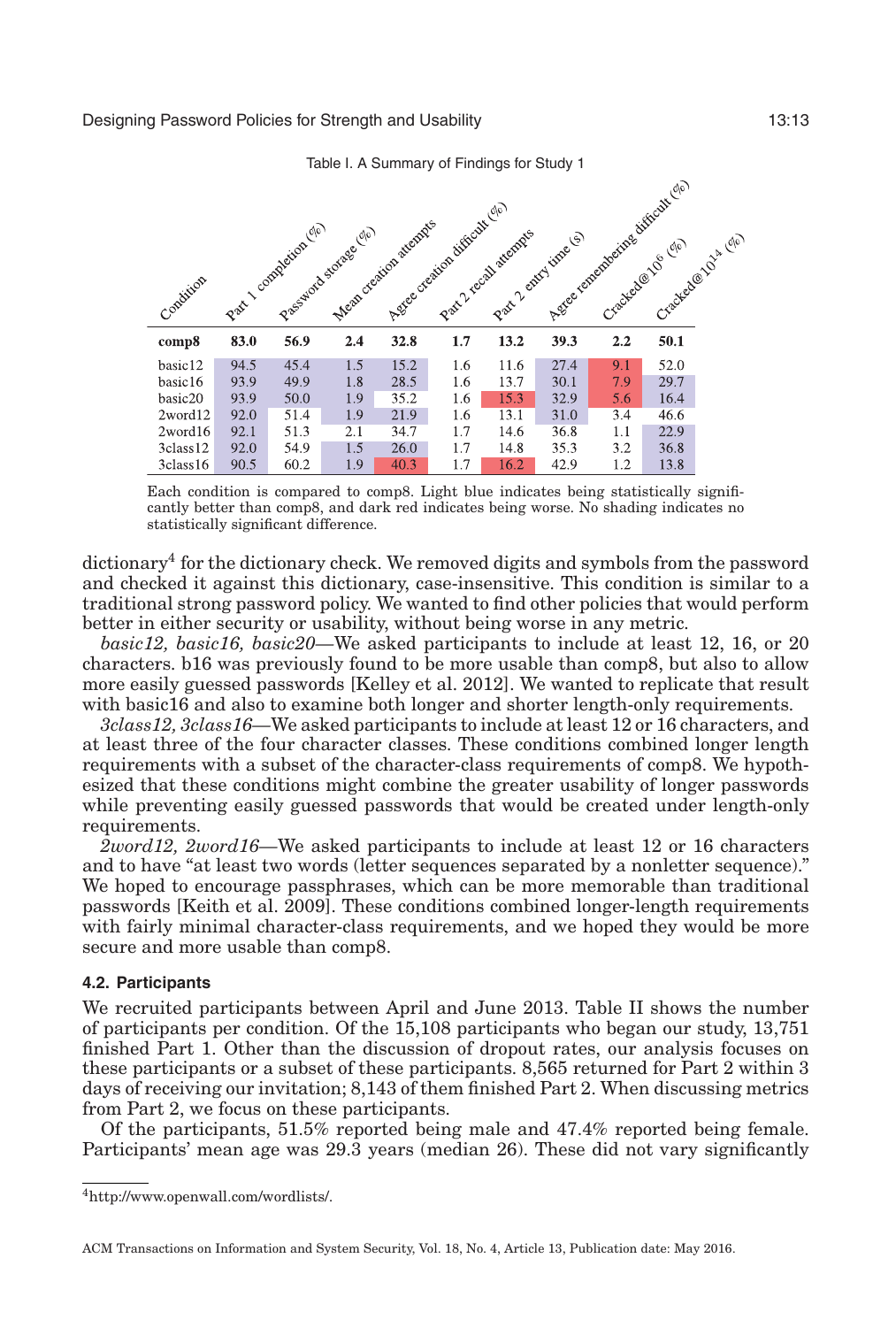Table I. A Summary of Findings for Study 1

<span id="page-12-0"></span>

| Condition            |      | Part Loompeion (10) | Passanto tomas ele | Aggree oreation difficult (2/10)<br>Mean organism attendes |     | Part2-recall sterings<br>Part 2 entry time (s) |      | Age concentrative difficult (ii)<br>Crackedox O cio | Cracked@tols.com |  |
|----------------------|------|---------------------|--------------------|------------------------------------------------------------|-----|------------------------------------------------|------|-----------------------------------------------------|------------------|--|
| comp8                | 83.0 | 56.9                | 2.4                | 32.8                                                       | 1.7 | 13.2                                           | 39.3 | 2.2                                                 | 50.1             |  |
| basic12              | 94.5 | 45.4                | 1.5                | 15.2                                                       | 1.6 | 11.6                                           | 27.4 | 9.1                                                 | 52.0             |  |
| basic16              | 93.9 | 49.9                | 1.8                | 28.5                                                       | 1.6 | 13.7                                           | 30.1 | 7.9                                                 | 29.7             |  |
| basic20              | 93.9 | 50.0                | 1.9                | 35.2                                                       | 1.6 | 15.3                                           | 32.9 | 5.6                                                 | 16.4             |  |
| 2word12              | 92.0 | 51.4                | 1.9                | 21.9                                                       | 1.6 | 13.1                                           | 31.0 | 3.4                                                 | 46.6             |  |
| 2word16              | 92.1 | 51.3                | 2.1                | 34.7                                                       | 1.7 | 14.6                                           | 36.8 | 1.1                                                 | 22.9             |  |
| 3class12             | 92.0 | 54.9                | 1.5                | 26.0                                                       | 1.7 | 14.8                                           | 35.3 | 3.2                                                 | 36.8             |  |
| 3 <sub>class16</sub> | 90.5 | 60.2                | 1.9                | 40.3                                                       | 1.7 | 16.2                                           | 42.9 | 1.2                                                 | 13.8             |  |

Each condition is compared to comp8. Light blue indicates being statistically significantly better than comp8, and dark red indicates being worse. No shading indicates no statistically significant difference.

dictionar[y4](#page-12-1) for the dictionary check. We removed digits and symbols from the password and checked it against this dictionary, case-insensitive. This condition is similar to a traditional strong password policy. We wanted to find other policies that would perform better in either security or usability, without being worse in any metric.

*basic12, basic16, basic20—*We asked participants to include at least 12, 16, or 20 characters. b16 was previously found to be more usable than comp8, but also to allow more easily guessed passwords [Kelley et al. [2012\]](#page-31-1). We wanted to replicate that result with basic16 and also to examine both longer and shorter length-only requirements.

*3class12, 3class16—*We asked participants to include at least 12 or 16 characters, and at least three of the four character classes. These conditions combined longer length requirements with a subset of the character-class requirements of comp8. We hypothesized that these conditions might combine the greater usability of longer passwords while preventing easily guessed passwords that would be created under length-only requirements.

*2word12, 2word16—*We asked participants to include at least 12 or 16 characters and to have "at least two words (letter sequences separated by a nonletter sequence)." We hoped to encourage passphrases, which can be more memorable than traditional passwords [Keith et al. [2009\]](#page-31-25). These conditions combined longer-length requirements with fairly minimal character-class requirements, and we hoped they would be more secure and more usable than comp8.

### **4.2. Participants**

We recruited participants between April and June 2013. Table [II](#page-13-0) shows the number of participants per condition. Of the 15,108 participants who began our study, 13,751 finished Part 1. Other than the discussion of dropout rates, our analysis focuses on these participants or a subset of these participants. 8,565 returned for Part 2 within 3 days of receiving our invitation; 8,143 of them finished Part 2. When discussing metrics from Part 2, we focus on these participants.

Of the participants, 51.5% reported being male and 47.4% reported being female. Participants' mean age was 29.3 years (median 26). These did not vary significantly

 $\sqrt{2}$ 

<span id="page-12-1"></span>[<sup>4</sup>http://www.openwall.com/wordlists/.](http://www.openwall.com/wordlists/)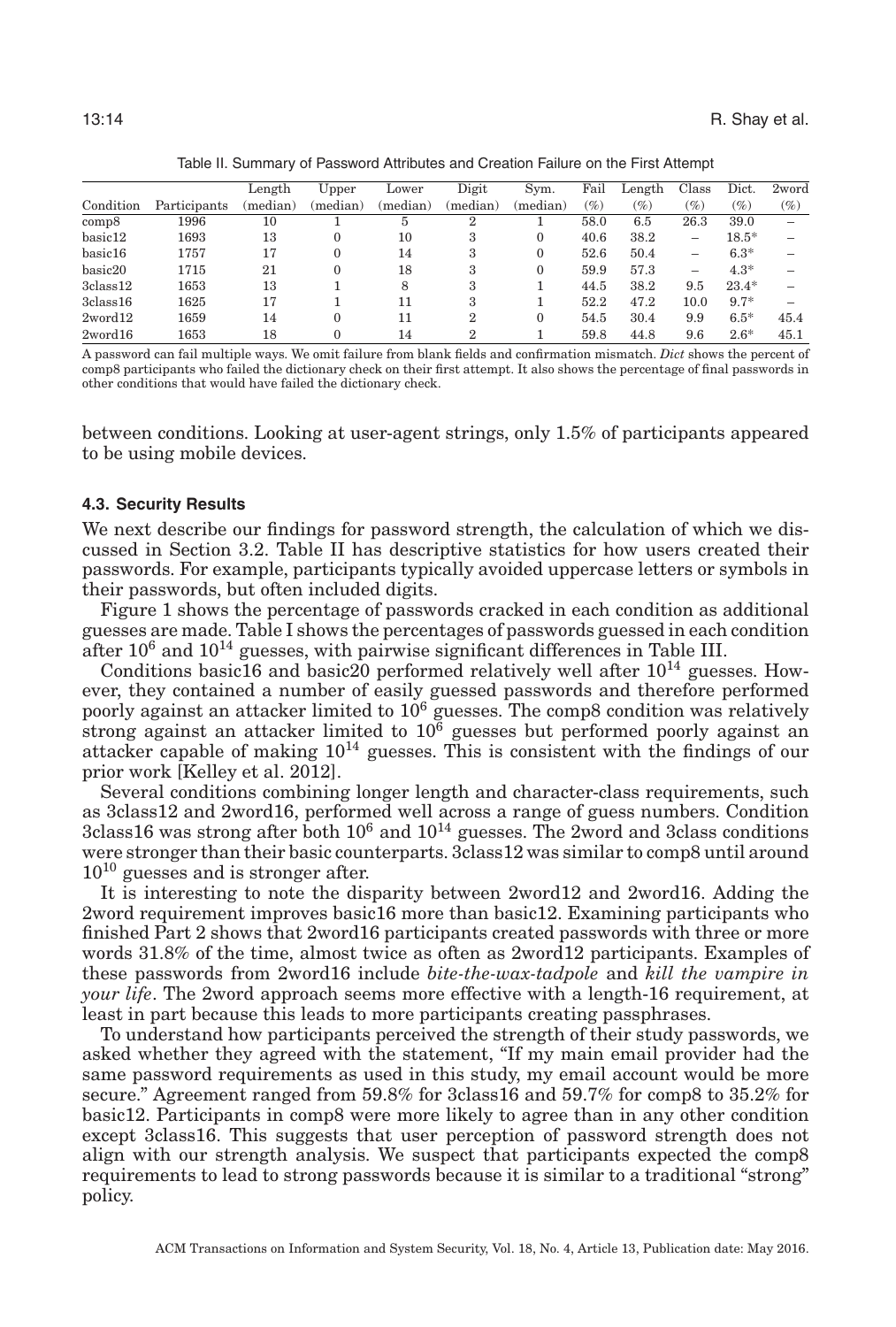<span id="page-13-0"></span>

| Table II. Summary of Password Attributes and Creation Failure on the First Attempt |              |          |          |          |          |          |        |              |        |         |        |
|------------------------------------------------------------------------------------|--------------|----------|----------|----------|----------|----------|--------|--------------|--------|---------|--------|
|                                                                                    |              | Length   | Upper    | Lower    | Digit    | Svm.     | Fail   | Length Class |        | Dict.   | 2word  |
| Condition                                                                          | Participants | (median) | (median) | (median) | (median) | (median) | $(\%)$ | $( \% )$     | $(\%)$ | (%)     | $(\%)$ |
| comp8                                                                              | 1996         | 10       |          |          |          |          | 58.0   | 6.5          | 26.3   | 39.0    |        |
| basic12                                                                            | 1693         | 13       |          | 10       |          |          | 40.6   | 38.2         |        | $18.5*$ |        |
| basic16                                                                            | 1757         |          |          | 14       |          |          | 52.6   | 50.4         |        | $6.3*$  |        |

2word16 1653 18 0 14 2 1 59.8 44.8 9.6 2.6\* 45.1 A password can fail multiple ways. We omit failure from blank fields and confirmation mismatch. *Dict* shows the percent of comp8 participants who failed the dictionary check on their first attempt. It also shows the percentage of final passwords in other conditions that would have failed the dictionary check.

basic20 1715 21 0 18 3 0 59.9 57.3 – 4.3\* – 3class12 1653 13 1 8 3 1 44.5 38.2 9.5 23.4\* –  $3class16$   $1625$   $17$   $1$   $11$   $3$   $1$   $52.2$   $47.2$   $10.0$   $9.7^*$  – 2word12 1659 14 0 11 2 0 54.5 30.4 9.9 6.5\* 45.4

between conditions. Looking at user-agent strings, only 1.5% of participants appeared to be using mobile devices.

#### **4.3. Security Results**

We next describe our findings for password strength, the calculation of which we discussed in Section [3.2.](#page-8-0) Table [II](#page-13-0) has descriptive statistics for how users created their passwords. For example, participants typically avoided uppercase letters or symbols in their passwords, but often included digits.

Figure [1](#page-14-1) shows the percentage of passwords cracked in each condition as additional guesses are made. Table [I](#page-12-0) shows the percentages of passwords guessed in each condition after  $10^6$  and  $10^{14}$  guesses, with pairwise significant differences in Table [III.](#page-15-0)

Conditions basic16 and basic20 performed relatively well after  $10^{14}$  guesses. However, they contained a number of easily guessed passwords and therefore performed poorly against an attacker limited to  $10^6$  guesses. The comp8 condition was relatively strong against an attacker limited to  $10<sup>6</sup>$  guesses but performed poorly against an attacker capable of making 1014 guesses. This is consistent with the findings of our prior work [Kelley et al. [2012\]](#page-31-1).

Several conditions combining longer length and character-class requirements, such as 3class12 and 2word16, performed well across a range of guess numbers. Condition 3class16 was strong after both  $10^6$  and  $10^{14}$  guesses. The 2word and 3class conditions were stronger than their basic counterparts. 3class12 was similar to comp8 until around  $10^{10}$  guesses and is stronger after.

It is interesting to note the disparity between 2word12 and 2word16. Adding the 2word requirement improves basic16 more than basic12. Examining participants who finished Part 2 shows that 2word16 participants created passwords with three or more words 31.8% of the time, almost twice as often as 2word12 participants. Examples of these passwords from 2word16 include *bite-the-wax-tadpole* and *kill the vampire in your life*. The 2word approach seems more effective with a length-16 requirement, at least in part because this leads to more participants creating passphrases.

To understand how participants perceived the strength of their study passwords, we asked whether they agreed with the statement, "If my main email provider had the same password requirements as used in this study, my email account would be more secure." Agreement ranged from 59.8% for 3class16 and 59.7% for comp8 to 35.2% for basic12. Participants in comp8 were more likely to agree than in any other condition except 3class16. This suggests that user perception of password strength does not align with our strength analysis. We suspect that participants expected the comp8 requirements to lead to strong passwords because it is similar to a traditional "strong" policy.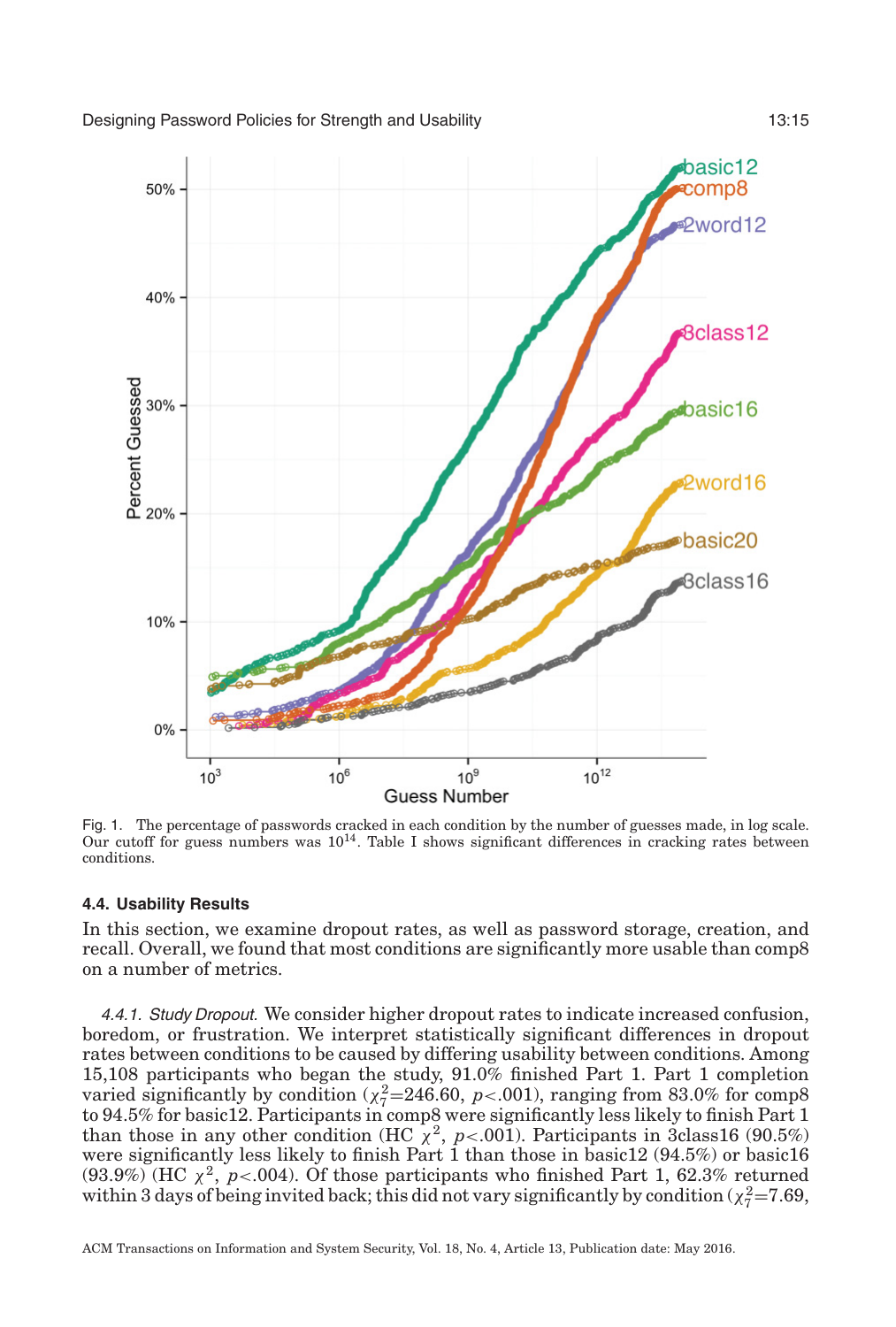

<span id="page-14-1"></span>

Fig. 1. The percentage of passwords cracked in each condition by the number of guesses made, in log scale. Our cutoff for guess numbers was 1014. Table [I](#page-12-0) shows significant differences in cracking rates between conditions.

### **4.4. Usability Results**

In this section, we examine dropout rates, as well as password storage, creation, and recall. Overall, we found that most conditions are significantly more usable than comp8 on a number of metrics.

<span id="page-14-0"></span>4.4.1. Study Dropout. We consider higher dropout rates to indicate increased confusion, boredom, or frustration. We interpret statistically significant differences in dropout rates between conditions to be caused by differing usability between conditions. Among 15,108 participants who began the study, 91.0% finished Part 1. Part 1 completion varied significantly by condition  $(\chi^2 = 246.60, p < .001)$ , ranging from 83.0% for comp8 to 94.5% for basic12. Participants in comp8 were significantly less likely to finish Part 1 than those in any other condition (HC  $\chi^2$ , *p*<.001). Participants in 3class16 (90.5%) were significantly less likely to finish Part 1 than those in basic12 (94.5%) or basic16  $(93.9\%)$  (HC  $\chi^2$ ,  $p<0.004$ ). Of those participants who finished Part 1, 62.3% returned within 3 days of being invited back; this did not vary significantly by condition ( $\chi^2_{7}$ =7.69,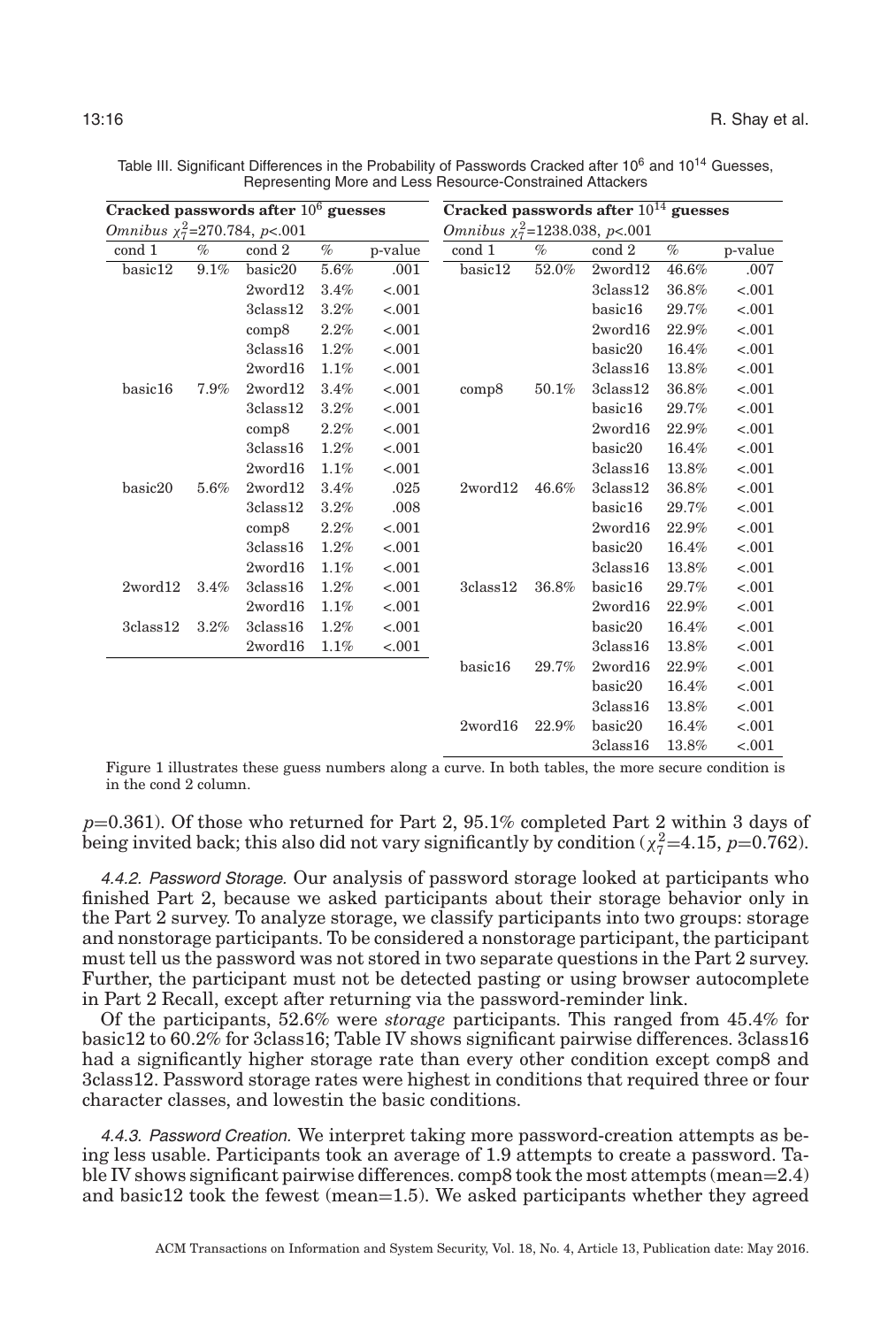| Cracked passwords after $106$ guesses |      |                |      |         | Cracked passwords after $10^{14}$ guesses |       |                |       |         |  |  |
|---------------------------------------|------|----------------|------|---------|-------------------------------------------|-------|----------------|-------|---------|--|--|
| Omnibus $\chi_7^2$ =270.784, p<.001   |      |                |      |         | Omnibus $\chi_7^2$ =1238.038, p<.001      |       |                |       |         |  |  |
| cond 1                                | $\%$ | cond 2         | $\%$ | p-value | cond 1                                    | $\%$  | cond 2         | $\%$  | p-value |  |  |
| basic12                               | 9.1% | basic20        | 5.6% | .001    | basic12                                   | 52.0% | 2word12        | 46.6% | .007    |  |  |
|                                       |      | 2word12        | 3.4% | $-.001$ |                                           |       | $3$ class $12$ | 36.8% | $-.001$ |  |  |
|                                       |      | $3$ class $12$ | 3.2% | $-.001$ |                                           |       | basic16        | 29.7% | $-.001$ |  |  |
|                                       |      | comp8          | 2.2% | $-.001$ |                                           |       | $2$ word $16$  | 22.9% | $-.001$ |  |  |
|                                       |      | 3class16       | 1.2% | $-.001$ |                                           |       | basic20        | 16.4% | $-.001$ |  |  |
|                                       |      | 2word16        | 1.1% | $-.001$ |                                           |       | $3$ class $16$ | 13.8% | $-.001$ |  |  |
| basic16                               | 7.9% | 2word12        | 3.4% | $-.001$ | comp8                                     | 50.1% | $3$ class $12$ | 36.8% | $-.001$ |  |  |
|                                       |      | 3class12       | 3.2% | $-.001$ |                                           |       | basic16        | 29.7% | $-.001$ |  |  |
|                                       |      | comp8          | 2.2% | $-.001$ |                                           |       | 2word16        | 22.9% | $-.001$ |  |  |
|                                       |      | $3$ class $16$ | 1.2% | $-.001$ |                                           |       | basic20        | 16.4% | $-.001$ |  |  |
|                                       |      | 2word16        | 1.1% | $-.001$ |                                           |       | 3class16       | 13.8% | $-.001$ |  |  |
| basic20                               | 5.6% | 2word12        | 3.4% | .025    | 2word12                                   | 46.6% | $3$ class $12$ | 36.8% | $-.001$ |  |  |
|                                       |      | $3$ class $12$ | 3.2% | .008    |                                           |       | basic16        | 29.7% | $-.001$ |  |  |
|                                       |      | comp8          | 2.2% | $-.001$ |                                           |       | 2word16        | 22.9% | $-.001$ |  |  |
|                                       |      | 3class16       | 1.2% | $-.001$ |                                           |       | basic20        | 16.4% | $-.001$ |  |  |
|                                       |      | 2word16        | 1.1% | $-.001$ |                                           |       | 3class16       | 13.8% | $-.001$ |  |  |
| 2word12                               | 3.4% | 3class16       | 1.2% | $-.001$ | 3class12                                  | 36.8% | basic16        | 29.7% | $-.001$ |  |  |
|                                       |      | 2word16        | 1.1% | $-.001$ |                                           |       | 2word16        | 22.9% | $-.001$ |  |  |
| $3$ class $12$                        | 3.2% | 3class16       | 1.2% | $-.001$ |                                           |       | basic20        | 16.4% | $-.001$ |  |  |
|                                       |      | 2word16        | 1.1% | $-.001$ |                                           |       | 3class16       | 13.8% | $-.001$ |  |  |
|                                       |      |                |      |         | basic16                                   | 29.7% | 2word16        | 22.9% | $-.001$ |  |  |
|                                       |      |                |      |         |                                           |       | basic20        | 16.4% | $-.001$ |  |  |
|                                       |      |                |      |         |                                           |       | 3class16       | 13.8% | $-.001$ |  |  |
|                                       |      |                |      |         | 2word16                                   | 22.9% | basic20        | 16.4% | $-.001$ |  |  |
|                                       |      |                |      |         |                                           |       | 3class16       | 13.8% | $-.001$ |  |  |

<span id="page-15-0"></span>Table III. Significant Differences in the Probability of Passwords Cracked after 10<sup>6</sup> and 10<sup>14</sup> Guesses, Representing More and Less Resource-Constrained Attackers

Figure [1](#page-14-1) illustrates these guess numbers along a curve. In both tables, the more secure condition is in the cond 2 column.

*p*=0.361). Of those who returned for Part 2, 95.1% completed Part 2 within 3 days of being invited back; this also did not vary significantly by condition ( $\chi^2_{7}$ =4.15, *p*=0.762).

4.4.2. Password Storage. Our analysis of password storage looked at participants who finished Part 2, because we asked participants about their storage behavior only in the Part 2 survey. To analyze storage, we classify participants into two groups: storage and nonstorage participants. To be considered a nonstorage participant, the participant must tell us the password was not stored in two separate questions in the Part 2 survey. Further, the participant must not be detected pasting or using browser autocomplete in Part 2 Recall, except after returning via the password-reminder link.

Of the participants, 52.6% were *storage* participants. This ranged from 45.4% for basic12 to 60.2% for 3class16; Table [IV](#page-16-0) shows significant pairwise differences. 3class16 had a significantly higher storage rate than every other condition except comp8 and 3class12. Password storage rates were highest in conditions that required three or four character classes, and lowestin the basic conditions.

4.4.3. Password Creation. We interpret taking more password-creation attempts as being less usable. Participants took an average of 1.9 attempts to create a password. Table [IV](#page-16-0) shows significant pairwise differences. comp8 took the most attempts (mean=2.4) and basic12 took the fewest (mean=1.5). We asked participants whether they agreed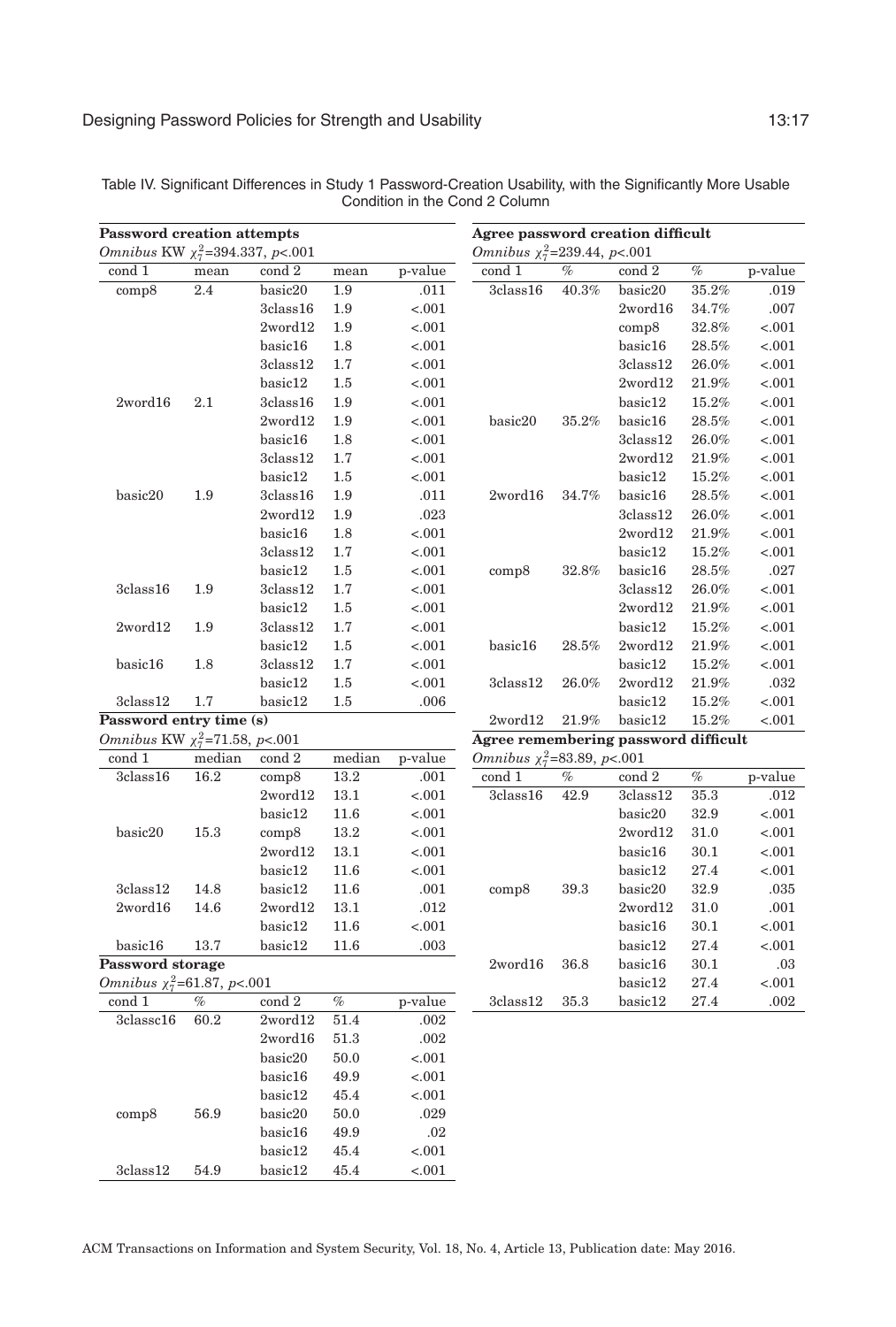| <b>Password creation attempts</b>      |        |                | Agree password creation difficult |         |                                      |          |                 |          |         |
|----------------------------------------|--------|----------------|-----------------------------------|---------|--------------------------------------|----------|-----------------|----------|---------|
| Omnibus KW $\chi^2_7$ =394.337, p<.001 |        |                |                                   |         | Omnibus $\chi_7^2$ =239.44, p<.001   |          |                 |          |         |
| cond 1                                 | mean   | cond 2         | mean                              | p-value | cond 1                               | $\%$     | cond 2          | $\%$     | p-value |
| comp8                                  | 2.4    | basic20        | 1.9                               | .011    | $3$ class $16$                       | 40.3%    | basic20         | 35.2%    | .019    |
|                                        |        | 3class16       | 1.9                               | $-.001$ |                                      |          | 2word16         | 34.7%    | .007    |
|                                        |        | 2word12        | 1.9                               | $-.001$ |                                      |          | comp8           | 32.8%    | $-.001$ |
|                                        |        | basic16        | 1.8                               | $-.001$ |                                      |          | basic16         | 28.5%    | $-.001$ |
|                                        |        | 3class12       | 1.7                               | $-.001$ |                                      |          | 3class12        | 26.0%    | $-.001$ |
|                                        |        | basic12        | 1.5                               | $-.001$ |                                      |          | $2$ word $12$   | 21.9%    | $-.001$ |
| 2word16                                | 2.1    | 3class16       | 1.9                               | $-.001$ |                                      |          | basic12         | 15.2%    | < .001  |
|                                        |        | 2word12        | 1.9                               | $-.001$ | basic20                              | 35.2%    | basic16         | 28.5%    | $-.001$ |
|                                        |        | basic16        | 1.8                               | $-.001$ |                                      |          | $3$ class $12$  | $26.0\%$ | $-.001$ |
|                                        |        | 3class12       | 1.7                               | $-.001$ |                                      |          | $2$ word $12$   | 21.9%    | $-.001$ |
|                                        |        | basic12        | 1.5                               | $-.001$ |                                      |          | basic12         | 15.2%    | $-.001$ |
| basic20                                | 1.9    | 3class16       | 1.9                               | .011    | $2$ word $16$                        | 34.7%    | basic16         | 28.5%    | $-.001$ |
|                                        |        | 2word12        | 1.9                               | .023    |                                      |          | 3class12        | 26.0%    | < .001  |
|                                        |        | basic16        | 1.8                               | $-.001$ |                                      |          | $2$ word $12$   | 21.9%    | $-.001$ |
|                                        |        | 3class12       | 1.7                               | $-.001$ |                                      |          | basic12         | 15.2%    | $-.001$ |
|                                        |        | basic12        | 1.5                               | $-.001$ | comp8                                | 32.8%    | basic16         | 28.5%    | .027    |
| 3class16                               | 1.9    | $3$ class $12$ | 1.7                               | $-.001$ |                                      |          | $3$ class $12$  | $26.0\%$ | < .001  |
|                                        |        | basic12        | 1.5                               | $-.001$ |                                      |          | $2$ word $12$   | 21.9%    | < .001  |
| 2word12                                | 1.9    | 3class12       | 1.7                               | $-.001$ |                                      |          | basic12         | 15.2%    | $-.001$ |
|                                        |        | basic12        | 1.5                               | $-.001$ | basic16                              | 28.5%    | $2$ word $12$   | 21.9%    | < .001  |
| basic16                                | 1.8    | 3class12       | 1.7                               | $-.001$ |                                      |          | basic12         | 15.2%    | $-.001$ |
|                                        |        | basic12        | $1.5\,$                           | $-.001$ | 3class12                             | 26.0%    | $2$ word $12$   | $21.9\%$ | .032    |
| 3class12                               | 1.7    | basic12        | 1.5                               | .006    |                                      |          | basic12         | 15.2%    | < .001  |
| Password entry time (s)                |        |                |                                   |         | 2word12                              | $21.9\%$ | basic12         | 15.2%    | < .001  |
| Omnibus KW $\chi^2_7$ =71.58, p<.001   |        |                |                                   |         | Agree remembering password difficult |          |                 |          |         |
| cond 1                                 | median | cond 2         | median                            | p-value | Omnibus $\chi_7^2$ =83.89, p<.001    |          |                 |          |         |
| 3class16                               | 16.2   | comp8          | 13.2                              | .001    | cond 1                               | $\%$     | $\rm{cond}$ $2$ | $\%$     | p-value |
|                                        |        | $2$ word $12$  | 13.1                              | $-.001$ | 3class16                             | 42.9     | 3class12        | 35.3     | .012    |
|                                        |        | basic12        | 11.6                              | $-.001$ |                                      |          | basic20         | 32.9     | < .001  |
| basic20                                | 15.3   | comp8          | 13.2                              | $-.001$ |                                      |          | $2$ word $12$   | 31.0     | < .001  |
|                                        |        | $2$ word $12$  | 13.1                              | $-.001$ |                                      |          | basic16         | 30.1     | < .001  |
|                                        |        | basic12        | 11.6                              | $-.001$ |                                      |          | basic12         | 27.4     | $-.001$ |
| 3class12                               | 14.8   | basic12        | 11.6                              | .001    | comp8                                | 39.3     | basic20         | 32.9     | .035    |
| 2word16                                | 14.6   | 2word12        | 13.1                              | .012    |                                      |          | $2$ word $12$   | 31.0     | .001    |
|                                        |        | basic12        | 11.6                              | $-.001$ |                                      |          | basic16         | 30.1     | $-.001$ |
| basic16                                | 13.7   | basic12        | 11.6                              | .003    |                                      |          | basic12         | 27.4     | < .001  |
| Password storage                       |        |                |                                   |         | 2word16                              | 36.8     | basic16         | 30.1     | .03     |
| Omnibus $\chi^2_7$ =61.87, p<.001      |        |                |                                   |         |                                      |          | basic12         | 27.4     | < .001  |
| cond 1                                 | %      | cond 2         | %                                 | p-value | 3class12                             | 35.3     | basic12         | 27.4     | .002    |
| 3classc16                              | 60.2   | 2word12        | 51.4                              | .002    |                                      |          |                 |          |         |
|                                        |        | $2$ word $16$  | 51.3                              | .002    |                                      |          |                 |          |         |
|                                        |        | basic20        | 50.0                              | $-.001$ |                                      |          |                 |          |         |
|                                        |        | basic16        | 49.9                              | $-.001$ |                                      |          |                 |          |         |
|                                        |        | basic12        | 45.4                              | $-.001$ |                                      |          |                 |          |         |
| comp8                                  | 56.9   | basic20        | 50.0                              | .029    |                                      |          |                 |          |         |
|                                        |        | basic16        | 49.9                              | .02     |                                      |          |                 |          |         |
|                                        |        | basic12        | 45.4                              | $-.001$ |                                      |          |                 |          |         |
| 3class12                               | 54.9   | basic12        | 45.4                              | $-.001$ |                                      |          |                 |          |         |

<span id="page-16-0"></span>Table IV. Significant Differences in Study 1 Password-Creation Usability, with the Significantly More Usable Condition in the Cond 2 Column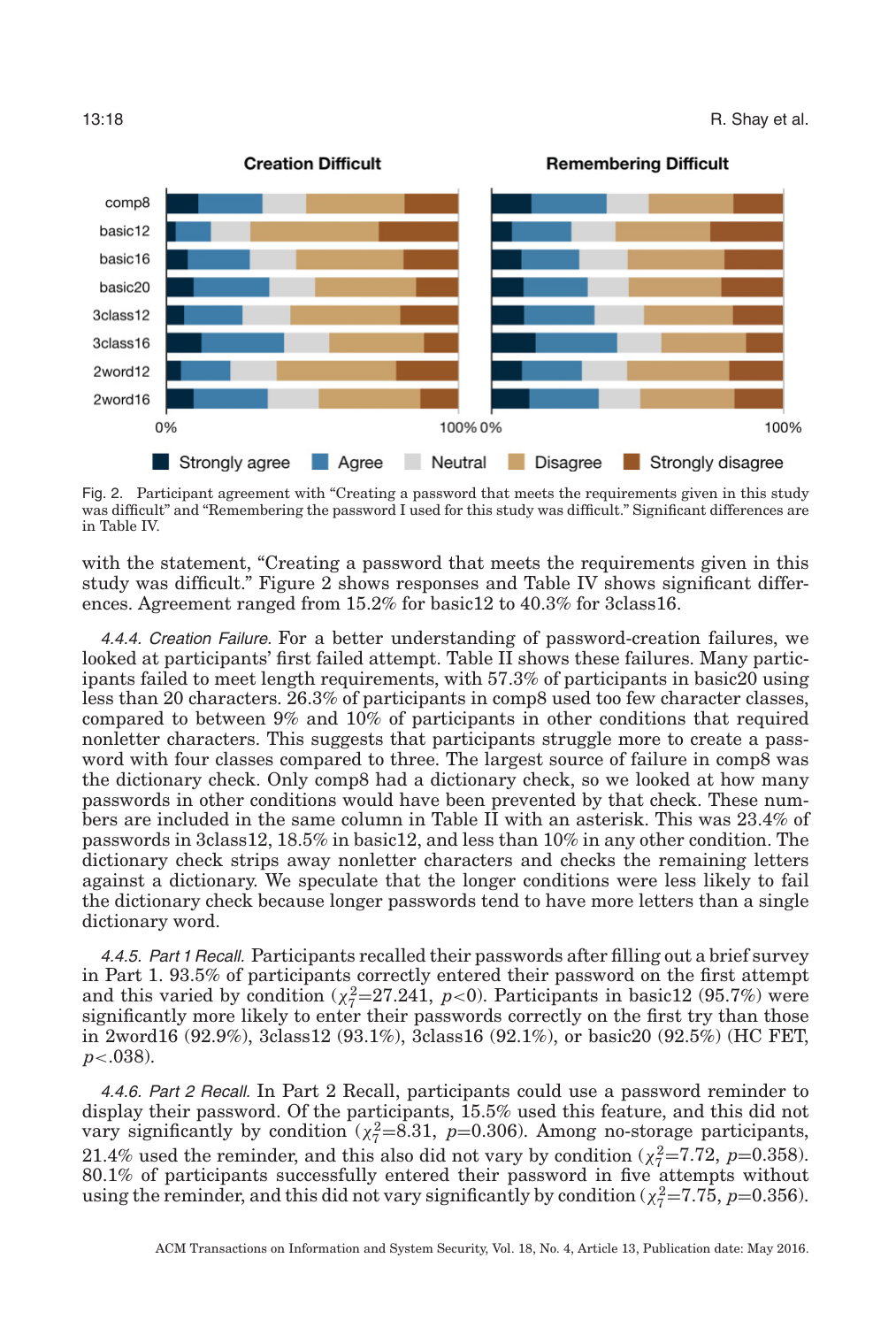<span id="page-17-0"></span>

Fig. 2. Participant agreement with "Creating a password that meets the requirements given in this study was difficult" and "Remembering the password I used for this study was difficult." Significant differences are in Table IV.

with the statement, "Creating a password that meets the requirements given in this study was difficult." Figure [2](#page-17-0) shows responses and Table [IV](#page-16-0) shows significant differences. Agreement ranged from 15.2% for basic12 to 40.3% for 3class16.

4.4.4. Creation Failure. For a better understanding of password-creation failures, we looked at participants' first failed attempt. Table [II](#page-13-0) shows these failures. Many participants failed to meet length requirements, with 57.3% of participants in basic20 using less than 20 characters. 26.3% of participants in comp8 used too few character classes, compared to between 9% and 10% of participants in other conditions that required nonletter characters. This suggests that participants struggle more to create a password with four classes compared to three. The largest source of failure in comp8 was the dictionary check. Only comp8 had a dictionary check, so we looked at how many passwords in other conditions would have been prevented by that check. These numbers are included in the same column in Table [II](#page-13-0) with an asterisk. This was 23.4% of passwords in 3class12, 18.5% in basic12, and less than 10% in any other condition. The dictionary check strips away nonletter characters and checks the remaining letters against a dictionary. We speculate that the longer conditions were less likely to fail the dictionary check because longer passwords tend to have more letters than a single dictionary word.

4.4.5. Part <sup>1</sup> Recall. Participants recalled their passwords after filling out a brief survey in Part 1. 93.5% of participants correctly entered their password on the first attempt and this varied by condition  $(\chi^2_7=27.241, p<0)$ . Participants in basic12 (95.7%) were significantly more likely to enter their passwords correctly on the first try than those in 2word16 (92.9%), 3class12 (93.1%), 3class16 (92.1%), or basic20 (92.5%) (HC FET, *p*<.038).

4.4.6. Part <sup>2</sup> Recall. In Part 2 Recall, participants could use a password reminder to display their password. Of the participants, 15.5% used this feature, and this did not vary significantly by condition  $(\chi^2_7=8.31, p=0.306)$ . Among no-storage participants, 21.4% used the reminder, and this also did not vary by condition ( $\chi^2 = 7.72$ ,  $p=0.358$ ). 80.1% of participants successfully entered their password in five attempts without using the reminder, and this did not vary significantly by condition ( $\chi^2$ =7.75, *p*=0.356).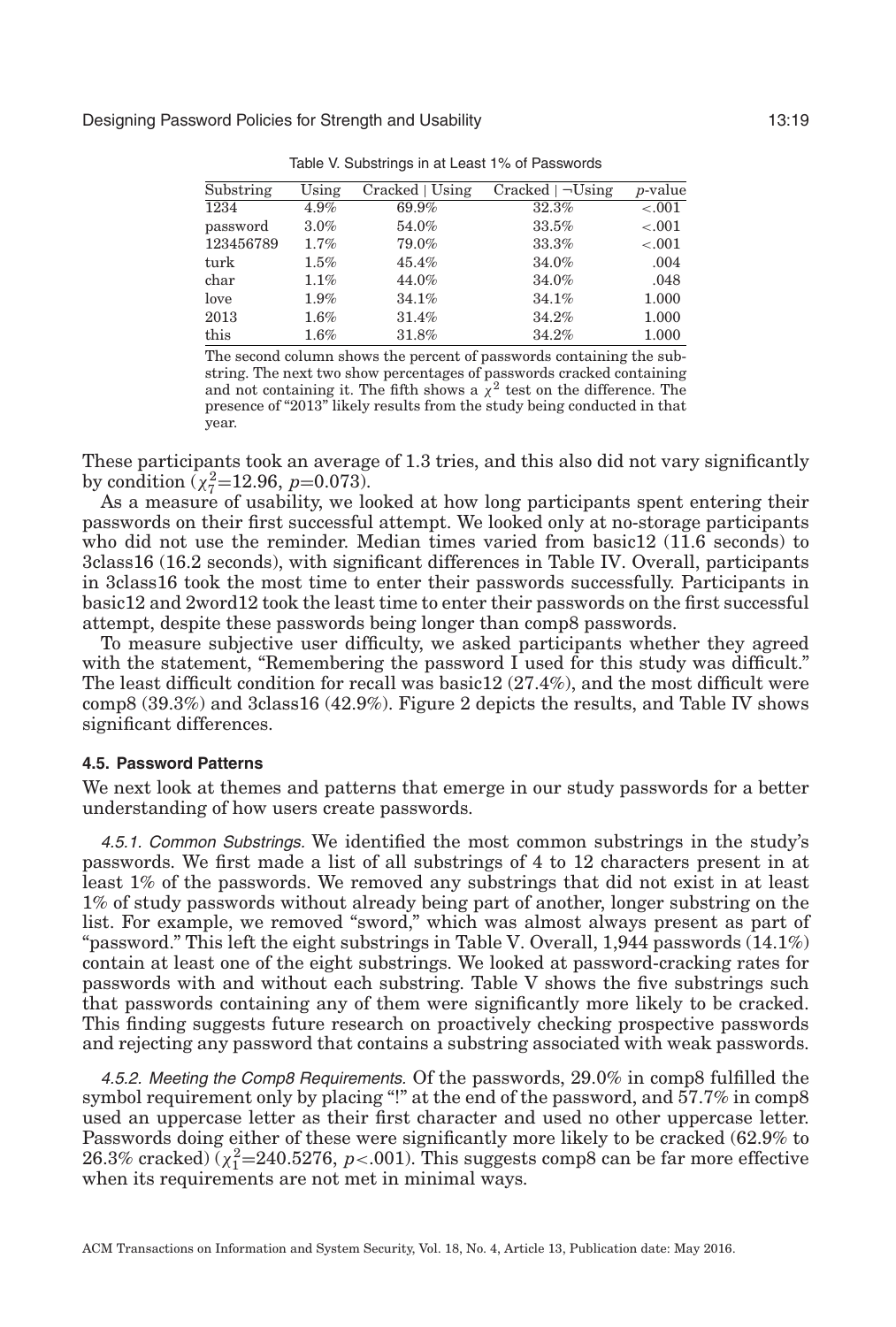<span id="page-18-0"></span>

| Substring     | Using   | Cracked   Using | $Cracked \mid \neg Using$ | <i>p</i> -value |
|---------------|---------|-----------------|---------------------------|-----------------|
| 1234          | 4.9%    | 69.9%           | 32.3%                     | $-.001$         |
| password      | 3.0%    | 54.0%           | 33.5%                     | $-.001$         |
| 123456789     | 1.7%    | 79.0%           | 33.3%                     | $-.001$         |
| turk          | $1.5\%$ | 45.4%           | 34.0%                     | .004            |
| $_{\rm char}$ | 1.1%    | 44.0%           | 34.0%                     | .048            |
| love          | 1.9%    | 34.1%           | 34.1%                     | 1.000           |
| 2013          | $1.6\%$ | 31.4%           | 34.2%                     | 1.000           |
| this          | 1.6%    | 31.8%           | 34.2%                     | 1.000           |
|               |         |                 |                           |                 |

Table V. Substrings in at Least 1% of Passwords

The second column shows the percent of passwords containing the substring. The next two show percentages of passwords cracked containing and not containing it. The fifth shows a  $\chi^2$  test on the difference. The presence of "2013" likely results from the study being conducted in that year.

These participants took an average of 1.3 tries, and this also did not vary significantly by condition  $(\chi^2_7=12.96, p=0.073)$ .

As a measure of usability, we looked at how long participants spent entering their passwords on their first successful attempt. We looked only at no-storage participants who did not use the reminder. Median times varied from basic12 (11.6 seconds) to 3class16 (16.2 seconds), with significant differences in Table [IV.](#page-16-0) Overall, participants in 3class16 took the most time to enter their passwords successfully. Participants in basic12 and 2word12 took the least time to enter their passwords on the first successful attempt, despite these passwords being longer than comp8 passwords.

To measure subjective user difficulty, we asked participants whether they agreed with the statement, "Remembering the password I used for this study was difficult." The least difficult condition for recall was basic12 (27.4%), and the most difficult were comp8 (39.3%) and 3class16 (42.9%). Figure [2](#page-17-0) depicts the results, and Table [IV](#page-16-0) shows significant differences.

### **4.5. Password Patterns**

<span id="page-18-1"></span>We next look at themes and patterns that emerge in our study passwords for a better understanding of how users create passwords.

4.5.1. Common Substrings. We identified the most common substrings in the study's passwords. We first made a list of all substrings of 4 to 12 characters present in at least 1% of the passwords. We removed any substrings that did not exist in at least 1% of study passwords without already being part of another, longer substring on the list. For example, we removed "sword," which was almost always present as part of "password." This left the eight substrings in Table [V.](#page-18-0) Overall,  $1,944$  passwords  $(14.1\%)$ contain at least one of the eight substrings. We looked at password-cracking rates for passwords with and without each substring. Table [V](#page-18-0) shows the five substrings such that passwords containing any of them were significantly more likely to be cracked. This finding suggests future research on proactively checking prospective passwords and rejecting any password that contains a substring associated with weak passwords.

4.5.2. Meeting the Comp8 Requirements. Of the passwords, 29.0% in comp8 fulfilled the symbol requirement only by placing "!" at the end of the password, and 57.7% in comp8 used an uppercase letter as their first character and used no other uppercase letter. Passwords doing either of these were significantly more likely to be cracked (62.9% to 26.3% cracked)  $(\chi^2_1=240.5276, p<.001)$ . This suggests comp8 can be far more effective when its requirements are not met in minimal ways.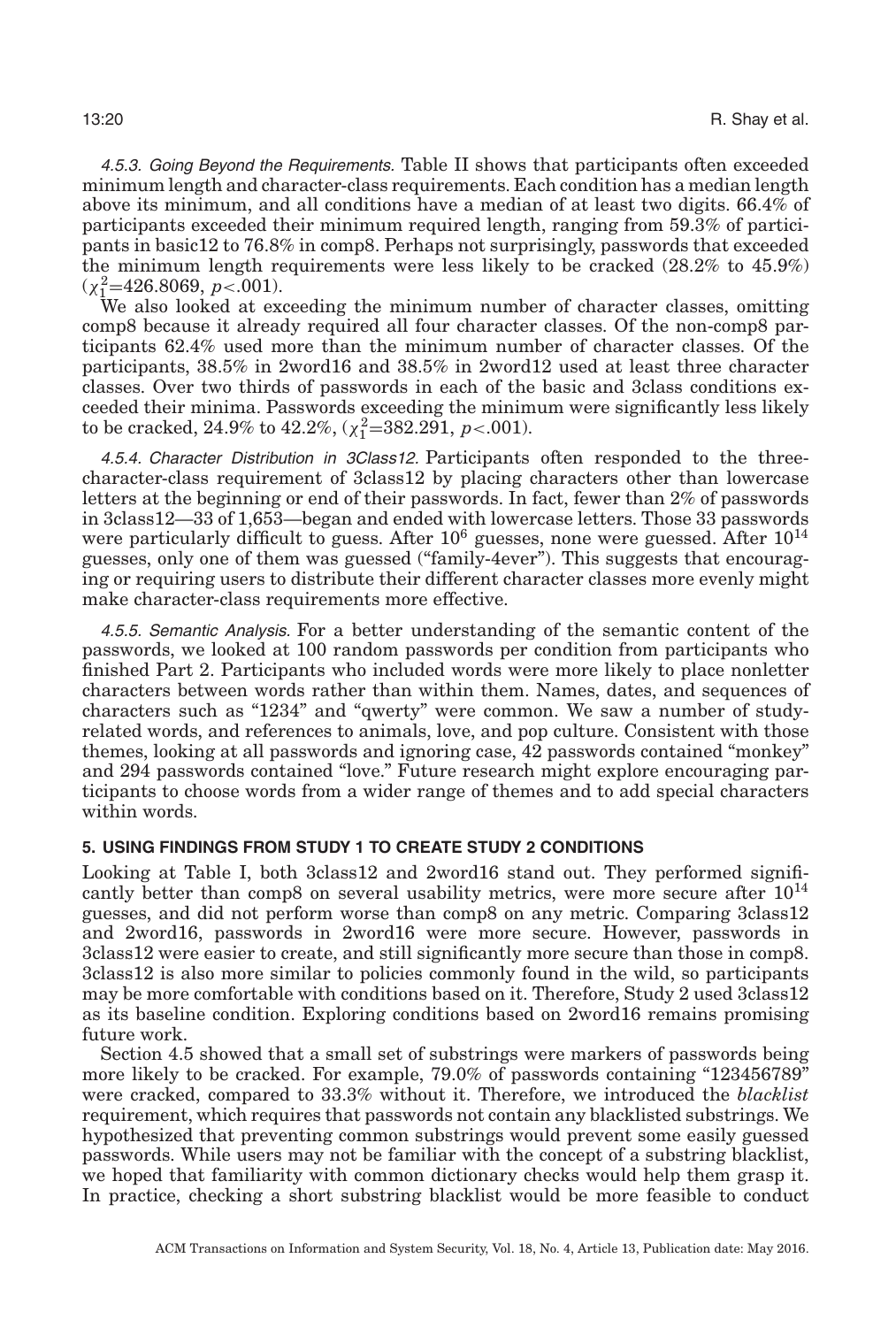4.5.3. Going Beyond the Requirements. Table [II](#page-13-0) shows that participants often exceeded minimum length and character-class requirements. Each condition has a median length above its minimum, and all conditions have a median of at least two digits. 66.4% of participants exceeded their minimum required length, ranging from 59.3% of participants in basic12 to 76.8% in comp8. Perhaps not surprisingly, passwords that exceeded the minimum length requirements were less likely to be cracked (28.2% to 45.9%)  $(\chi^2$ =426.8069, *p*<.001).

We also looked at exceeding the minimum number of character classes, omitting comp8 because it already required all four character classes. Of the non-comp8 participants 62.4% used more than the minimum number of character classes. Of the participants, 38.5% in 2word16 and 38.5% in 2word12 used at least three character classes. Over two thirds of passwords in each of the basic and 3class conditions exceeded their minima. Passwords exceeding the minimum were significantly less likely to be cracked,  $24.9\%$  to  $42.2\%, (\chi^2_1=382.291, p<.001)$ .

4.5.4. Character Distribution in 3Class12. Participants often responded to the threecharacter-class requirement of 3class12 by placing characters other than lowercase letters at the beginning or end of their passwords. In fact, fewer than 2% of passwords in 3class12—33 of 1,653—began and ended with lowercase letters. Those 33 passwords were particularly difficult to guess. After  $10^6$  guesses, none were guessed. After  $10^{14}$ guesses, only one of them was guessed ("family-4ever"). This suggests that encouraging or requiring users to distribute their different character classes more evenly might make character-class requirements more effective.

4.5.5. Semantic Analysis. For a better understanding of the semantic content of the passwords, we looked at 100 random passwords per condition from participants who finished Part 2. Participants who included words were more likely to place nonletter characters between words rather than within them. Names, dates, and sequences of characters such as "1234" and "qwerty" were common. We saw a number of studyrelated words, and references to animals, love, and pop culture. Consistent with those themes, looking at all passwords and ignoring case, 42 passwords contained "monkey" and 294 passwords contained "love." Future research might explore encouraging participants to choose words from a wider range of themes and to add special characters within words.

## **5. USING FINDINGS FROM STUDY 1 TO CREATE STUDY 2 CONDITIONS**

<span id="page-19-0"></span>Looking at Table [I,](#page-12-0) both 3class12 and 2word16 stand out. They performed significantly better than comp8 on several usability metrics, were more secure after  $10^{14}$ guesses, and did not perform worse than comp8 on any metric. Comparing 3class12 and 2word16, passwords in 2word16 were more secure. However, passwords in 3class12 were easier to create, and still significantly more secure than those in comp8. 3class12 is also more similar to policies commonly found in the wild, so participants may be more comfortable with conditions based on it. Therefore, Study 2 used 3class12 as its baseline condition. Exploring conditions based on 2word16 remains promising future work.

Section [4.5](#page-18-1) showed that a small set of substrings were markers of passwords being more likely to be cracked. For example, 79.0% of passwords containing "123456789" were cracked, compared to 33.3% without it. Therefore, we introduced the *blacklist* requirement, which requires that passwords not contain any blacklisted substrings. We hypothesized that preventing common substrings would prevent some easily guessed passwords. While users may not be familiar with the concept of a substring blacklist, we hoped that familiarity with common dictionary checks would help them grasp it. In practice, checking a short substring blacklist would be more feasible to conduct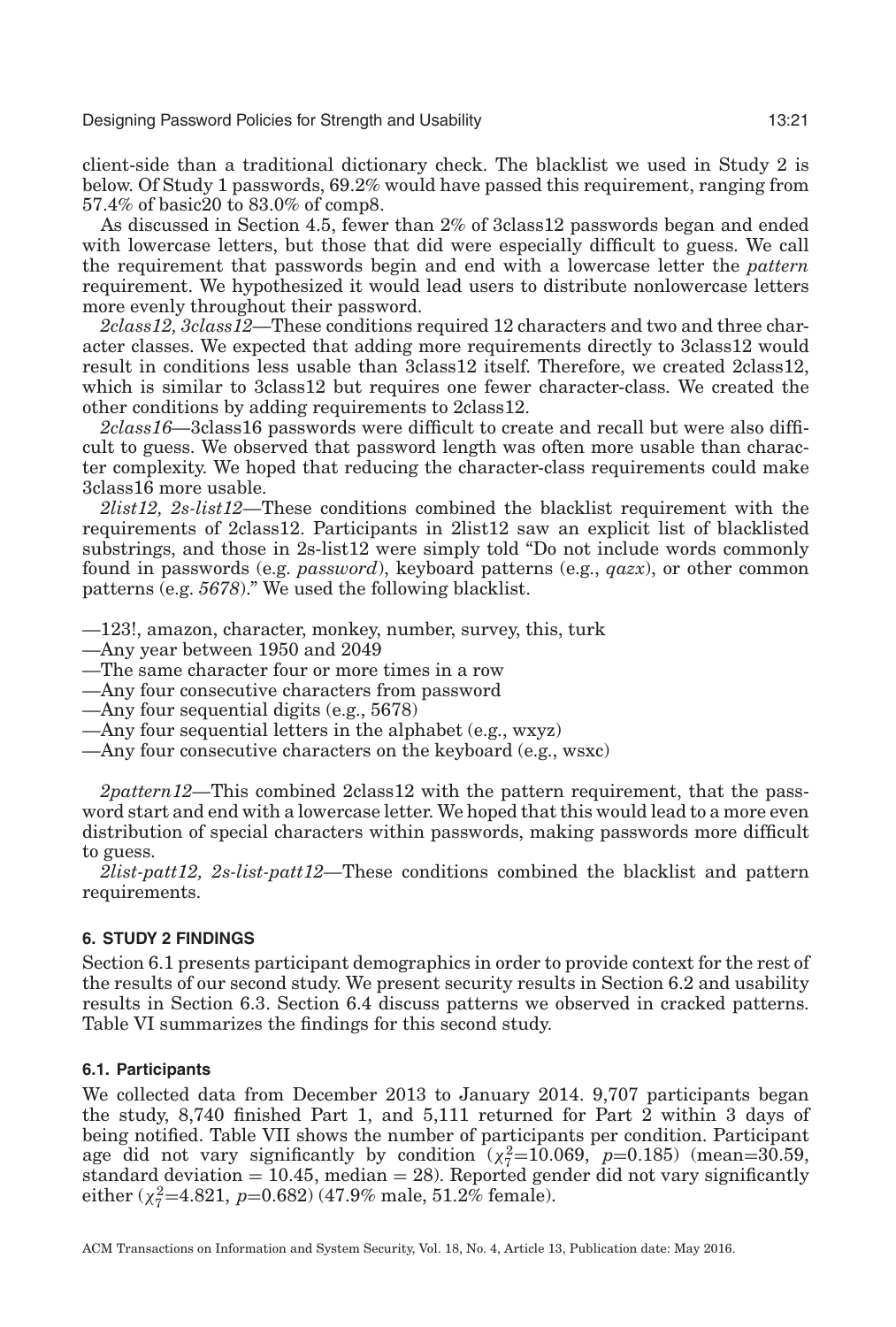client-side than a traditional dictionary check. The blacklist we used in Study 2 is below. Of Study 1 passwords, 69.2% would have passed this requirement, ranging from 57.4% of basic20 to 83.0% of comp8.

As discussed in Section [4.5,](#page-18-1) fewer than 2% of 3class12 passwords began and ended with lowercase letters, but those that did were especially difficult to guess. We call the requirement that passwords begin and end with a lowercase letter the *pattern* requirement. We hypothesized it would lead users to distribute nonlowercase letters more evenly throughout their password.

*2class12, 3class12—*These conditions required 12 characters and two and three character classes. We expected that adding more requirements directly to 3class12 would result in conditions less usable than 3class12 itself. Therefore, we created 2class12, which is similar to 3class12 but requires one fewer character-class. We created the other conditions by adding requirements to 2class12.

*2class16—*3class16 passwords were difficult to create and recall but were also difficult to guess. We observed that password length was often more usable than character complexity. We hoped that reducing the character-class requirements could make 3class16 more usable.

*2list12, 2s-list12—*These conditions combined the blacklist requirement with the requirements of 2class12. Participants in 2list12 saw an explicit list of blacklisted substrings, and those in 2s-list12 were simply told "Do not include words commonly found in passwords (e.g. *password*), keyboard patterns (e.g., *qazx*), or other common patterns (e.g. *5678*)." We used the following blacklist.

—123!, amazon, character, monkey, number, survey, this, turk

—Any year between 1950 and 2049

—The same character four or more times in a row

—Any four consecutive characters from password

—Any four sequential digits (e.g., 5678)

—Any four sequential letters in the alphabet (e.g., wxyz)

—Any four consecutive characters on the keyboard (e.g., wsxc)

*2pattern12—*This combined 2class12 with the pattern requirement, that the password start and end with a lowercase letter. We hoped that this would lead to a more even distribution of special characters within passwords, making passwords more difficult to guess.

*2list-patt12, 2s-list-patt12—*These conditions combined the blacklist and pattern requirements.

### **6. STUDY 2 FINDINGS**

<span id="page-20-0"></span>Section [6.1](#page-20-1) presents participant demographics in order to provide context for the rest of the results of our second study. We present security results in Section [6.2](#page-21-0) and usability results in Section [6.3.](#page-21-1) Section [6.4](#page-26-1) discuss patterns we observed in cracked patterns. Table [VI](#page-21-2) summarizes the findings for this second study.

#### **6.1. Participants**

<span id="page-20-1"></span>We collected data from December 2013 to January 2014. 9,707 participants began the study, 8,740 finished Part 1, and 5,111 returned for Part 2 within 3 days of being notified. Table [VII](#page-21-3) shows the number of participants per condition. Participant age did not vary significantly by condition  $(\chi^2 = 10.069, p = 0.185)$  (mean=30.59, standard deviation  $= 10.45$ , median  $= 28$ ). Reported gender did not vary significantly either ( $\chi^2$ =4.821, *p*=0.682) (47.9% male, 51.2% female).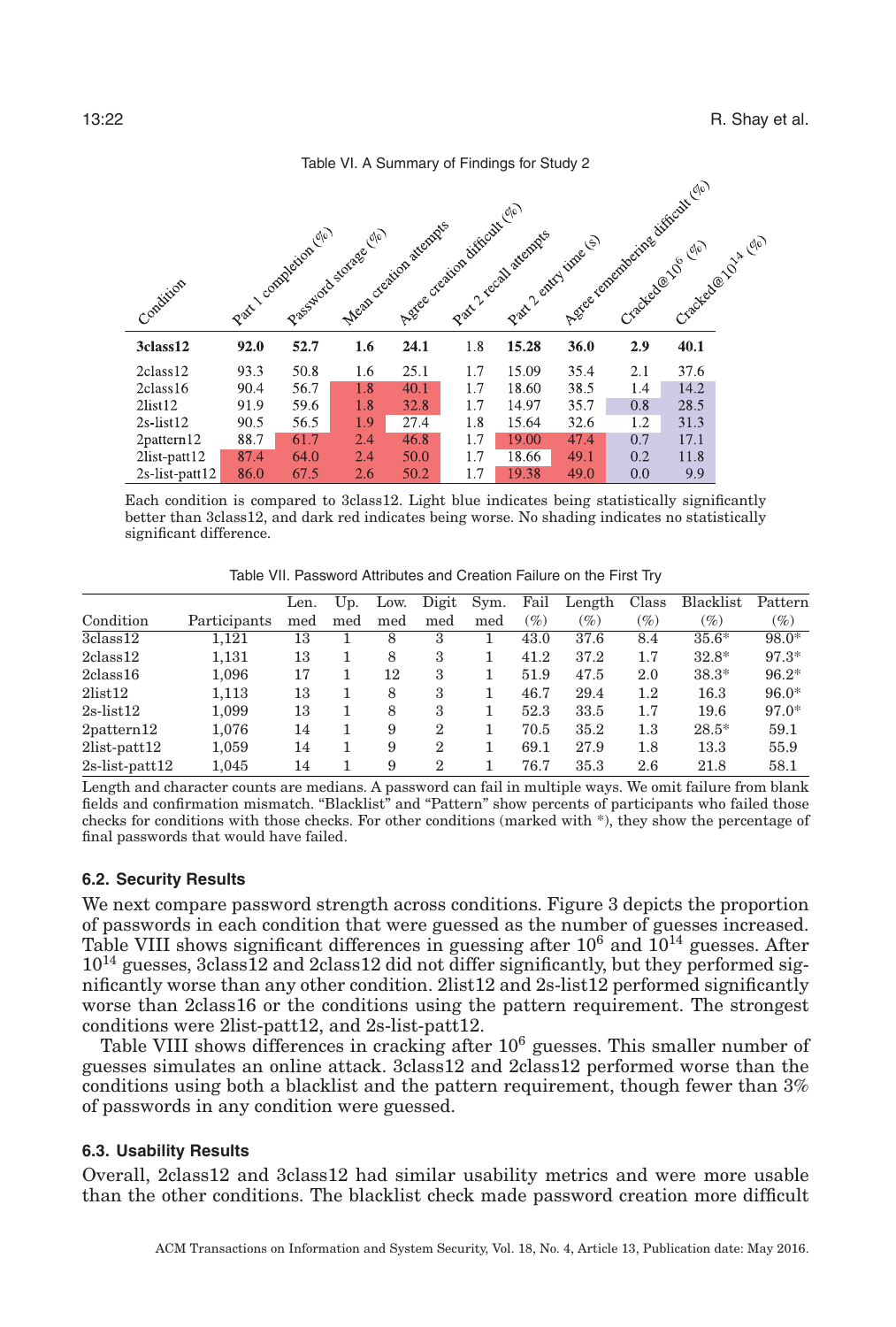<span id="page-21-2"></span>

|                      |      |                      |                                                  | Assessment difficult (1/6) |     |                                               |      | Aggree renembering dirtcall cle . |                   |  |
|----------------------|------|----------------------|--------------------------------------------------|----------------------------|-----|-----------------------------------------------|------|-----------------------------------|-------------------|--|
| Condition            |      | Part Loompotion (10) | Mean oregion attends<br>Prastagadd storage (210) |                            |     | Part 2 recall atempts<br>Part? entry time (s) |      |                                   | Cracked@in124 (n) |  |
| 3class12             | 92.0 | 52.7                 | 1.6                                              | 24.1                       | 1.8 | 15.28                                         | 36.0 | 2.9                               | 40.1              |  |
| 2class12             | 93.3 | 50.8                 | 1.6                                              | 25.1                       | 1.7 | 15.09                                         | 35.4 | 2.1                               | 37.6              |  |
| 2class16             | 90.4 | 56.7                 | 1.8                                              | 40.1                       | 1.7 | 18.60                                         | 38.5 | 1.4                               | 14.2              |  |
| 2list12              | 91.9 | 59.6                 | 1.8                                              | 32.8                       | 1.7 | 14.97                                         | 35.7 | 0.8                               | 28.5              |  |
| $2s$ -list $12$      | 90.5 | 56.5                 | 1.9                                              | 27.4                       | 1.8 | 15.64                                         | 32.6 | 1.2                               | 31.3              |  |
| $2$ pattern $12$     | 88.7 | 61.7                 | 2.4                                              | 46.8                       | 1.7 | 19.00                                         | 47.4 | 0.7                               | 17.1              |  |
| $2list$ -patt $12$   | 87.4 | 64.0                 | 2.4                                              | 50.0                       | 1.7 | 18.66                                         | 49.1 | 0.2                               | 11.8              |  |
| $2s$ -list-patt $12$ | 86.0 | 67.5                 | 2.6                                              | 50.2                       | 1.7 | 19.38                                         | 49.0 | 0.0                               | 9.9               |  |

Table VI. A Summary of Findings for Study 2

Each condition is compared to 3class12. Light blue indicates being statistically significantly better than 3class12, and dark red indicates being worse. No shading indicates no statistically significant difference.

Table VII. Password Attributes and Creation Failure on the First Try

<span id="page-21-3"></span>

|                      |              | Len. | Up. | Low. | Digit         | Sym. | Fail   | Length | Class   | Blacklist | Pattern |
|----------------------|--------------|------|-----|------|---------------|------|--------|--------|---------|-----------|---------|
| Condition            | Participants | med  | med | med  | med           | med  | $(\%)$ | $(\%)$ | $(\%)$  | $(\%)$    | $(\%)$  |
| 3class12             | 1.121        | 13   |     | 8    | 3             |      | 43.0   | 37.6   | 8.4     | $35.6*$   | 98.0*   |
| $2$ class $12$       | 1,131        | 13   |     | 8    | 3             |      | 41.2   | 37.2   | 1.7     | $32.8*$   | $97.3*$ |
| $2$ class $16$       | 1.096        | 17   |     | 12   | 3             |      | 51.9   | 47.5   | 2.0     | $38.3*$   | $96.2*$ |
| 2list12              | 1,113        | 13   |     | 8    | 3             |      | 46.7   | 29.4   | $1.2\,$ | 16.3      | $96.0*$ |
| $2s$ -list $12$      | 1.099        | 13   |     | 8    | 3             |      | 52.3   | 33.5   | 1.7     | 19.6      | $97.0*$ |
| $2$ pattern $12$     | 1.076        | 14   |     | 9    | $\mathbf 2$   |      | 70.5   | 35.2   | $1.3\,$ | $28.5*$   | 59.1    |
| $2$ list-patt $12$   | 1,059        | 14   |     | 9    | 2             |      | 69.1   | 27.9   | 1.8     | 13.3      | 55.9    |
| $2s$ -list-patt $12$ | 1.045        | 14   |     | 9    | $\mathcal{D}$ |      | 76.7   | 35.3   | 2.6     | 21.8      | 58.1    |

Length and character counts are medians. A password can fail in multiple ways. We omit failure from blank fields and confirmation mismatch. "Blacklist" and "Pattern" show percents of participants who failed those checks for conditions with those checks. For other conditions (marked with \*), they show the percentage of final passwords that would have failed.

### **6.2. Security Results**

<span id="page-21-0"></span>We next compare password strength across conditions. Figure [3](#page-22-1) depicts the proportion of passwords in each condition that were guessed as the number of guesses increased. Table [VIII](#page-23-0) shows significant differences in guessing after  $10^6$  and  $10^{14}$  guesses. After  $10^{14}$  guesses, 3class12 and 2class12 did not differ significantly, but they performed significantly worse than any other condition. 2list12 and 2s-list12 performed significantly worse than 2class16 or the conditions using the pattern requirement. The strongest conditions were 2list-patt12, and 2s-list-patt12.

Table [VIII](#page-23-0) shows differences in cracking after  $10<sup>6</sup>$  guesses. This smaller number of guesses simulates an online attack. 3class12 and 2class12 performed worse than the conditions using both a blacklist and the pattern requirement, though fewer than 3% of passwords in any condition were guessed.

### **6.3. Usability Results**

<span id="page-21-1"></span>Overall, 2class12 and 3class12 had similar usability metrics and were more usable than the other conditions. The blacklist check made password creation more difficult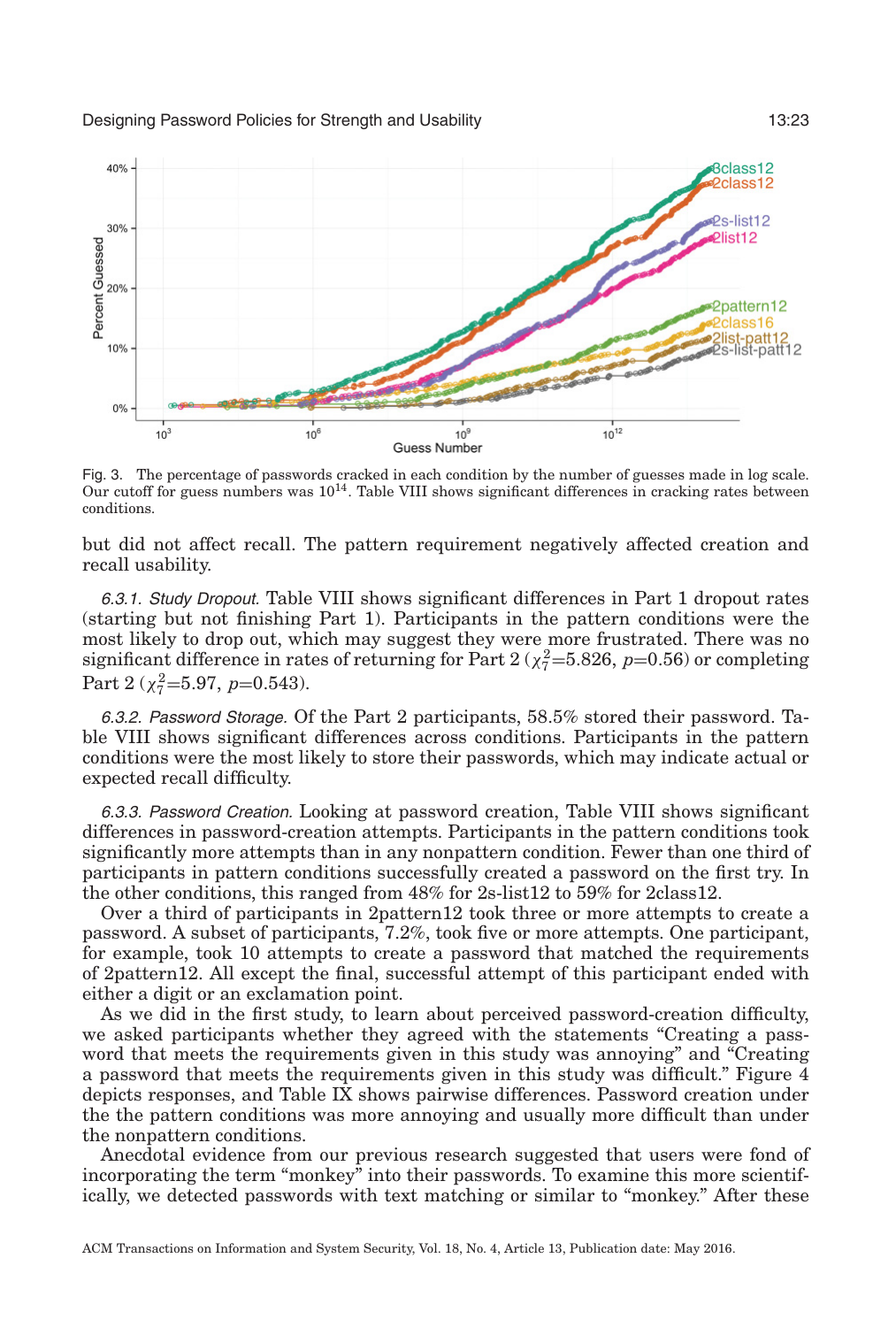<span id="page-22-1"></span>

Fig. 3. The percentage of passwords cracked in each condition by the number of guesses made in log scale. Our cutoff for guess numbers was  $10^{14}$ . Table VIII shows significant differences in cracking rates between conditions.

but did not affect recall. The pattern requirement negatively affected creation and recall usability.

<span id="page-22-0"></span>6.3.1. Study Dropout. Table [VIII](#page-23-0) shows significant differences in Part 1 dropout rates (starting but not finishing Part 1). Participants in the pattern conditions were the most likely to drop out, which may suggest they were more frustrated. There was no significant difference in rates of returning for Part  $2 \left( \chi_7^2 = 5.826, \ p = 0.56 \right)$  or completing Part 2 ( $\chi_7^2$ =5.97, *p*=0.543).

6.3.2. Password Storage. Of the Part 2 participants, 58.5% stored their password. Table [VIII](#page-23-0) shows significant differences across conditions. Participants in the pattern conditions were the most likely to store their passwords, which may indicate actual or expected recall difficulty.

6.3.3. Password Creation. Looking at password creation, Table [VIII](#page-23-0) shows significant differences in password-creation attempts. Participants in the pattern conditions took significantly more attempts than in any nonpattern condition. Fewer than one third of participants in pattern conditions successfully created a password on the first try. In the other conditions, this ranged from 48% for 2s-list12 to 59% for 2class12.

Over a third of participants in 2pattern12 took three or more attempts to create a password. A subset of participants, 7.2%, took five or more attempts. One participant, for example, took 10 attempts to create a password that matched the requirements of 2pattern12. All except the final, successful attempt of this participant ended with either a digit or an exclamation point.

As we did in the first study, to learn about perceived password-creation difficulty, we asked participants whether they agreed with the statements "Creating a password that meets the requirements given in this study was annoying" and "Creating a password that meets the requirements given in this study was difficult." Figure [4](#page-25-0) depicts responses, and Table [IX](#page-24-0) shows pairwise differences. Password creation under the the pattern conditions was more annoying and usually more difficult than under the nonpattern conditions.

Anecdotal evidence from our previous research suggested that users were fond of incorporating the term "monkey" into their passwords. To examine this more scientifically, we detected passwords with text matching or similar to "monkey." After these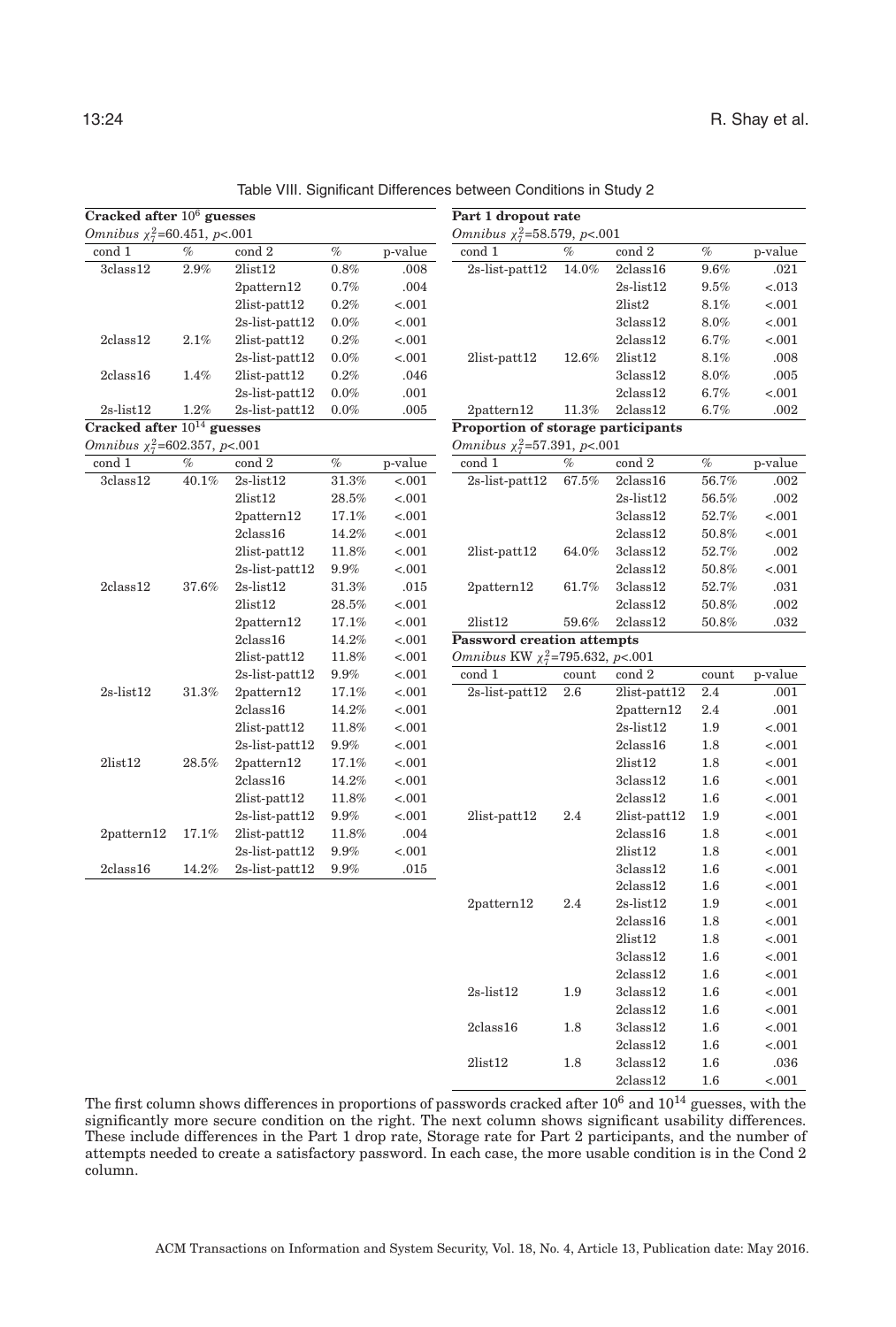**Cracked after** 1014 **guesses** *Omnibus*  $\chi^2_7$ =602.357, *p*<.001

| Part 1 dropout rate<br>Omnibus $\chi^2$ =58.579, p<.001 |          |                    |         |         |
|---------------------------------------------------------|----------|--------------------|---------|---------|
| cond 1                                                  | $\%$     | cond 2             | $\%$    | p-value |
| $2s$ -list-patt $12$                                    | 14.0%    | $2$ class $16$     | 9.6%    | .021    |
|                                                         |          | $2s$ -list $12$    | 9.5%    | $-.013$ |
|                                                         |          | $2$ list $2$       | 8.1%    | $-.001$ |
|                                                         |          | $3$ class $12$     | 8.0%    | $-.001$ |
|                                                         |          | $2$ class $12$     | $6.7\%$ | $-.001$ |
| $2$ list-patt $12$                                      | 12.6%    | $2$ list $12$      | 8.1%    | .008    |
|                                                         |          | $3$ class $12$     | $8.0\%$ | .005    |
|                                                         |          | $2$ class $12$     | $6.7\%$ | $-.001$ |
| 2pattern12                                              | $11.3\%$ | 2class12           | 6.7%    | .002    |
| Proportion of storage participants                      |          |                    |         |         |
| Omnibus $\chi^2$ =57.391, p<.001                        |          |                    |         |         |
| cond 1                                                  | %        | cond 2             | $\%$    | p-value |
| 2s-list-patt12                                          | 67.5%    | 2class16           | 56.7%   | .002    |
|                                                         |          | $2s$ -list $12$    | 56.5%   | .002    |
|                                                         |          | 3class12           | 52.7%   | $-.001$ |
|                                                         |          | $2$ class $12$     | 50.8%   | $-.001$ |
| $2$ list-patt $12$                                      | 64.0%    | $3$ class $12$     | 52.7%   | .002    |
|                                                         |          | $2$ class $12$     | 50.8%   | $-.001$ |
| 2pattern12                                              | $61.7\%$ | $3$ class $12$     | 52.7%   | .031    |
|                                                         |          | 2class12           | 50.8%   | .002    |
| 2list12                                                 | $59.6\%$ | 2class12           | 50.8%   | .032    |
| <b>Password creation attempts</b>                       |          |                    |         |         |
| Omnibus KW $\chi^2$ =795.632, p<.001                    |          |                    |         |         |
| cond 1                                                  | count    | cond 2             | count   | p-value |
| $2s$ -list-patt $12$                                    | 2.6      | 2list-patt12       | 2.4     | .001    |
|                                                         |          | 2pattern12         | 2.4     | .001    |
|                                                         |          | $2s$ -list $12$    | 1.9     | < .001  |
|                                                         |          | $2$ class $16$     | 1.8     | $-.001$ |
|                                                         |          | $2$ list $12$      | 1.8     | $-.001$ |
|                                                         |          | $3$ class $12$     | 1.6     | $-.001$ |
|                                                         |          | $2$ class $12$     | 1.6     | $-.001$ |
| $2$ list-patt $12$                                      | 2.4      | $2$ list-patt $12$ | 1.9     | $-.001$ |
|                                                         |          | 2class16           | 1.8     | $-.001$ |
|                                                         |          | $2$ list $12$      | 1.8     | $-.001$ |
|                                                         |          | 3class12           | 1.6     | $-.001$ |
|                                                         |          | $2$ class $12$     | 1.6     | $-.001$ |
| $2$ pattern12                                           | 2.4      | $2s$ -list $12$    | 1.9     | $-.001$ |
|                                                         |          | $2$ class $16$     | 1.8     | $-.001$ |
|                                                         |          | 2list12            | $1.8\,$ | $-.001$ |
|                                                         |          | $3$ class $12$     | 1.6     | $-.001$ |
|                                                         |          | $2$ class $12$     | 1.6     | $-.001$ |
| $2s$ -list $12$                                         | 1.9      | $3$ class $12$     | $1.6\,$ | $-.001$ |
|                                                         |          | $2$ class $12$     | 1.6     | $-.001$ |
| 2class16                                                | 1.8      | $3$ class $12$     | 1.6     | $-.001$ |
|                                                         |          | $2$ class $12$     | $1.6\,$ | $-.001$ |
| 2list12                                                 | 1.8      | $3$ class $12$     | 1.6     | .036    |
|                                                         |          | $2$ class $12$     | 1.6     | < .001  |

Table VIII. Significant Differences between Conditions in Study 2

2pattern12 0.7% .004 2list-patt12 0.2% <.001 2s-list-patt12 0.0% <.001

2s-list-patt12 0.0% <.001

2s-list-patt12 0.0% .001

2list12 28.5% <.001 2pattern12 17.1% <.001 2class16 14.2% <.001 2list-patt12 11.8% <.001 2s-list-patt12 9.9% <.001

2list12 28.5% <.001 2pattern12 17.1% <.001 2class16 14.2% <.001 2list-patt12 11.8% <.001 2s-list-patt12 9.9% <.001

2class16 14.2% <.001 2list-patt12 11.8% <.001 2s-list-patt12 9.9% <.001

2class16 14.2% <.001 2list-patt12 11.8% <.001 2s-list-patt12 9.9% <.001

2s-list-patt12 9.9% <.001

<span id="page-23-0"></span>2class12 2.1% 2list-patt12 0.2% <.001

2class16 1.4% 2list-patt12 0.2% .046

2s-list12 1.2% 2s-list-patt12 0.0% .005

cond 1  $\%$  cond 2  $\%$  p-value  $3class12$   $40.1\%$   $2s-list12$   $31.3\%$   $\lt.001$ 

2class12 37.6% 2s-list12 31.3% .015

2s-list12 31.3% 2pattern12 17.1% <.001

2list12 28.5% 2pattern12 17.1% <.001

2pattern12 17.1% 2list-patt12 11.8% .004

2class16 14.2% 2s-list-patt12 9.9% .015

The first column shows differences in proportions of passwords cracked after  $10^6$  and  $10^{14}$  guesses, with the significantly more secure condition on the right. The next column shows significant usability differences. These include differences in the Part 1 drop rate, Storage rate for Part 2 participants, and the number of attempts needed to create a satisfactory password. In each case, the more usable condition is in the Cond 2 column.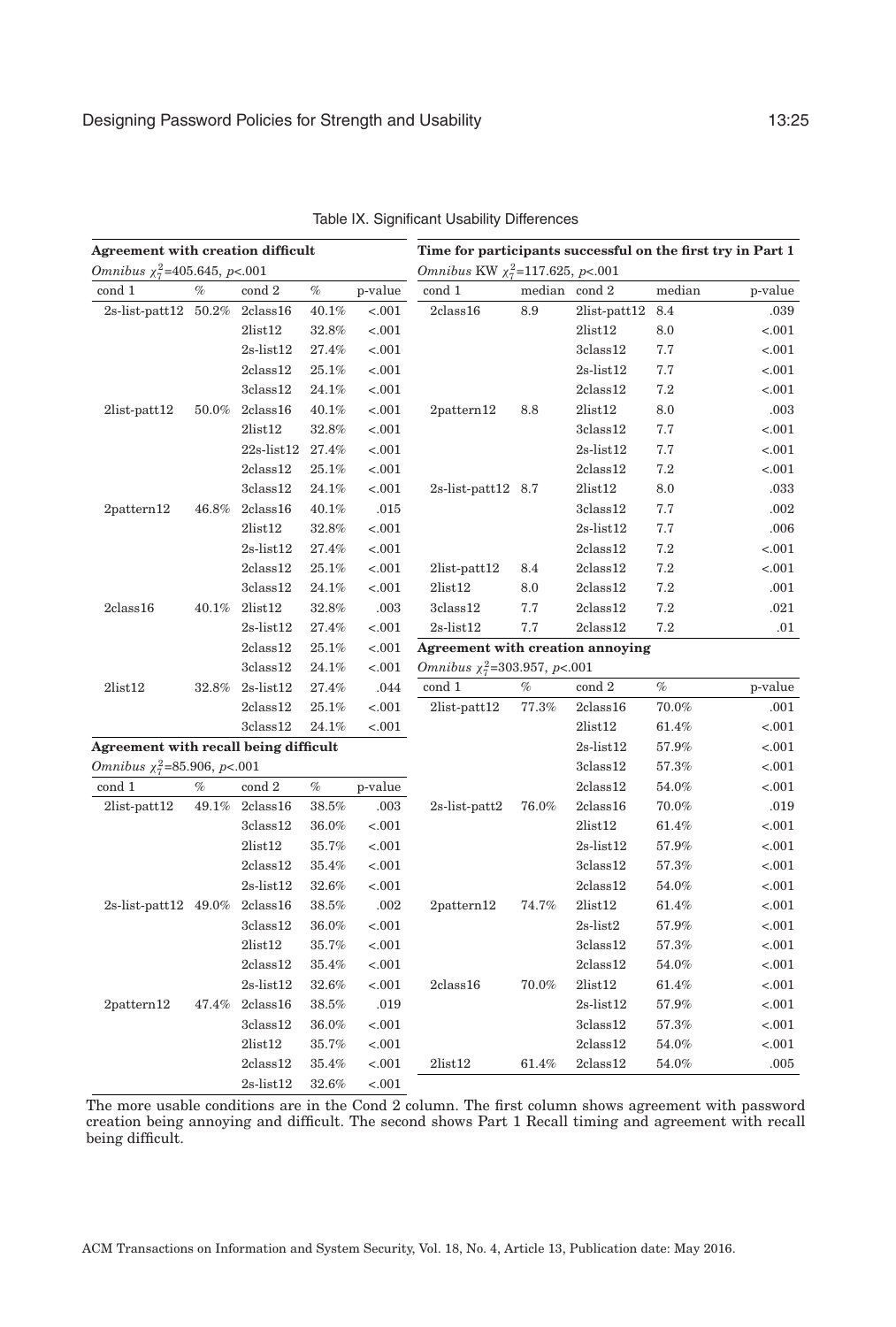<span id="page-24-0"></span>

| Agreement with creation difficult     |          |                         |          |         | Time for participants successful on the first try in Part 1 |               |                    |          |         |  |  |
|---------------------------------------|----------|-------------------------|----------|---------|-------------------------------------------------------------|---------------|--------------------|----------|---------|--|--|
| Omnibus $\chi^2_7$ =405.645, p<.001   |          |                         |          |         | Omnibus KW $\chi^2_7$ =117.625, p<.001                      |               |                    |          |         |  |  |
| cond 1                                | $\%$     | $\operatorname{cond} 2$ | $\%$     | p-value | cond 1                                                      | median cond 2 |                    | median   | p-value |  |  |
| 2s-list-patt12 50.2%                  |          | 2class16                | 40.1%    | < .001  | 2class16                                                    | 8.9           | $2list$ -patt $12$ | 8.4      | .039    |  |  |
|                                       |          | 2list12                 | 32.8%    | $-.001$ |                                                             |               | 2list12            | 8.0      | $-.001$ |  |  |
|                                       |          | $2s$ -list $12$         | $27.4\%$ | < 0.001 |                                                             |               | 3class12           | 7.7      | $-.001$ |  |  |
|                                       |          | 2class12                | 25.1%    | < .001  |                                                             |               | $2s$ -list $12$    | 7.7      | $-.001$ |  |  |
|                                       |          | $3$ class $12$          | 24.1%    | $-.001$ |                                                             |               | $2$ class $12$     | 7.2      | $-.001$ |  |  |
| $2list$ -patt $12$                    | $50.0\%$ | 2class16                | 40.1%    | < .001  | 2pattern12                                                  | 8.8           | 2list12            | 8.0      | .003    |  |  |
|                                       |          | $2$ list $12$           | $32.8\%$ | < .001  |                                                             |               | $3$ class $12$     | 7.7      | $-.001$ |  |  |
|                                       |          | 22s-list12 27.4%        |          | < .001  |                                                             |               | $2s$ -list $12$    | 7.7      | $-.001$ |  |  |
|                                       |          | 2class12                | 25.1%    | < .001  |                                                             |               | 2class12           | $7.2\,$  | < .001  |  |  |
|                                       |          | $3{\rm class}12$        | 24.1%    | < .001  | $2s$ -list-patt $12\quad8.7$                                |               | 2list12            | 8.0      | .033    |  |  |
| $2$ pattern $12$                      | $46.8\%$ | 2class16                | 40.1%    | .015    |                                                             |               | 3class12           | 7.7      | .002    |  |  |
|                                       |          | 2list12                 | $32.8\%$ | < .001  |                                                             |               | $2s$ -list $12$    | 7.7      | .006    |  |  |
|                                       |          | $2s$ -list $12$         | 27.4%    | < 0.001 |                                                             |               | 2class12           | 7.2      | $-.001$ |  |  |
|                                       |          | 2class12                | 25.1%    | < .001  | $2list$ -patt $12$                                          | 8.4           | 2class12           | 7.2      | < .001  |  |  |
|                                       |          | $3$ class $12$          | 24.1%    | $-.001$ | $2$ list $12$                                               | 8.0           | $2$ class $12$     | $7.2\,$  | .001    |  |  |
| 2class16                              | $40.1\%$ | 2list12                 | $32.8\%$ | .003    | $3$ class $12$                                              | 7.7           | 2class12           | 7.2      | .021    |  |  |
|                                       |          | $2s$ -list $12$         | 27.4%    | $-.001$ | $2s$ -list $12$                                             | 7.7           | 2class12           | 7.2      | .01     |  |  |
|                                       |          | $2$ class $12$          | 25.1%    | $-.001$ | <b>Agreement with creation annoying</b>                     |               |                    |          |         |  |  |
|                                       |          | 3 class 12              | 24.1%    | < .001  | Omnibus $\chi_7^2$ =303.957, p<.001                         |               |                    |          |         |  |  |
| 2list12                               | 32.8%    | $2s$ -list $12$         | 27.4%    | .044    | cond 1                                                      | %             | cond 2             | %        | p-value |  |  |
|                                       |          | $2$ class $12$          | 25.1%    | < 0.001 | $2$ list-patt $12$                                          | 77.3%         | 2class16           | $70.0\%$ | .001    |  |  |
|                                       |          | 3class12                | 24.1%    | < 0.001 |                                                             |               | 2list12            | $61.4\%$ | < .001  |  |  |
| Agreement with recall being difficult |          |                         |          |         |                                                             |               | $2s$ -list $12$    | 57.9%    | $-.001$ |  |  |
| Omnibus $\chi_7^2$ =85.906, p<.001    |          |                         |          |         |                                                             |               | 3class12           | 57.3%    | $-.001$ |  |  |
| cond 1                                | $\%$     | cond 2                  | $\%$     | p-value |                                                             |               | 2class12           | 54.0%    | $-.001$ |  |  |
| $2list$ -patt $12$                    | 49.1%    | 2class16                | $38.5\%$ | .003    | $2s$ -list-patt $2$                                         | 76.0%         | 2class16           | 70.0%    | .019    |  |  |
|                                       |          | 3 class 12              | $36.0\%$ | < .001  |                                                             |               | 2list12            | 61.4%    | $-.001$ |  |  |
|                                       |          | $2$ list $12$           | 35.7%    | $-.001$ |                                                             |               | $2s$ -list $12$    | 57.9%    | $-.001$ |  |  |
|                                       |          | 2class12                | 35.4%    | < .001  |                                                             |               | 3class12           | 57.3%    | $-.001$ |  |  |
|                                       |          | $2s$ -list $12$         | 32.6%    | $-.001$ |                                                             |               | 2class12           | 54.0%    | $-.001$ |  |  |
| 2s-list-patt12 49.0%                  |          | 2class16                | $38.5\%$ | .002    | $2$ pattern $12$                                            | 74.7%         | 2list12            | $61.4\%$ | < .001  |  |  |
|                                       |          | 3 class 12              | $36.0\%$ | < .001  |                                                             |               | $2s$ -list $2$     | 57.9%    | < .001  |  |  |
|                                       |          | 2list12                 | 35.7%    | < .001  |                                                             |               | 3class12           | 57.3%    | $-.001$ |  |  |
|                                       |          | 2class12                | 35.4%    | < .001  |                                                             |               | 2class12           | 54.0%    | $-.001$ |  |  |
|                                       |          | $2s$ -list $12$         | 32.6%    | < .001  | $2$ class $16$                                              | 70.0%         | 2list12            | $61.4\%$ | $-.001$ |  |  |
| $2$ pattern $12$                      | $47.4\%$ | 2class16                | $38.5\%$ | .019    |                                                             |               | $2s$ -list $12$    | 57.9%    | $-.001$ |  |  |
|                                       |          | 3class12                | 36.0%    | $-.001$ |                                                             |               | 3class12           | 57.3%    | < .001  |  |  |
|                                       |          | 2list12                 | $35.7\%$ | < .001  |                                                             |               | 2class12           | 54.0%    | < .001  |  |  |
|                                       |          | $2$ class $12$          | 35.4%    | < .001  | 2list12                                                     | 61.4%         | $2$ class $12$     | 54.0%    | .005    |  |  |
|                                       |          | $2s$ -list $12$         | 32.6%    | $-.001$ |                                                             |               |                    |          |         |  |  |

Table IX. Significant Usability Differences

The more usable conditions are in the Cond 2 column. The first column shows agreement with password creation being annoying and difficult. The second shows Part 1 Recall timing and agreement with recall being difficult.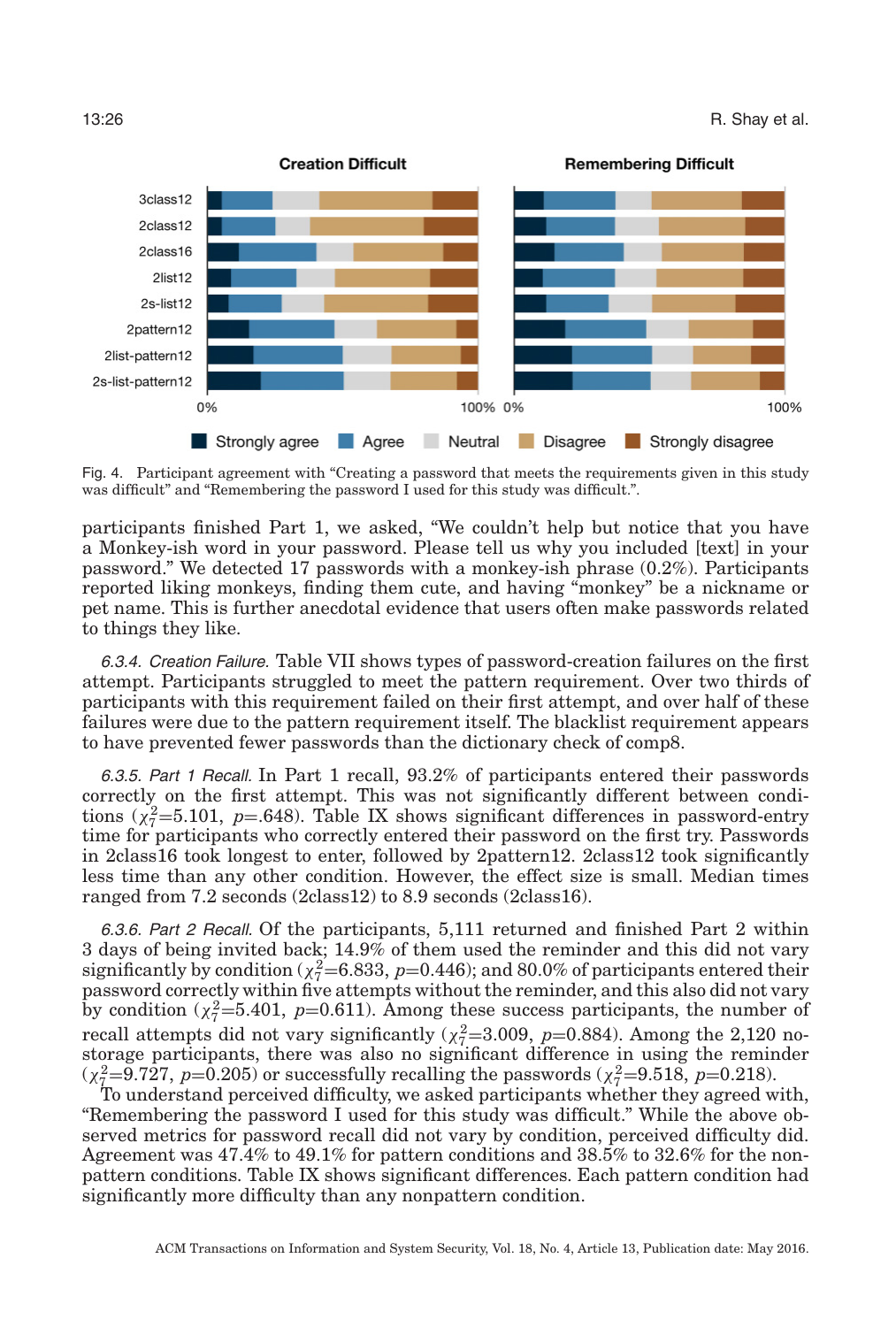<span id="page-25-0"></span>

Fig. 4. Participant agreement with "Creating a password that meets the requirements given in this study was difficult" and "Remembering the password I used for this study was difficult.".

participants finished Part 1, we asked, "We couldn't help but notice that you have a Monkey-ish word in your password. Please tell us why you included [text] in your password." We detected 17 passwords with a monkey-ish phrase (0.2%). Participants reported liking monkeys, finding them cute, and having "monkey" be a nickname or pet name. This is further anecdotal evidence that users often make passwords related to things they like.

6.3.4. Creation Failure. Table [VII](#page-21-3) shows types of password-creation failures on the first attempt. Participants struggled to meet the pattern requirement. Over two thirds of participants with this requirement failed on their first attempt, and over half of these failures were due to the pattern requirement itself. The blacklist requirement appears to have prevented fewer passwords than the dictionary check of comp8.

6.3.5. Part <sup>1</sup> Recall. In Part 1 recall, 93.2% of participants entered their passwords correctly on the first attempt. This was not significantly different between conditions ( $\chi^2$ =5.101, *p*=.648). Table [IX](#page-24-0) shows significant differences in password-entry time for participants who correctly entered their password on the first try. Passwords in 2class16 took longest to enter, followed by 2pattern12. 2class12 took significantly less time than any other condition. However, the effect size is small. Median times ranged from 7.2 seconds (2class12) to 8.9 seconds (2class16).

6.3.6. Part <sup>2</sup> Recall. Of the participants, 5,111 returned and finished Part 2 within 3 days of being invited back; 14.9% of them used the reminder and this did not vary significantly by condition ( $\chi^2$ =6.833, *p*=0.446); and 80.0% of participants entered their password correctly within five attempts without the reminder, and this also did not vary by condition  $(\chi^2_7=5.401, p=0.611)$ . Among these success participants, the number of recall attempts did not vary significantly ( $\chi^2$ =3.009, *p*=0.884). Among the 2,120 nostorage participants, there was also no significant difference in using the reminder  $(\chi^2 = 9.727, p = 0.205)$  or successfully recalling the passwords  $(\chi^2 = 9.518, p = 0.218)$ .

To understand perceived difficulty, we asked participants whether they agreed with, "Remembering the password I used for this study was difficult." While the above observed metrics for password recall did not vary by condition, perceived difficulty did. Agreement was 47.4% to 49.1% for pattern conditions and 38.5% to 32.6% for the nonpattern conditions. Table [IX](#page-24-0) shows significant differences. Each pattern condition had significantly more difficulty than any nonpattern condition.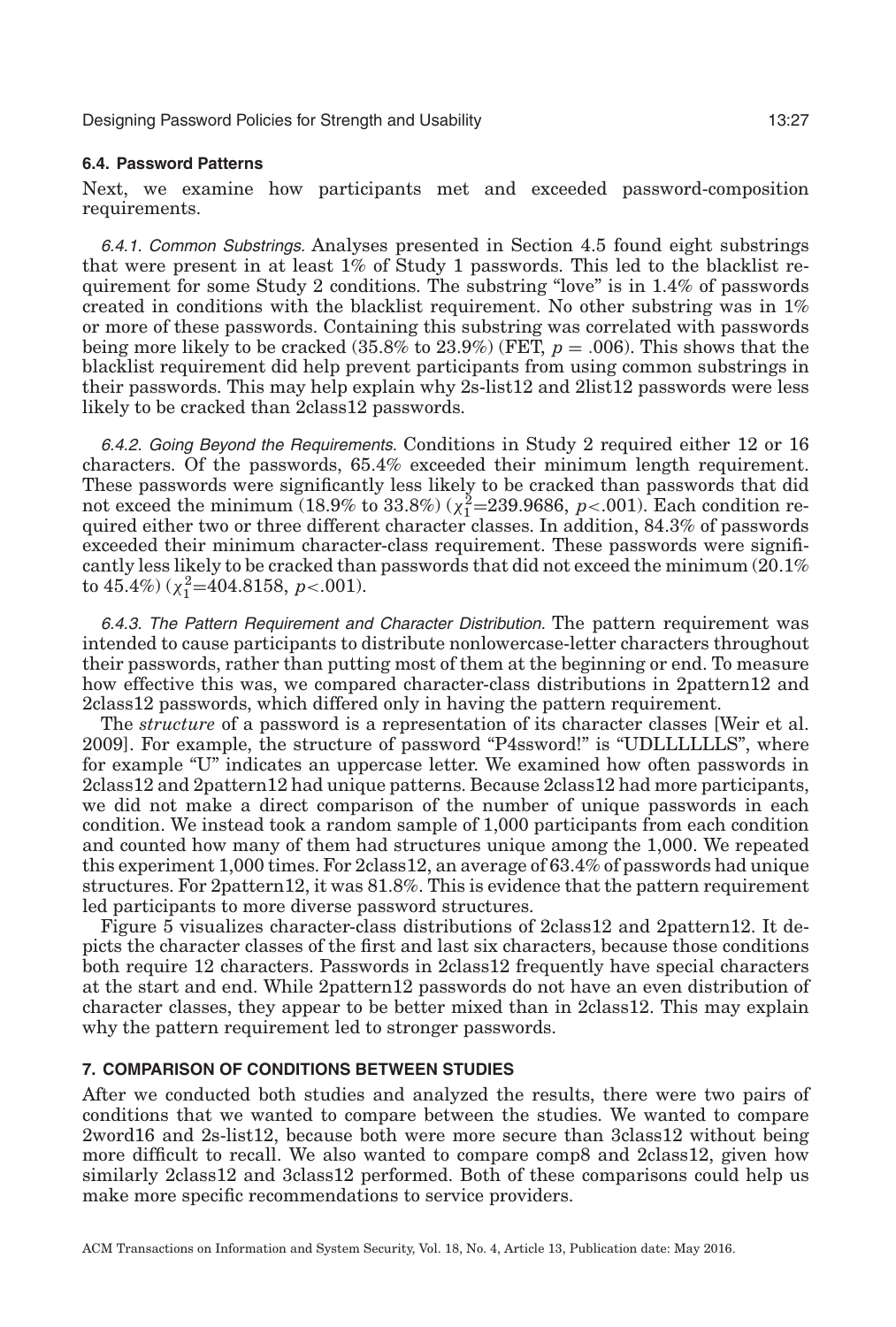#### **6.4. Password Patterns**

<span id="page-26-1"></span>Next, we examine how participants met and exceeded password-composition requirements.

6.4.1. Common Substrings. Analyses presented in Section [4.5](#page-18-1) found eight substrings that were present in at least 1% of Study 1 passwords. This led to the blacklist requirement for some Study 2 conditions. The substring "love" is in 1.4% of passwords created in conditions with the blacklist requirement. No other substring was in 1% or more of these passwords. Containing this substring was correlated with passwords being more likely to be cracked (35.8% to 23.9%) (FET, *p* = .006). This shows that the blacklist requirement did help prevent participants from using common substrings in their passwords. This may help explain why 2s-list12 and 2list12 passwords were less likely to be cracked than 2class12 passwords.

6.4.2. Going Beyond the Requirements. Conditions in Study 2 required either 12 or 16 characters. Of the passwords, 65.4% exceeded their minimum length requirement. These passwords were significantly less likely to be cracked than passwords that did not exceed the minimum (18.9% to 33.8%) ( $\chi_1^2$ =239.9686, *p*<.001). Each condition required either two or three different character classes. In addition, 84.3% of passwords exceeded their minimum character-class requirement. These passwords were significantly less likely to be cracked than passwords that did not exceed the minimum (20.1% to  $45.4\%$ ) ( $\chi_1^2$ = $404.8158, p<.001$ ).

6.4.3. The Pattern Requirement and Character Distribution. The pattern requirement was intended to cause participants to distribute nonlowercase-letter characters throughout their passwords, rather than putting most of them at the beginning or end. To measure how effective this was, we compared character-class distributions in 2pattern12 and 2class12 passwords, which differed only in having the pattern requirement.

The *structure* of a password is a representation of its character classes [Weir et al. [2009\]](#page-33-2). For example, the structure of password "P4ssword!" is "UDLLLLLLS", where for example "U" indicates an uppercase letter. We examined how often passwords in 2class12 and 2pattern12 had unique patterns. Because 2class12 had more participants, we did not make a direct comparison of the number of unique passwords in each condition. We instead took a random sample of 1,000 participants from each condition and counted how many of them had structures unique among the 1,000. We repeated this experiment 1,000 times. For 2class12, an average of 63.4% of passwords had unique structures. For 2pattern12, it was 81.8%. This is evidence that the pattern requirement led participants to more diverse password structures.

Figure [5](#page-27-0) visualizes character-class distributions of 2class12 and 2pattern12. It depicts the character classes of the first and last six characters, because those conditions both require 12 characters. Passwords in 2class12 frequently have special characters at the start and end. While 2pattern12 passwords do not have an even distribution of character classes, they appear to be better mixed than in 2class12. This may explain why the pattern requirement led to stronger passwords.

### **7. COMPARISON OF CONDITIONS BETWEEN STUDIES**

<span id="page-26-0"></span>After we conducted both studies and analyzed the results, there were two pairs of conditions that we wanted to compare between the studies. We wanted to compare 2word16 and 2s-list12, because both were more secure than 3class12 without being more difficult to recall. We also wanted to compare comp8 and 2class12, given how similarly 2class12 and 3class12 performed. Both of these comparisons could help us make more specific recommendations to service providers.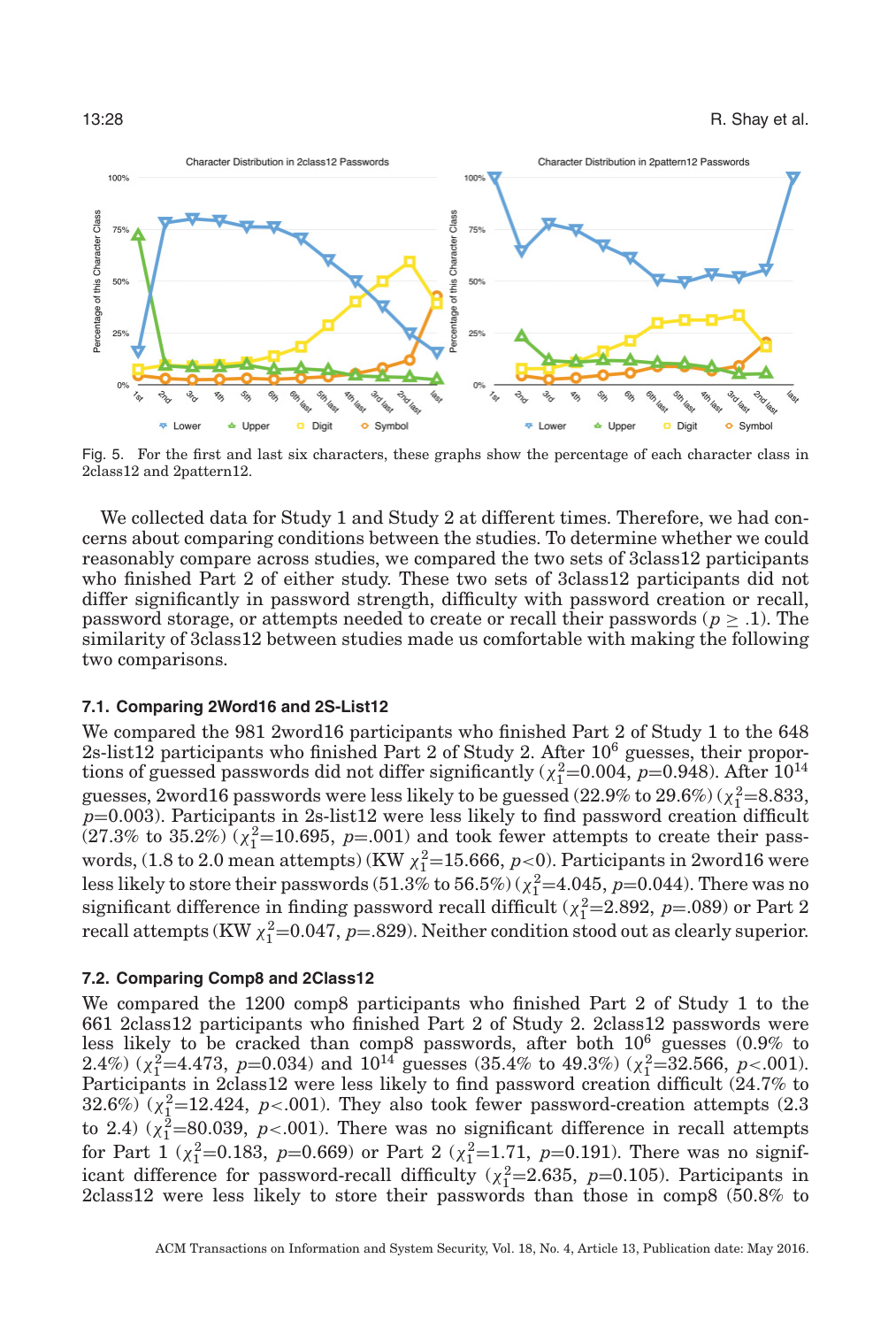<span id="page-27-0"></span>

Fig. 5. For the first and last six characters, these graphs show the percentage of each character class in 2class12 and 2pattern12.

We collected data for Study 1 and Study 2 at different times. Therefore, we had concerns about comparing conditions between the studies. To determine whether we could reasonably compare across studies, we compared the two sets of 3class12 participants who finished Part 2 of either study. These two sets of 3class12 participants did not differ significantly in password strength, difficulty with password creation or recall, password storage, or attempts needed to create or recall their passwords ( $p \geq .1$ ). The similarity of 3class12 between studies made us comfortable with making the following two comparisons.

#### **7.1. Comparing 2Word16 and 2S-List12**

We compared the 981 2word16 participants who finished Part 2 of Study 1 to the 648 2s-list12 participants who finished Part 2 of Study 2. After 10<sup>6</sup> guesses, their proportions of guessed passwords did not differ significantly ( $\chi_1^2$ =0.004, *p*=0.948). After 10<sup>14</sup> guesses, 2word16 passwords were less likely to be guessed  $(22.9\%$  to  $29.6\%)$   $(\chi_1^2=8.833, \chi_2^2=8.833)$  $p=0.003$ ). Participants in 2s-list12 were less likely to find password creation difficult  $(27.3\% \text{ to } 35.2\%) \left( \chi_1^2 = 10.695, \ p = .001 \right)$  and took fewer attempts to create their passwords,  $(1.8 \text{ to } 2.0 \text{ mean attempts})$  (KW  $\chi_1^2$ =15.666,  $p<$ ). Participants in 2word16 were less likely to store their passwords  $(51.3\%$  to  $56.5\%)$  ( $\chi_1^2$ =4.045, *p*=0.044). There was no significant difference in finding password recall difficult ( $\chi_1^2$ =2.892, *p*=.089) or Part 2 recall attempts (KW  $\chi_1^2$ =0.047, *p*=.829). Neither condition stood out as clearly superior.

#### **7.2. Comparing Comp8 and 2Class12**

We compared the 1200 comp8 participants who finished Part 2 of Study 1 to the 661 2class12 participants who finished Part 2 of Study 2. 2class12 passwords were less likely to be cracked than comp8 passwords, after both 106 guesses (0.9% to 2.4%) ( $\chi_1^2$ =4.473, *p*=0.034) and  $10^{14}$  guesses (35.4% to 49.3%) ( $\chi_1^2$ =32.566, *p*<.001). Participants in 2class12 were less likely to find password creation difficult (24.7% to  $32.6\%$ ) ( $\chi^2$ <sub>1</sub>=12.424, *p*<.001). They also took fewer password-creation attempts (2.3) to 2.4)  $(\chi_1^2=80.039, p<.001)$ . There was no significant difference in recall attempts for Part 1 ( $\chi_1^2$ =0.183, *p*=0.669) or Part 2 ( $\chi_1^2$ =1.71, *p*=0.191). There was no significant difference for password-recall difficulty ( $\chi_1^2$ =2.635, *p*=0.105). Participants in 2class12 were less likely to store their passwords than those in comp8 (50.8% to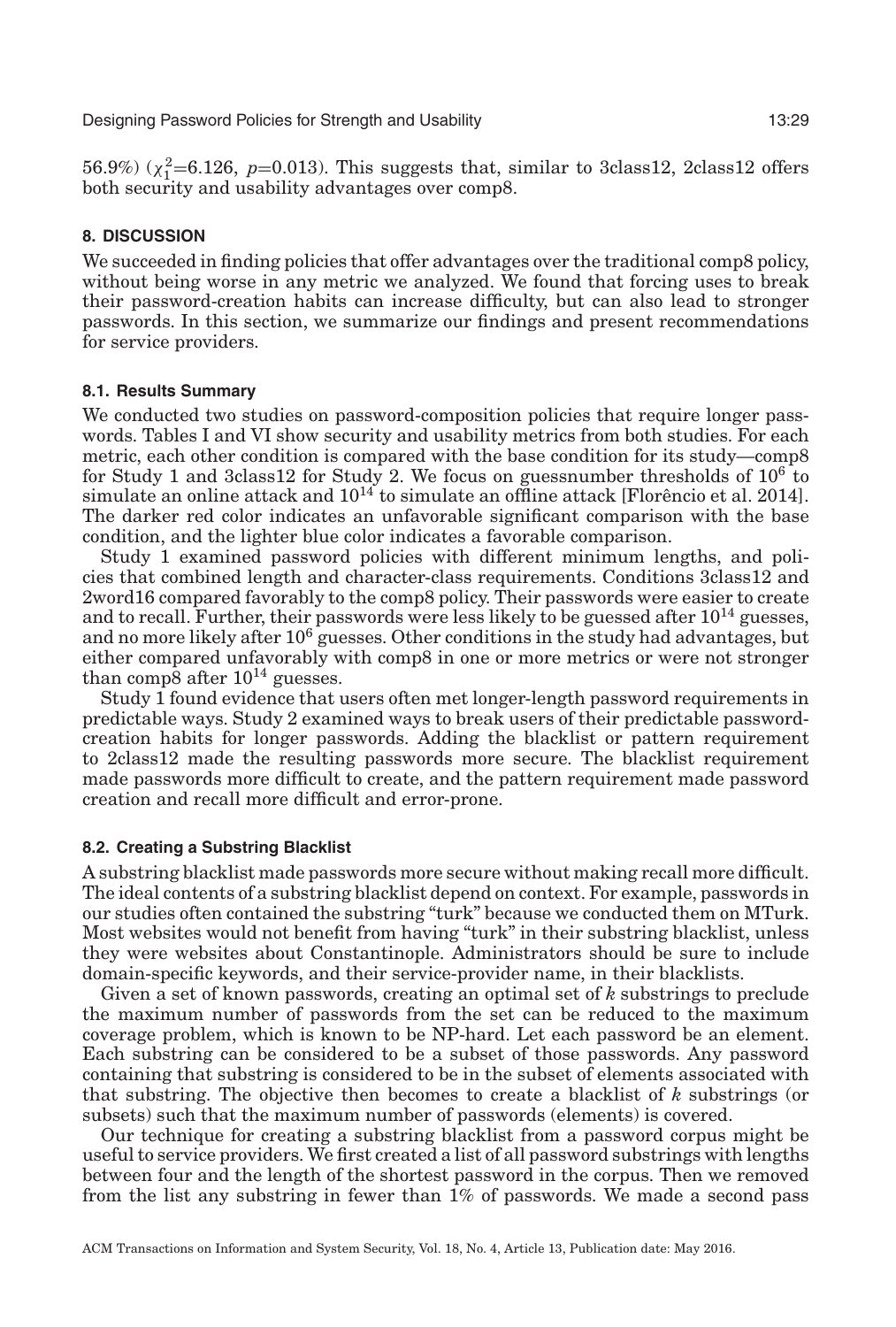56.9%)  $(\chi_1^2 = 6.126, p = 0.013)$ . This suggests that, similar to 3class12, 2class12 offers both security and usability advantages over comp8.

### **8. DISCUSSION**

We succeeded in finding policies that offer advantages over the traditional comp8 policy, without being worse in any metric we analyzed. We found that forcing uses to break their password-creation habits can increase difficulty, but can also lead to stronger passwords. In this section, we summarize our findings and present recommendations for service providers.

### **8.1. Results Summary**

We conducted two studies on password-composition policies that require longer passwords. Tables [I](#page-12-0) and [VI](#page-21-2) show security and usability metrics from both studies. For each metric, each other condition is compared with the base condition for its study—comp8 for Study 1 and 3class12 for Study 2. We focus on guessnumber thresholds of  $10^6$  to simulate an online attack and  $10^{14}$  to simulate an offline attack [Florencio et al. [2014\]](#page-31-3). The darker red color indicates an unfavorable significant comparison with the base condition, and the lighter blue color indicates a favorable comparison.

Study 1 examined password policies with different minimum lengths, and policies that combined length and character-class requirements. Conditions 3class12 and 2word16 compared favorably to the comp8 policy. Their passwords were easier to create and to recall. Further, their passwords were less likely to be guessed after  $10^{14}$  guesses, and no more likely after 10<sup>6</sup> guesses. Other conditions in the study had advantages, but either compared unfavorably with comp8 in one or more metrics or were not stronger than comp8 after  $10^{14}$  guesses.

Study 1 found evidence that users often met longer-length password requirements in predictable ways. Study 2 examined ways to break users of their predictable passwordcreation habits for longer passwords. Adding the blacklist or pattern requirement to 2class12 made the resulting passwords more secure. The blacklist requirement made passwords more difficult to create, and the pattern requirement made password creation and recall more difficult and error-prone.

### **8.2. Creating a Substring Blacklist**

<span id="page-28-0"></span>A substring blacklist made passwords more secure without making recall more difficult. The ideal contents of a substring blacklist depend on context. For example, passwords in our studies often contained the substring "turk" because we conducted them on MTurk. Most websites would not benefit from having "turk" in their substring blacklist, unless they were websites about Constantinople. Administrators should be sure to include domain-specific keywords, and their service-provider name, in their blacklists.

Given a set of known passwords, creating an optimal set of *k* substrings to preclude the maximum number of passwords from the set can be reduced to the maximum coverage problem, which is known to be NP-hard. Let each password be an element. Each substring can be considered to be a subset of those passwords. Any password containing that substring is considered to be in the subset of elements associated with that substring. The objective then becomes to create a blacklist of *k* substrings (or subsets) such that the maximum number of passwords (elements) is covered.

Our technique for creating a substring blacklist from a password corpus might be useful to service providers. We first created a list of all password substrings with lengths between four and the length of the shortest password in the corpus. Then we removed from the list any substring in fewer than 1% of passwords. We made a second pass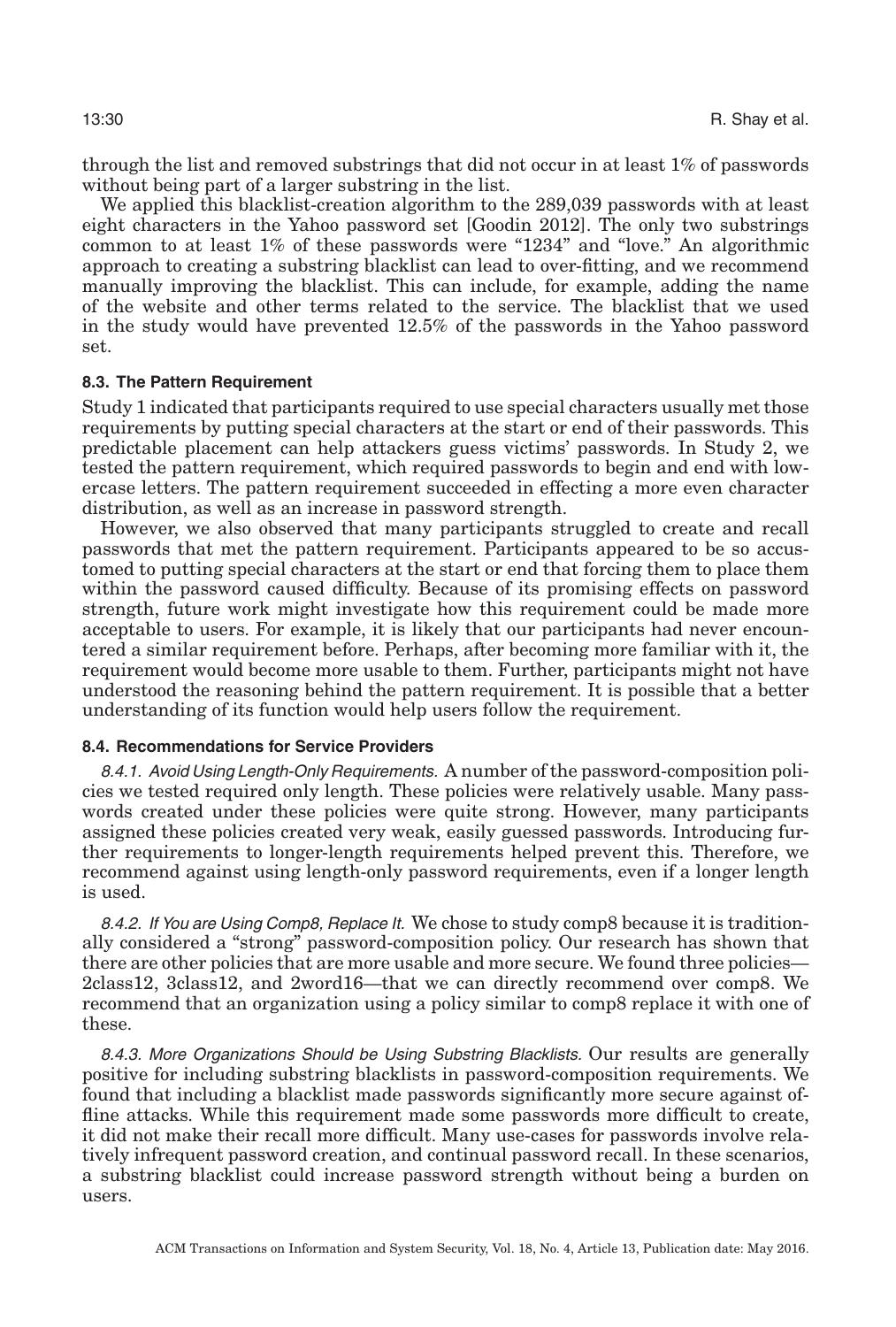through the list and removed substrings that did not occur in at least 1% of passwords without being part of a larger substring in the list.

We applied this blacklist-creation algorithm to the 289,039 passwords with at least eight characters in the Yahoo password set [Goodin [2012\]](#page-31-22). The only two substrings common to at least 1% of these passwords were "1234" and "love." An algorithmic approach to creating a substring blacklist can lead to over-fitting, and we recommend manually improving the blacklist. This can include, for example, adding the name of the website and other terms related to the service. The blacklist that we used in the study would have prevented 12.5% of the passwords in the Yahoo password set.

### **8.3. The Pattern Requirement**

Study 1 indicated that participants required to use special characters usually met those requirements by putting special characters at the start or end of their passwords. This predictable placement can help attackers guess victims' passwords. In Study 2, we tested the pattern requirement, which required passwords to begin and end with lowercase letters. The pattern requirement succeeded in effecting a more even character distribution, as well as an increase in password strength.

However, we also observed that many participants struggled to create and recall passwords that met the pattern requirement. Participants appeared to be so accustomed to putting special characters at the start or end that forcing them to place them within the password caused difficulty. Because of its promising effects on password strength, future work might investigate how this requirement could be made more acceptable to users. For example, it is likely that our participants had never encountered a similar requirement before. Perhaps, after becoming more familiar with it, the requirement would become more usable to them. Further, participants might not have understood the reasoning behind the pattern requirement. It is possible that a better understanding of its function would help users follow the requirement.

#### **8.4. Recommendations for Service Providers**

8.4.1. Avoid Using Length-Only Requirements. A number of the password-composition policies we tested required only length. These policies were relatively usable. Many passwords created under these policies were quite strong. However, many participants assigned these policies created very weak, easily guessed passwords. Introducing further requirements to longer-length requirements helped prevent this. Therefore, we recommend against using length-only password requirements, even if a longer length is used.

8.4.2. If You are Using Comp8, Replace It. We chose to study comp8 because it is traditionally considered a "strong" password-composition policy. Our research has shown that there are other policies that are more usable and more secure. We found three policies— 2class12, 3class12, and 2word16—that we can directly recommend over comp8. We recommend that an organization using a policy similar to comp8 replace it with one of these.

8.4.3. More Organizations Should be Using Substring Blacklists. Our results are generally positive for including substring blacklists in password-composition requirements. We found that including a blacklist made passwords significantly more secure against offline attacks. While this requirement made some passwords more difficult to create, it did not make their recall more difficult. Many use-cases for passwords involve relatively infrequent password creation, and continual password recall. In these scenarios, a substring blacklist could increase password strength without being a burden on users.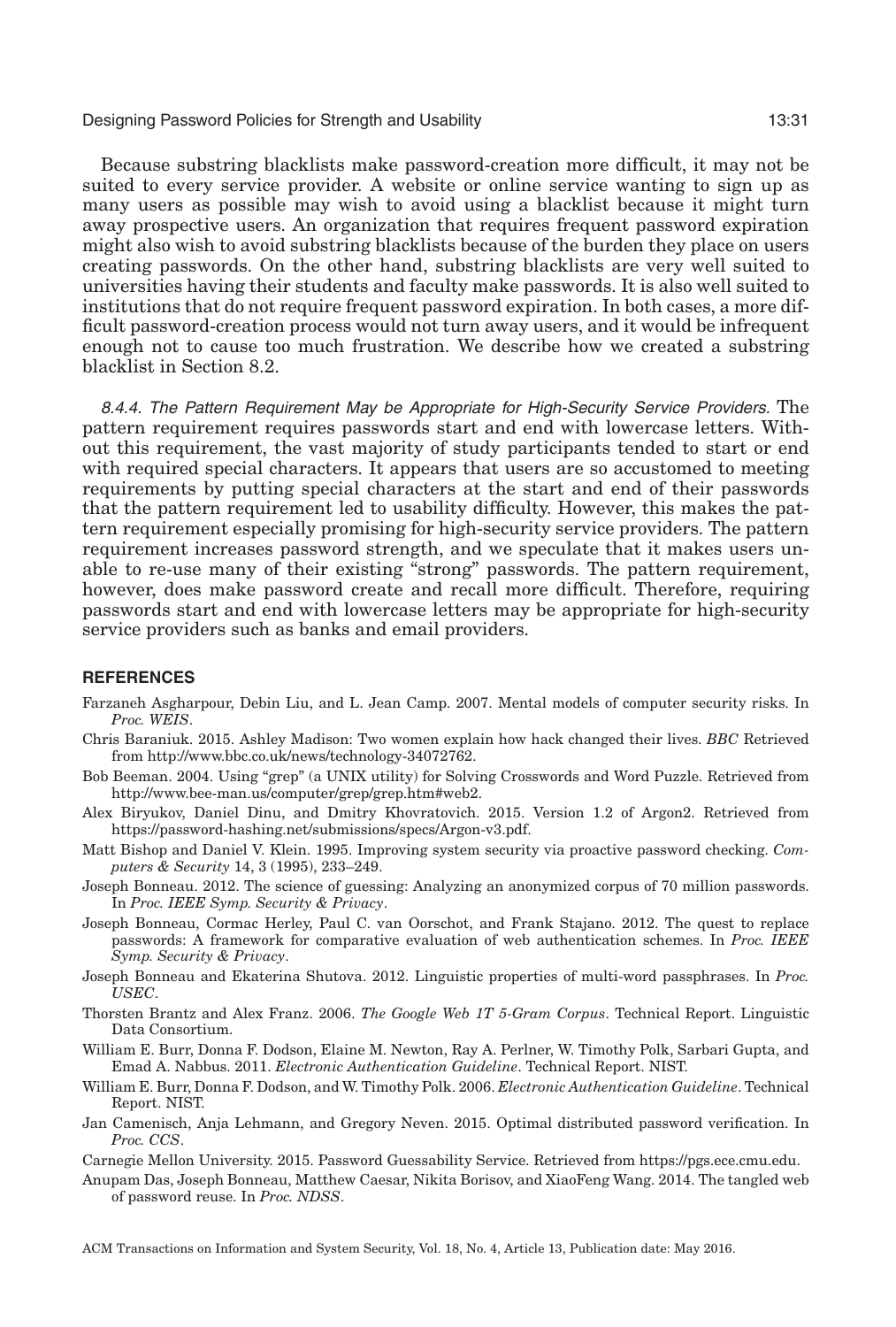Because substring blacklists make password-creation more difficult, it may not be suited to every service provider. A website or online service wanting to sign up as many users as possible may wish to avoid using a blacklist because it might turn away prospective users. An organization that requires frequent password expiration might also wish to avoid substring blacklists because of the burden they place on users creating passwords. On the other hand, substring blacklists are very well suited to universities having their students and faculty make passwords. It is also well suited to institutions that do not require frequent password expiration. In both cases, a more difficult password-creation process would not turn away users, and it would be infrequent enough not to cause too much frustration. We describe how we created a substring blacklist in Section [8.2.](#page-28-0)

8.4.4. The Pattern Requirement May be Appropriate for High-Security Service Providers. The pattern requirement requires passwords start and end with lowercase letters. Without this requirement, the vast majority of study participants tended to start or end with required special characters. It appears that users are so accustomed to meeting requirements by putting special characters at the start and end of their passwords that the pattern requirement led to usability difficulty. However, this makes the pattern requirement especially promising for high-security service providers. The pattern requirement increases password strength, and we speculate that it makes users unable to re-use many of their existing "strong" passwords. The pattern requirement, however, does make password create and recall more difficult. Therefore, requiring passwords start and end with lowercase letters may be appropriate for high-security service providers such as banks and email providers.

#### **REFERENCES**

- <span id="page-30-9"></span>Farzaneh Asgharpour, Debin Liu, and L. Jean Camp. 2007. Mental models of computer security risks. In *Proc. WEIS*.
- <span id="page-30-2"></span>Chris Baraniuk. 2015. Ashley Madison: Two women explain how hack changed their lives. *BBC* Retrieved from [http://www.bbc.co.uk/news/technology-34072762.](http://www.bbc.co.uk/news/technology-34072762)
- <span id="page-30-13"></span>Bob Beeman. 2004. Using "grep" (a UNIX utility) for Solving Crosswords and Word Puzzle. Retrieved from [http://www.bee-man.us/computer/grep/grep.htm#web2.](http://www.bee-man.us/computer/grep/grep.htm#web2)
- <span id="page-30-3"></span>Alex Biryukov, Daniel Dinu, and Dmitry Khovratovich. 2015. Version 1.2 of Argon2. Retrieved from [https://password-hashing.net/submissions/specs/Argon-v3.pdf.](https://password-hashing.net/submissions/specs/Argon-v3.pdf)
- <span id="page-30-5"></span>Matt Bishop and Daniel V. Klein. 1995. Improving system security via proactive password checking. *Computers & Security* 14, 3 (1995), 233–249.
- <span id="page-30-10"></span>Joseph Bonneau. 2012. The science of guessing: Analyzing an anonymized corpus of 70 million passwords. In *Proc. IEEE Symp. Security & Privacy*.
- <span id="page-30-1"></span>Joseph Bonneau, Cormac Herley, Paul C. van Oorschot, and Frank Stajano. 2012. The quest to replace passwords: A framework for comparative evaluation of web authentication schemes. In *Proc. IEEE Symp. Security & Privacy*.
- <span id="page-30-7"></span>Joseph Bonneau and Ekaterina Shutova. 2012. Linguistic properties of multi-word passphrases. In *Proc. USEC*.
- <span id="page-30-12"></span>Thorsten Brantz and Alex Franz. 2006. *The Google Web 1T 5-Gram Corpus*. Technical Report. Linguistic Data Consortium.
- <span id="page-30-0"></span>William E. Burr, Donna F. Dodson, Elaine M. Newton, Ray A. Perlner, W. Timothy Polk, Sarbari Gupta, and Emad A. Nabbus. 2011. *Electronic Authentication Guideline*. Technical Report. NIST.
- <span id="page-30-6"></span>William E. Burr, Donna F. Dodson, and W. Timothy Polk. 2006. *Electronic Authentication Guideline*. Technical Report. NIST.
- <span id="page-30-4"></span>Jan Camenisch, Anja Lehmann, and Gregory Neven. 2015. Optimal distributed password verification. In *Proc. CCS*.
- <span id="page-30-11"></span>Carnegie Mellon University. 2015. Password Guessability Service. Retrieved from [https://pgs.ece.cmu.edu.](https://pgs.ece.cmu.edu)
- <span id="page-30-8"></span>Anupam Das, Joseph Bonneau, Matthew Caesar, Nikita Borisov, and XiaoFeng Wang. 2014. The tangled web of password reuse. In *Proc. NDSS*.

ACM Transactions on Information and System Security, Vol. 18, No. 4, Article 13, Publication date: May 2016.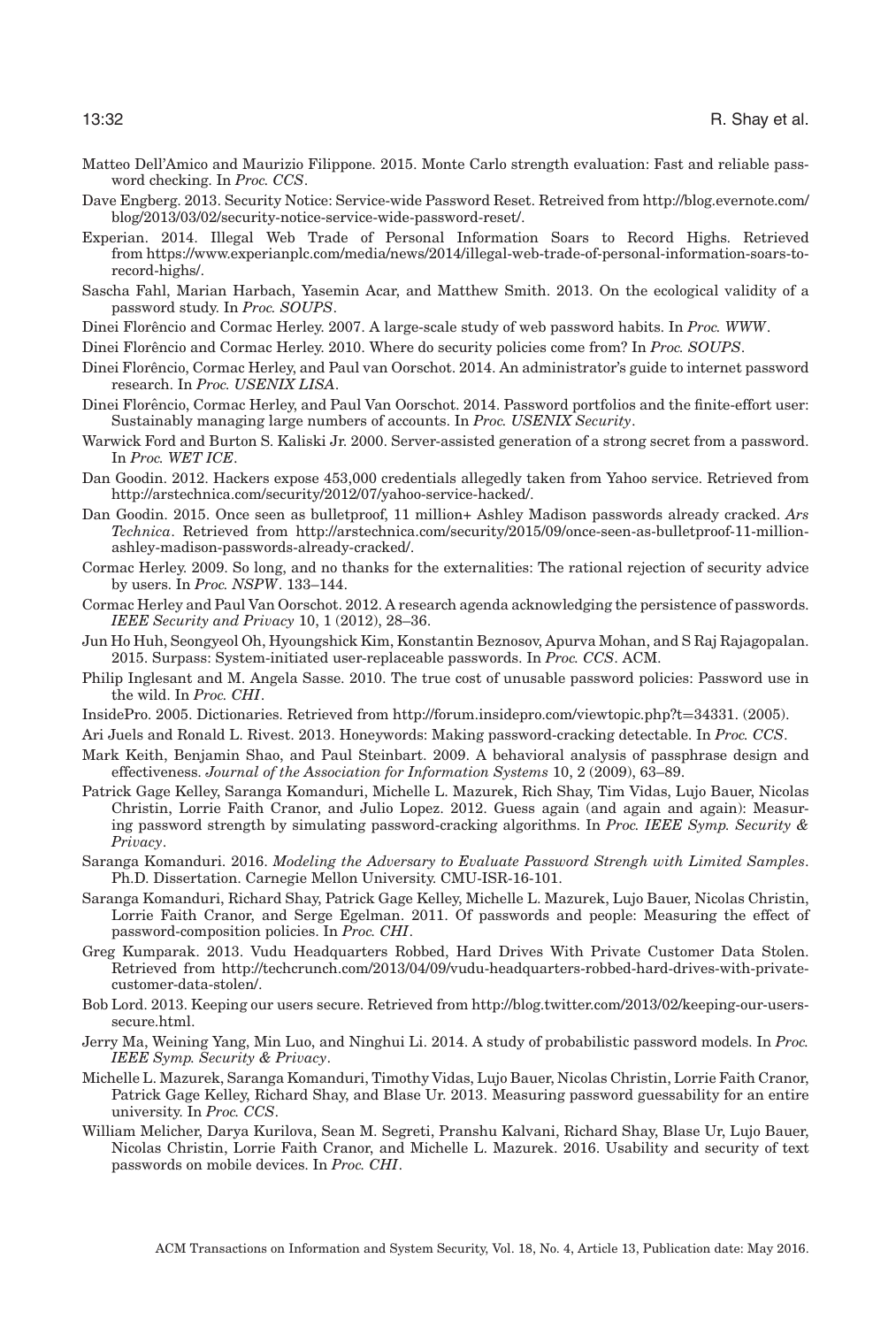- <span id="page-31-19"></span>Matteo Dell'Amico and Maurizio Filippone. 2015. Monte Carlo strength evaluation: Fast and reliable password checking. In *Proc. CCS*.
- <span id="page-31-4"></span>Dave Engberg. 2013. Security Notice: Service-wide Password Reset. Retreived from [http://blog.evernote.com/](http://blog.evernote.com/blog/2013/03/02/security-notice-service-wide-password-reset/) [blog/2013/03/02/security-notice-service-wide-password-reset/.](http://blog.evernote.com/blog/2013/03/02/security-notice-service-wide-password-reset/)
- <span id="page-31-16"></span>Experian. 2014. Illegal Web Trade of Personal Information Soars to Record Highs. Retrieved from [https://www.experianplc.com/media/news/2014/illegal-web-trade-of-personal-information-soars-to](https://www.experianplc.com/media/news/2014/illegal-web-trade-of-personal-information-soars-to-record-highs/)[record-highs/.](https://www.experianplc.com/media/news/2014/illegal-web-trade-of-personal-information-soars-to-record-highs/)
- <span id="page-31-21"></span>Sascha Fahl, Marian Harbach, Yasemin Acar, and Matthew Smith. 2013. On the ecological validity of a password study. In *Proc. SOUPS*.
- <span id="page-31-15"></span>Dinei Florêncio and Cormac Herley. 2007. A large-scale study of web password habits. In *Proc. WWW*.

<span id="page-31-7"></span>Dinei Florêncio and Cormac Herley. 2010. Where do security policies come from? In *Proc. SOUPS*.

- <span id="page-31-3"></span>Dinei Florencio, Cormac Herley, and Paul van Oorschot. 2014. An administrator's guide to internet password ˆ research. In *Proc. USENIX LISA*.
- <span id="page-31-14"></span>Dinei Florêncio, Cormac Herley, and Paul Van Oorschot. 2014. Password portfolios and the finite-effort user: Sustainably managing large numbers of accounts. In *Proc. USENIX Security*.
- <span id="page-31-9"></span>Warwick Ford and Burton S. Kaliski Jr. 2000. Server-assisted generation of a strong secret from a password. In *Proc. WET ICE*.
- <span id="page-31-22"></span>Dan Goodin. 2012. Hackers expose 453,000 credentials allegedly taken from Yahoo service. Retrieved from [http://arstechnica.com/security/2012/07/yahoo-service-hacked/.](http://arstechnica.com/security/2012/07/yahoo-service-hacked/)
- <span id="page-31-8"></span>Dan Goodin. 2015. Once seen as bulletproof, 11 million+ Ashley Madison passwords already cracked. *Ars Technica*. Retrieved from [http://arstechnica.com/security/2015/09/once-seen-as-bulletproof-11-million](http://arstechnica.com/security/2015/09/once-seen-as-bulletproof-11-million-ashley-madison-passwords-already-cracked/)[ashley-madison-passwords-already-cracked/.](http://arstechnica.com/security/2015/09/once-seen-as-bulletproof-11-million-ashley-madison-passwords-already-cracked/)
- <span id="page-31-13"></span>Cormac Herley. 2009. So long, and no thanks for the externalities: The rational rejection of security advice by users. In *Proc. NSPW*. 133–144.
- <span id="page-31-2"></span>Cormac Herley and Paul Van Oorschot. 2012. A research agenda acknowledging the persistence of passwords. *IEEE Security and Privacy* 10, 1 (2012), 28–36.
- <span id="page-31-20"></span>Jun Ho Huh, Seongyeol Oh, Hyoungshick Kim, Konstantin Beznosov, Apurva Mohan, and S Raj Rajagopalan. 2015. Surpass: System-initiated user-replaceable passwords. In *Proc. CCS*. ACM.
- <span id="page-31-12"></span>Philip Inglesant and M. Angela Sasse. 2010. The true cost of unusable password policies: Password use in the wild. In *Proc. CHI*.
- <span id="page-31-23"></span>InsidePro. 2005. Dictionaries. Retrieved from [http://forum.insidepro.com/viewtopic.php?t](http://forum.insidepro.com/viewtopic.php?t$=$34331)=34331. (2005).

<span id="page-31-10"></span>Ari Juels and Ronald L. Rivest. 2013. Honeywords: Making password-cracking detectable. In *Proc. CCS*.

- <span id="page-31-25"></span>Mark Keith, Benjamin Shao, and Paul Steinbart. 2009. A behavioral analysis of passphrase design and effectiveness. *Journal of the Association for Information Systems* 10, 2 (2009), 63–89.
- <span id="page-31-1"></span>Patrick Gage Kelley, Saranga Komanduri, Michelle L. Mazurek, Rich Shay, Tim Vidas, Lujo Bauer, Nicolas Christin, Lorrie Faith Cranor, and Julio Lopez. 2012. Guess again (and again and again): Measuring password strength by simulating password-cracking algorithms. In *Proc. IEEE Symp. Security & Privacy*.
- <span id="page-31-17"></span>Saranga Komanduri. 2016. *Modeling the Adversary to Evaluate Password Strengh with Limited Samples*. Ph.D. Dissertation. Carnegie Mellon University. CMU-ISR-16-101.
- <span id="page-31-0"></span>Saranga Komanduri, Richard Shay, Patrick Gage Kelley, Michelle L. Mazurek, Lujo Bauer, Nicolas Christin, Lorrie Faith Cranor, and Serge Egelman. 2011. Of passwords and people: Measuring the effect of password-composition policies. In *Proc. CHI*.
- <span id="page-31-6"></span>Greg Kumparak. 2013. Vudu Headquarters Robbed, Hard Drives With Private Customer Data Stolen. Retrieved from [http://techcrunch.com/2013/04/09/vudu-headquarters-robbed-hard-drives-with-private](http://techcrunch.com/2013/04/09/vudu-headquarters-robbed-hard-drives-with-private-customer-data-stolen/)[customer-data-stolen/.](http://techcrunch.com/2013/04/09/vudu-headquarters-robbed-hard-drives-with-private-customer-data-stolen/)
- <span id="page-31-5"></span>Bob Lord. 2013. Keeping our users secure. Retrieved from [http://blog.twitter.com/2013/02/keeping-our-users](http://blog.twitter.com/2013/02/keeping-our-users-secure.html)[secure.html.](http://blog.twitter.com/2013/02/keeping-our-users-secure.html)
- <span id="page-31-18"></span>Jerry Ma, Weining Yang, Min Luo, and Ninghui Li. 2014. A study of probabilistic password models. In *Proc. IEEE Symp. Security & Privacy*.
- <span id="page-31-11"></span>Michelle L. Mazurek, Saranga Komanduri, Timothy Vidas, Lujo Bauer, Nicolas Christin, Lorrie Faith Cranor, Patrick Gage Kelley, Richard Shay, and Blase Ur. 2013. Measuring password guessability for an entire university. In *Proc. CCS*.
- <span id="page-31-24"></span>William Melicher, Darya Kurilova, Sean M. Segreti, Pranshu Kalvani, Richard Shay, Blase Ur, Lujo Bauer, Nicolas Christin, Lorrie Faith Cranor, and Michelle L. Mazurek. 2016. Usability and security of text passwords on mobile devices. In *Proc. CHI*.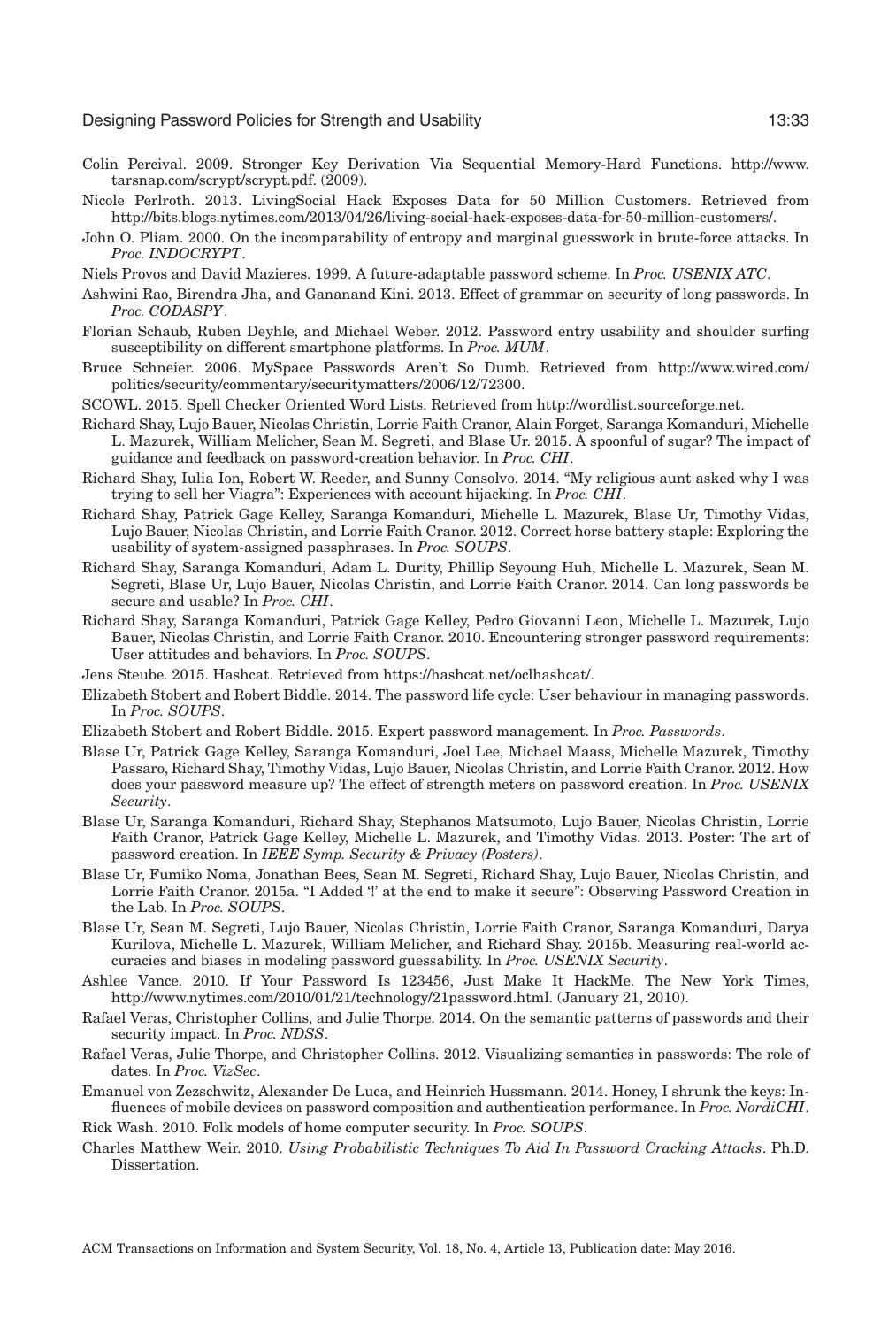- <span id="page-32-4"></span>Colin Percival. 2009. Stronger Key Derivation Via Sequential Memory-Hard Functions. [http://www.](http://www.tarsnap.com/scrypt/scrypt.pdf) [tarsnap.com/scrypt/scrypt.pdf.](http://www.tarsnap.com/scrypt/scrypt.pdf) (2009).
- <span id="page-32-2"></span>Nicole Perlroth. 2013. LivingSocial Hack Exposes Data for 50 Million Customers. Retrieved from [http://bits.blogs.nytimes.com/2013/04/26/living-social-hack-exposes-data-for-50-million-customers/.](http://bits.blogs.nytimes.com/2013/04/26/living-social-hack-exposes-data-for-50-million-customers/)
- <span id="page-32-14"></span>John O. Pliam. 2000. On the incomparability of entropy and marginal guesswork in brute-force attacks. In *Proc. INDOCRYPT*.
- <span id="page-32-3"></span>Niels Provos and David Mazieres. 1999. A future-adaptable password scheme. In *Proc. USENIX ATC*.
- <span id="page-32-9"></span>Ashwini Rao, Birendra Jha, and Gananand Kini. 2013. Effect of grammar on security of long passwords. In *Proc. CODASPY*.
- <span id="page-32-25"></span>Florian Schaub, Ruben Deyhle, and Michael Weber. 2012. Password entry usability and shoulder surfing susceptibility on different smartphone platforms. In *Proc. MUM*.
- <span id="page-32-22"></span>Bruce Schneier. 2006. MySpace Passwords Aren't So Dumb. Retrieved from [http://www.wired.com/](http://www.wired.com/politics/security/commentary/securitymatters/2006/12/72300) [politics/security/commentary/securitymatters/2006/12/72300.](http://www.wired.com/politics/security/commentary/securitymatters/2006/12/72300)
- <span id="page-32-23"></span>SCOWL. 2015. Spell Checker Oriented Word Lists. Retrieved from [http://wordlist.sourceforge.net.](http://wordlist.sourceforge.net)
- <span id="page-32-18"></span>Richard Shay, Lujo Bauer, Nicolas Christin, Lorrie Faith Cranor, Alain Forget, Saranga Komanduri, Michelle L. Mazurek, William Melicher, Sean M. Segreti, and Blase Ur. 2015. A spoonful of sugar? The impact of guidance and feedback on password-creation behavior. In *Proc. CHI*.
- <span id="page-32-1"></span>Richard Shay, Iulia Ion, Robert W. Reeder, and Sunny Consolvo. 2014. "My religious aunt asked why I was trying to sell her Viagra": Experiences with account hijacking. In *Proc. CHI*.
- <span id="page-32-16"></span>Richard Shay, Patrick Gage Kelley, Saranga Komanduri, Michelle L. Mazurek, Blase Ur, Timothy Vidas, Lujo Bauer, Nicolas Christin, and Lorrie Faith Cranor. 2012. Correct horse battery staple: Exploring the usability of system-assigned passphrases. In *Proc. SOUPS*.
- <span id="page-32-0"></span>Richard Shay, Saranga Komanduri, Adam L. Durity, Phillip Seyoung Huh, Michelle L. Mazurek, Sean M. Segreti, Blase Ur, Lujo Bauer, Nicolas Christin, and Lorrie Faith Cranor. 2014. Can long passwords be secure and usable? In *Proc. CHI*.
- <span id="page-32-7"></span>Richard Shay, Saranga Komanduri, Patrick Gage Kelley, Pedro Giovanni Leon, Michelle L. Mazurek, Lujo Bauer, Nicolas Christin, and Lorrie Faith Cranor. 2010. Encountering stronger password requirements: User attitudes and behaviors. In *Proc. SOUPS*.
- <span id="page-32-20"></span>Jens Steube. 2015. Hashcat. Retrieved from [https://hashcat.net/oclhashcat/.](https://hashcat.net/oclhashcat/)
- <span id="page-32-5"></span>Elizabeth Stobert and Robert Biddle. 2014. The password life cycle: User behaviour in managing passwords. In *Proc. SOUPS*.
- <span id="page-32-12"></span>Elizabeth Stobert and Robert Biddle. 2015. Expert password management. In *Proc. Passwords*.
- <span id="page-32-17"></span>Blase Ur, Patrick Gage Kelley, Saranga Komanduri, Joel Lee, Michael Maass, Michelle Mazurek, Timothy Passaro, Richard Shay, Timothy Vidas, Lujo Bauer, Nicolas Christin, and Lorrie Faith Cranor. 2012. How does your password measure up? The effect of strength meters on password creation. In *Proc. USENIX Security*.
- <span id="page-32-10"></span>Blase Ur, Saranga Komanduri, Richard Shay, Stephanos Matsumoto, Lujo Bauer, Nicolas Christin, Lorrie Faith Cranor, Patrick Gage Kelley, Michelle L. Mazurek, and Timothy Vidas. 2013. Poster: The art of password creation. In *IEEE Symp. Security & Privacy (Posters)*.
- <span id="page-32-6"></span>Blase Ur, Fumiko Noma, Jonathan Bees, Sean M. Segreti, Richard Shay, Lujo Bauer, Nicolas Christin, and Lorrie Faith Cranor. 2015a. "I Added '!' at the end to make it secure": Observing Password Creation in the Lab. In *Proc. SOUPS*.
- <span id="page-32-15"></span>Blase Ur, Sean M. Segreti, Lujo Bauer, Nicolas Christin, Lorrie Faith Cranor, Saranga Komanduri, Darya Kurilova, Michelle L. Mazurek, William Melicher, and Richard Shay. 2015b. Measuring real-world accuracies and biases in modeling password guessability. In *Proc. USENIX Security*.
- <span id="page-32-21"></span>Ashlee Vance. 2010. If Your Password Is 123456, Just Make It HackMe. The New York Times, [http://www.nytimes.com/2010/01/21/technology/21password.html.](http://www.nytimes.com/2010/01/21/technology/21password.html) (January 21, 2010).
- <span id="page-32-8"></span>Rafael Veras, Christopher Collins, and Julie Thorpe. 2014. On the semantic patterns of passwords and their security impact. In *Proc. NDSS*.
- <span id="page-32-11"></span>Rafael Veras, Julie Thorpe, and Christopher Collins. 2012. Visualizing semantics in passwords: The role of dates. In *Proc. VizSec*.
- <span id="page-32-24"></span>Emanuel von Zezschwitz, Alexander De Luca, and Heinrich Hussmann. 2014. Honey, I shrunk the keys: Influences of mobile devices on password composition and authentication performance. In *Proc. NordiCHI*.

<span id="page-32-13"></span>Rick Wash. 2010. Folk models of home computer security. In *Proc. SOUPS*.

<span id="page-32-19"></span>Charles Matthew Weir. 2010. *Using Probabilistic Techniques To Aid In Password Cracking Attacks*. Ph.D. Dissertation.